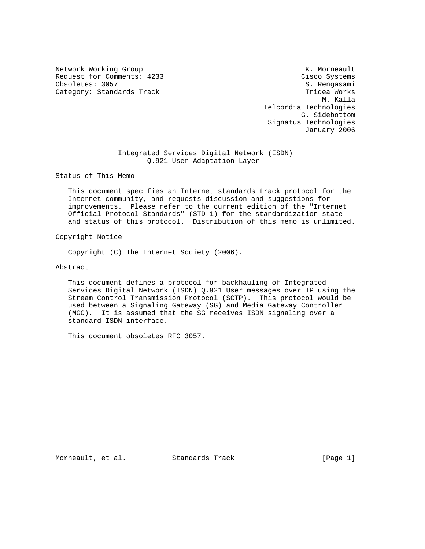Network Working Group Network Working Group Network K. Morneault Request for Comments: 4233 Cisco Systems<br>
Obsoletes: 3057 S. Rengasami Obsoletes: 3057 Category: Standards Track Track Tridea Works

 M. Kalla Telcordia Technologies G. Sidebottom Signatus Technologies January 2006

 Integrated Services Digital Network (ISDN) Q.921-User Adaptation Layer

Status of This Memo

 This document specifies an Internet standards track protocol for the Internet community, and requests discussion and suggestions for improvements. Please refer to the current edition of the "Internet Official Protocol Standards" (STD 1) for the standardization state and status of this protocol. Distribution of this memo is unlimited.

Copyright Notice

Copyright (C) The Internet Society (2006).

Abstract

 This document defines a protocol for backhauling of Integrated Services Digital Network (ISDN) Q.921 User messages over IP using the Stream Control Transmission Protocol (SCTP). This protocol would be used between a Signaling Gateway (SG) and Media Gateway Controller (MGC). It is assumed that the SG receives ISDN signaling over a standard ISDN interface.

This document obsoletes RFC 3057.

Morneault, et al. Standards Track [Page 1]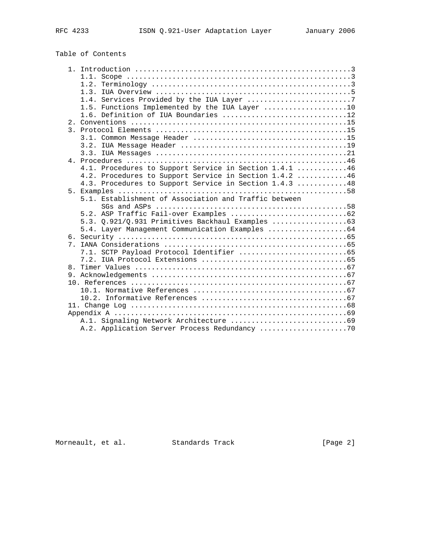# Table of Contents

|  | 1.2.                                                   |
|--|--------------------------------------------------------|
|  |                                                        |
|  |                                                        |
|  | 1.5. Functions Implemented by the IUA Layer 10         |
|  | 1.6. Definition of IUA Boundaries 12                   |
|  |                                                        |
|  |                                                        |
|  |                                                        |
|  |                                                        |
|  |                                                        |
|  |                                                        |
|  | 4.1. Procedures to Support Service in Section 1.4.1 46 |
|  | 4.2. Procedures to Support Service in Section 1.4.2 46 |
|  | 4.3. Procedures to Support Service in Section 1.4.3 48 |
|  |                                                        |
|  | 5.1. Establishment of Association and Traffic between  |
|  |                                                        |
|  |                                                        |
|  |                                                        |
|  |                                                        |
|  |                                                        |
|  |                                                        |
|  |                                                        |
|  |                                                        |
|  |                                                        |
|  |                                                        |
|  |                                                        |
|  |                                                        |
|  |                                                        |
|  |                                                        |
|  |                                                        |
|  |                                                        |
|  |                                                        |

Morneault, et al. Standards Track [Page 2]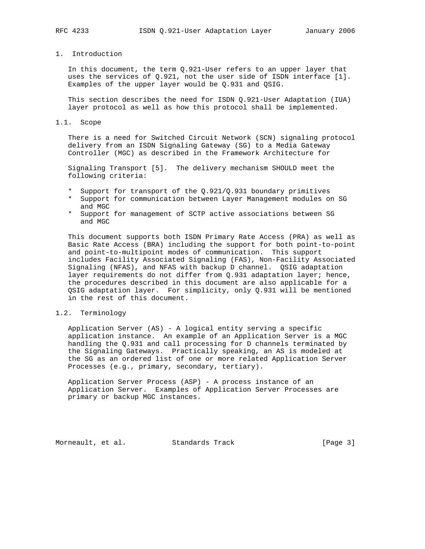# 1. Introduction

 In this document, the term Q.921-User refers to an upper layer that uses the services of Q.921, not the user side of ISDN interface [1]. Examples of the upper layer would be Q.931 and QSIG.

 This section describes the need for ISDN Q.921-User Adaptation (IUA) layer protocol as well as how this protocol shall be implemented.

#### 1.1. Scope

 There is a need for Switched Circuit Network (SCN) signaling protocol delivery from an ISDN Signaling Gateway (SG) to a Media Gateway Controller (MGC) as described in the Framework Architecture for

 Signaling Transport [5]. The delivery mechanism SHOULD meet the following criteria:

- \* Support for transport of the Q.921/Q.931 boundary primitives
- \* Support for communication between Layer Management modules on SG and MGC
- \* Support for management of SCTP active associations between SG and MGC

 This document supports both ISDN Primary Rate Access (PRA) as well as Basic Rate Access (BRA) including the support for both point-to-point and point-to-multipoint modes of communication. This support includes Facility Associated Signaling (FAS), Non-Facility Associated Signaling (NFAS), and NFAS with backup D channel. QSIG adaptation layer requirements do not differ from Q.931 adaptation layer; hence, the procedures described in this document are also applicable for a QSIG adaptation layer. For simplicity, only Q.931 will be mentioned in the rest of this document.

### 1.2. Terminology

 Application Server (AS) - A logical entity serving a specific application instance. An example of an Application Server is a MGC handling the Q.931 and call processing for D channels terminated by the Signaling Gateways. Practically speaking, an AS is modeled at the SG as an ordered list of one or more related Application Server Processes (e.g., primary, secondary, tertiary).

 Application Server Process (ASP) - A process instance of an Application Server. Examples of Application Server Processes are primary or backup MGC instances.

Morneault, et al. Standards Track [Page 3]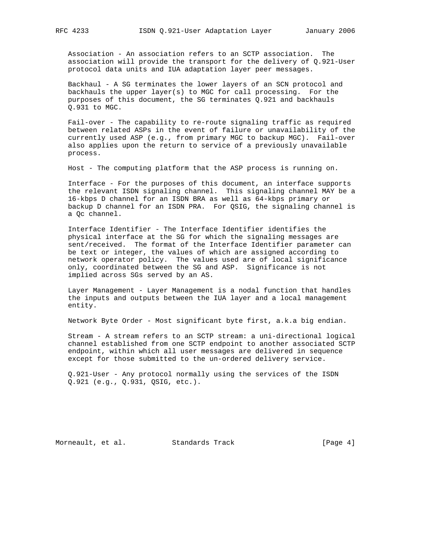Association - An association refers to an SCTP association. The association will provide the transport for the delivery of Q.921-User protocol data units and IUA adaptation layer peer messages.

 Backhaul - A SG terminates the lower layers of an SCN protocol and backhauls the upper layer(s) to MGC for call processing. For the purposes of this document, the SG terminates Q.921 and backhauls Q.931 to MGC.

 Fail-over - The capability to re-route signaling traffic as required between related ASPs in the event of failure or unavailability of the currently used ASP (e.g., from primary MGC to backup MGC). Fail-over also applies upon the return to service of a previously unavailable process.

Host - The computing platform that the ASP process is running on.

 Interface - For the purposes of this document, an interface supports the relevant ISDN signaling channel. This signaling channel MAY be a 16-kbps D channel for an ISDN BRA as well as 64-kbps primary or backup D channel for an ISDN PRA. For QSIG, the signaling channel is a Qc channel.

 Interface Identifier - The Interface Identifier identifies the physical interface at the SG for which the signaling messages are sent/received. The format of the Interface Identifier parameter can be text or integer, the values of which are assigned according to network operator policy. The values used are of local significance only, coordinated between the SG and ASP. Significance is not implied across SGs served by an AS.

 Layer Management - Layer Management is a nodal function that handles the inputs and outputs between the IUA layer and a local management entity.

Network Byte Order - Most significant byte first, a.k.a big endian.

 Stream - A stream refers to an SCTP stream: a uni-directional logical channel established from one SCTP endpoint to another associated SCTP endpoint, within which all user messages are delivered in sequence except for those submitted to the un-ordered delivery service.

 Q.921-User - Any protocol normally using the services of the ISDN Q.921 (e.g., Q.931, QSIG, etc.).

Morneault, et al. Standards Track [Page 4]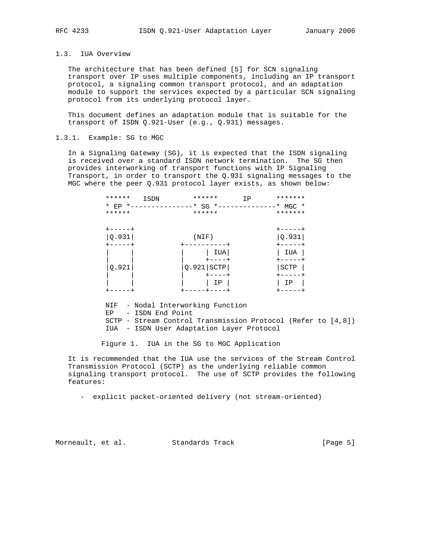## 1.3. IUA Overview

 The architecture that has been defined [5] for SCN signaling transport over IP uses multiple components, including an IP transport protocol, a signaling common transport protocol, and an adaptation module to support the services expected by a particular SCN signaling protocol from its underlying protocol layer.

 This document defines an adaptation module that is suitable for the transport of ISDN Q.921-User (e.g., Q.931) messages.

### 1.3.1. Example: SG to MGC

 In a Signaling Gateway (SG), it is expected that the ISDN signaling is received over a standard ISDN network termination. The SG then provides interworking of transport functions with IP Signaling Transport, in order to transport the Q.931 signaling messages to the MGC where the peer Q.931 protocol layer exists, as shown below:

| ******        | ISDN            | ******       | IP | *******       |
|---------------|-----------------|--------------|----|---------------|
| * EP *------- | $-----* SG * -$ |              |    | $*$ MGC $*$   |
| ******        |                 | ******       |    | *******       |
|               |                 |              |    |               |
| $+ - - - - +$ |                 |              |    | $+ - - - - +$ |
| Q.931         |                 | (NIF)        |    | Q.931         |
|               |                 |              |    |               |
|               |                 | IUA          |    | IUA           |
|               |                 |              |    |               |
| Q.921         |                 | $Q.921$ SCTP |    | SCTP          |
|               |                 |              |    |               |
|               |                 | ΙP           |    | ΙP            |
|               |                 |              |    |               |

 NIF - Nodal Interworking Function EP - ISDN End Point SCTP - Stream Control Transmission Protocol (Refer to [4,8]) IUA - ISDN User Adaptation Layer Protocol

Figure 1. IUA in the SG to MGC Application

 It is recommended that the IUA use the services of the Stream Control Transmission Protocol (SCTP) as the underlying reliable common signaling transport protocol. The use of SCTP provides the following features:

- explicit packet-oriented delivery (not stream-oriented)

Morneault, et al. Standards Track [Page 5]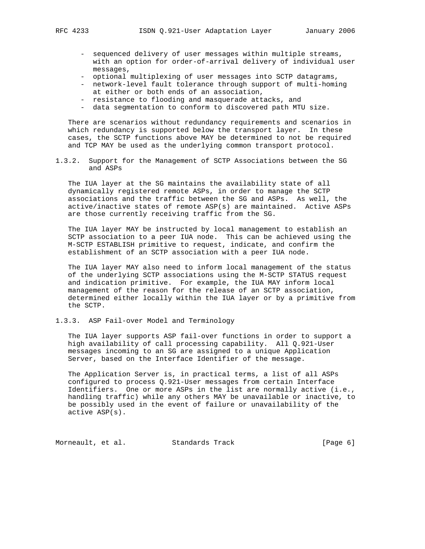- sequenced delivery of user messages within multiple streams, with an option for order-of-arrival delivery of individual user messages,
- optional multiplexing of user messages into SCTP datagrams,
- network-level fault tolerance through support of multi-homing at either or both ends of an association,
- resistance to flooding and masquerade attacks, and
- data segmentation to conform to discovered path MTU size.

 There are scenarios without redundancy requirements and scenarios in which redundancy is supported below the transport layer. In these cases, the SCTP functions above MAY be determined to not be required and TCP MAY be used as the underlying common transport protocol.

1.3.2. Support for the Management of SCTP Associations between the SG and ASPs

 The IUA layer at the SG maintains the availability state of all dynamically registered remote ASPs, in order to manage the SCTP associations and the traffic between the SG and ASPs. As well, the active/inactive states of remote ASP(s) are maintained. Active ASPs are those currently receiving traffic from the SG.

 The IUA layer MAY be instructed by local management to establish an SCTP association to a peer IUA node. This can be achieved using the M-SCTP ESTABLISH primitive to request, indicate, and confirm the establishment of an SCTP association with a peer IUA node.

 The IUA layer MAY also need to inform local management of the status of the underlying SCTP associations using the M-SCTP STATUS request and indication primitive. For example, the IUA MAY inform local management of the reason for the release of an SCTP association, determined either locally within the IUA layer or by a primitive from the SCTP.

1.3.3. ASP Fail-over Model and Terminology

 The IUA layer supports ASP fail-over functions in order to support a high availability of call processing capability. All Q.921-User messages incoming to an SG are assigned to a unique Application Server, based on the Interface Identifier of the message.

 The Application Server is, in practical terms, a list of all ASPs configured to process Q.921-User messages from certain Interface Identifiers. One or more ASPs in the list are normally active (i.e., handling traffic) while any others MAY be unavailable or inactive, to be possibly used in the event of failure or unavailability of the active ASP(s).

Morneault, et al. Standards Track [Page 6]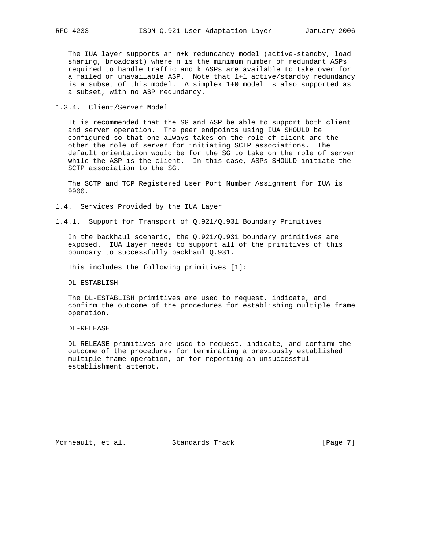The IUA layer supports an n+k redundancy model (active-standby, load sharing, broadcast) where n is the minimum number of redundant ASPs required to handle traffic and k ASPs are available to take over for a failed or unavailable ASP. Note that 1+1 active/standby redundancy is a subset of this model. A simplex 1+0 model is also supported as a subset, with no ASP redundancy.

1.3.4. Client/Server Model

 It is recommended that the SG and ASP be able to support both client and server operation. The peer endpoints using IUA SHOULD be configured so that one always takes on the role of client and the other the role of server for initiating SCTP associations. The default orientation would be for the SG to take on the role of server while the ASP is the client. In this case, ASPs SHOULD initiate the SCTP association to the SG.

 The SCTP and TCP Registered User Port Number Assignment for IUA is 9900.

1.4. Services Provided by the IUA Layer

1.4.1. Support for Transport of Q.921/Q.931 Boundary Primitives

In the backhaul scenario, the  $Q.921/Q.931$  boundary primitives are exposed. IUA layer needs to support all of the primitives of this boundary to successfully backhaul Q.931.

This includes the following primitives [1]:

DL-ESTABLISH

 The DL-ESTABLISH primitives are used to request, indicate, and confirm the outcome of the procedures for establishing multiple frame operation.

DL-RELEASE

 DL-RELEASE primitives are used to request, indicate, and confirm the outcome of the procedures for terminating a previously established multiple frame operation, or for reporting an unsuccessful establishment attempt.

Morneault, et al. Standards Track [Page 7]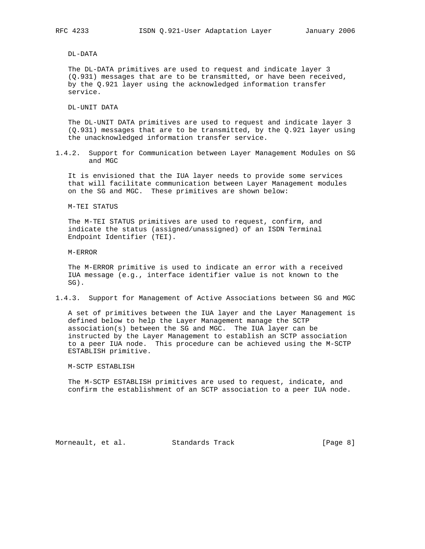DL-DATA

 The DL-DATA primitives are used to request and indicate layer 3 (Q.931) messages that are to be transmitted, or have been received, by the Q.921 layer using the acknowledged information transfer service.

DL-UNIT DATA

 The DL-UNIT DATA primitives are used to request and indicate layer 3 (Q.931) messages that are to be transmitted, by the Q.921 layer using the unacknowledged information transfer service.

1.4.2. Support for Communication between Layer Management Modules on SG and MGC

 It is envisioned that the IUA layer needs to provide some services that will facilitate communication between Layer Management modules on the SG and MGC. These primitives are shown below:

M-TEI STATUS

 The M-TEI STATUS primitives are used to request, confirm, and indicate the status (assigned/unassigned) of an ISDN Terminal Endpoint Identifier (TEI).

M-ERROR

 The M-ERROR primitive is used to indicate an error with a received IUA message (e.g., interface identifier value is not known to the SG).

1.4.3. Support for Management of Active Associations between SG and MGC

 A set of primitives between the IUA layer and the Layer Management is defined below to help the Layer Management manage the SCTP association(s) between the SG and MGC. The IUA layer can be instructed by the Layer Management to establish an SCTP association to a peer IUA node. This procedure can be achieved using the M-SCTP ESTABLISH primitive.

M-SCTP ESTABLISH

 The M-SCTP ESTABLISH primitives are used to request, indicate, and confirm the establishment of an SCTP association to a peer IUA node.

Morneault, et al. Standards Track [Page 8]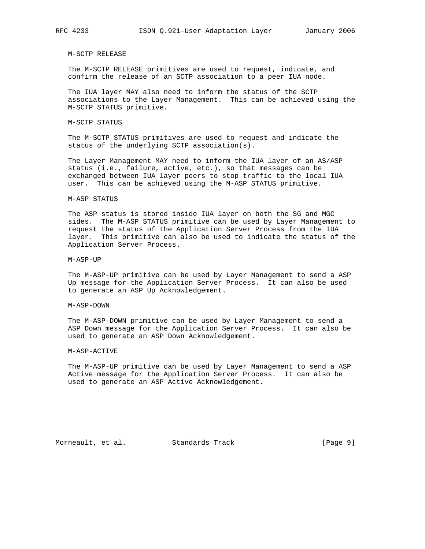M-SCTP RELEASE

 The M-SCTP RELEASE primitives are used to request, indicate, and confirm the release of an SCTP association to a peer IUA node.

 The IUA layer MAY also need to inform the status of the SCTP associations to the Layer Management. This can be achieved using the M-SCTP STATUS primitive.

M-SCTP STATUS

 The M-SCTP STATUS primitives are used to request and indicate the status of the underlying SCTP association(s).

 The Layer Management MAY need to inform the IUA layer of an AS/ASP status (i.e., failure, active, etc.), so that messages can be exchanged between IUA layer peers to stop traffic to the local IUA user. This can be achieved using the M-ASP STATUS primitive.

#### M-ASP STATUS

 The ASP status is stored inside IUA layer on both the SG and MGC sides. The M-ASP STATUS primitive can be used by Layer Management to request the status of the Application Server Process from the IUA layer. This primitive can also be used to indicate the status of the Application Server Process.

M-ASP-UP

 The M-ASP-UP primitive can be used by Layer Management to send a ASP Up message for the Application Server Process. It can also be used to generate an ASP Up Acknowledgement.

M-ASP-DOWN

 The M-ASP-DOWN primitive can be used by Layer Management to send a ASP Down message for the Application Server Process. It can also be used to generate an ASP Down Acknowledgement.

### M-ASP-ACTIVE

 The M-ASP-UP primitive can be used by Layer Management to send a ASP Active message for the Application Server Process. It can also be used to generate an ASP Active Acknowledgement.

Morneault, et al. Standards Track [Page 9]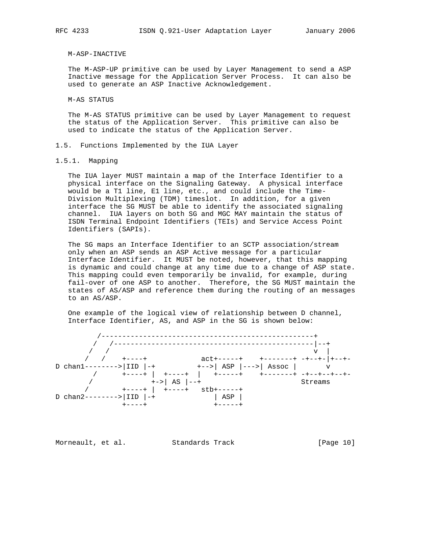#### M-ASP-INACTIVE

 The M-ASP-UP primitive can be used by Layer Management to send a ASP Inactive message for the Application Server Process. It can also be used to generate an ASP Inactive Acknowledgement.

M-AS STATUS

 The M-AS STATUS primitive can be used by Layer Management to request the status of the Application Server. This primitive can also be used to indicate the status of the Application Server.

- 1.5. Functions Implemented by the IUA Layer
- 1.5.1. Mapping

 The IUA layer MUST maintain a map of the Interface Identifier to a physical interface on the Signaling Gateway. A physical interface would be a T1 line, E1 line, etc., and could include the Time- Division Multiplexing (TDM) timeslot. In addition, for a given interface the SG MUST be able to identify the associated signaling channel. IUA layers on both SG and MGC MAY maintain the status of ISDN Terminal Endpoint Identifiers (TEIs) and Service Access Point Identifiers (SAPIs).

 The SG maps an Interface Identifier to an SCTP association/stream only when an ASP sends an ASP Active message for a particular Interface Identifier. It MUST be noted, however, that this mapping is dynamic and could change at any time due to a change of ASP state. This mapping could even temporarily be invalid, for example, during fail-over of one ASP to another. Therefore, the SG MUST maintain the states of AS/ASP and reference them during the routing of an messages to an AS/ASP.

 One example of the logical view of relationship between D channel, Interface Identifier, AS, and ASP in the SG is shown below:



Morneault, et al. Standards Track [Page 10]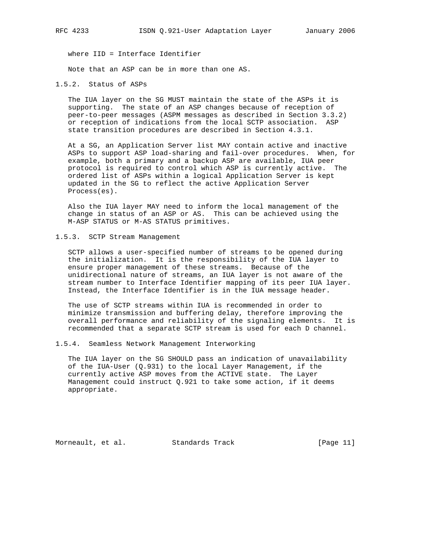where IID = Interface Identifier

Note that an ASP can be in more than one AS.

1.5.2. Status of ASPs

 The IUA layer on the SG MUST maintain the state of the ASPs it is supporting. The state of an ASP changes because of reception of peer-to-peer messages (ASPM messages as described in Section 3.3.2) or reception of indications from the local SCTP association. ASP state transition procedures are described in Section 4.3.1.

 At a SG, an Application Server list MAY contain active and inactive ASPs to support ASP load-sharing and fail-over procedures. When, for example, both a primary and a backup ASP are available, IUA peer protocol is required to control which ASP is currently active. The ordered list of ASPs within a logical Application Server is kept updated in the SG to reflect the active Application Server Process(es).

 Also the IUA layer MAY need to inform the local management of the change in status of an ASP or AS. This can be achieved using the M-ASP STATUS or M-AS STATUS primitives.

1.5.3. SCTP Stream Management

 SCTP allows a user-specified number of streams to be opened during the initialization. It is the responsibility of the IUA layer to ensure proper management of these streams. Because of the unidirectional nature of streams, an IUA layer is not aware of the stream number to Interface Identifier mapping of its peer IUA layer. Instead, the Interface Identifier is in the IUA message header.

 The use of SCTP streams within IUA is recommended in order to minimize transmission and buffering delay, therefore improving the overall performance and reliability of the signaling elements. It is recommended that a separate SCTP stream is used for each D channel.

1.5.4. Seamless Network Management Interworking

 The IUA layer on the SG SHOULD pass an indication of unavailability of the IUA-User (Q.931) to the local Layer Management, if the currently active ASP moves from the ACTIVE state. The Layer Management could instruct Q.921 to take some action, if it deems appropriate.

Morneault, et al. Standards Track [Page 11]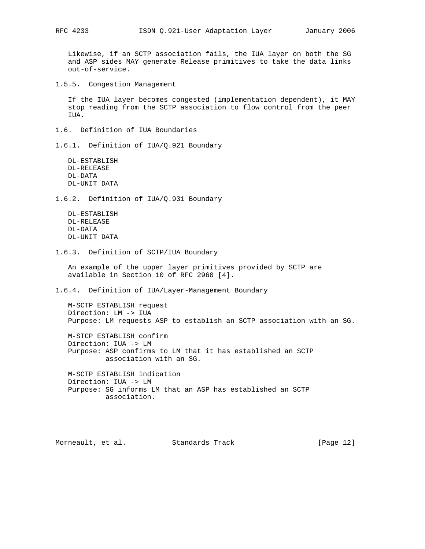Likewise, if an SCTP association fails, the IUA layer on both the SG and ASP sides MAY generate Release primitives to take the data links out-of-service.

1.5.5. Congestion Management

 If the IUA layer becomes congested (implementation dependent), it MAY stop reading from the SCTP association to flow control from the peer IUA.

1.6. Definition of IUA Boundaries

1.6.1. Definition of IUA/Q.921 Boundary

 DL-ESTABLISH DL-RELEASE DL-DATA DL-UNIT DATA

1.6.2. Definition of IUA/Q.931 Boundary

 DL-ESTABLISH DL-RELEASE DL-DATA DL-UNIT DATA

1.6.3. Definition of SCTP/IUA Boundary

 An example of the upper layer primitives provided by SCTP are available in Section 10 of RFC 2960 [4].

1.6.4. Definition of IUA/Layer-Management Boundary

 M-SCTP ESTABLISH request Direction: LM -> IUA Purpose: LM requests ASP to establish an SCTP association with an SG.

 M-STCP ESTABLISH confirm Direction: IUA -> LM Purpose: ASP confirms to LM that it has established an SCTP association with an SG.

 M-SCTP ESTABLISH indication Direction: IUA -> LM Purpose: SG informs LM that an ASP has established an SCTP association.

Morneault, et al. Standards Track [Page 12]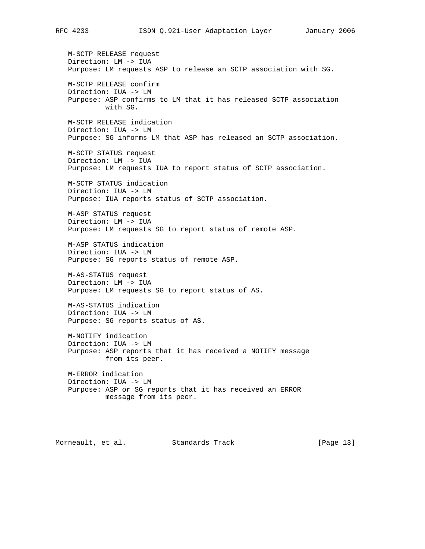M-SCTP RELEASE request Direction: LM -> IUA Purpose: LM requests ASP to release an SCTP association with SG. M-SCTP RELEASE confirm Direction: IUA -> LM Purpose: ASP confirms to LM that it has released SCTP association with SG. M-SCTP RELEASE indication Direction: IUA -> LM Purpose: SG informs LM that ASP has released an SCTP association. M-SCTP STATUS request Direction: LM -> IUA Purpose: LM requests IUA to report status of SCTP association. M-SCTP STATUS indication Direction: IUA -> LM Purpose: IUA reports status of SCTP association. M-ASP STATUS request Direction: LM -> IUA Purpose: LM requests SG to report status of remote ASP. M-ASP STATUS indication Direction: IUA -> LM Purpose: SG reports status of remote ASP. M-AS-STATUS request Direction: LM -> IUA Purpose: LM requests SG to report status of AS. M-AS-STATUS indication Direction: IUA -> LM Purpose: SG reports status of AS. M-NOTIFY indication Direction: IUA -> LM Purpose: ASP reports that it has received a NOTIFY message from its peer. M-ERROR indication Direction: IUA -> LM Purpose: ASP or SG reports that it has received an ERROR message from its peer. Morneault, et al. Standards Track [Page 13]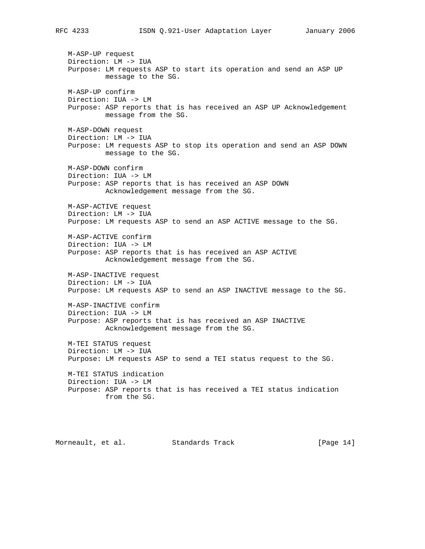M-ASP-UP request Direction: LM -> IUA Purpose: LM requests ASP to start its operation and send an ASP UP message to the SG. M-ASP-UP confirm Direction: IUA -> LM Purpose: ASP reports that is has received an ASP UP Acknowledgement message from the SG. M-ASP-DOWN request Direction: LM -> IUA Purpose: LM requests ASP to stop its operation and send an ASP DOWN message to the SG. M-ASP-DOWN confirm Direction: IUA -> LM Purpose: ASP reports that is has received an ASP DOWN Acknowledgement message from the SG. M-ASP-ACTIVE request Direction: LM -> IUA Purpose: LM requests ASP to send an ASP ACTIVE message to the SG. M-ASP-ACTIVE confirm Direction: IUA -> LM Purpose: ASP reports that is has received an ASP ACTIVE Acknowledgement message from the SG. M-ASP-INACTIVE request Direction: LM -> IUA Purpose: LM requests ASP to send an ASP INACTIVE message to the SG. M-ASP-INACTIVE confirm Direction: IUA -> LM Purpose: ASP reports that is has received an ASP INACTIVE Acknowledgement message from the SG. M-TEI STATUS request Direction: LM -> IUA Purpose: LM requests ASP to send a TEI status request to the SG. M-TEI STATUS indication Direction: IUA -> LM Purpose: ASP reports that is has received a TEI status indication from the SG.

Morneault, et al. Standards Track [Page 14]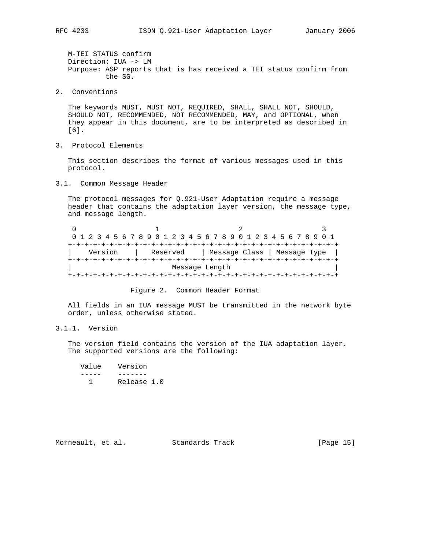M-TEI STATUS confirm Direction: IUA -> LM Purpose: ASP reports that is has received a TEI status confirm from the SG.

2. Conventions

 The keywords MUST, MUST NOT, REQUIRED, SHALL, SHALL NOT, SHOULD, SHOULD NOT, RECOMMENDED, NOT RECOMMENDED, MAY, and OPTIONAL, when they appear in this document, are to be interpreted as described in [6].

3. Protocol Elements

 This section describes the format of various messages used in this protocol.

3.1. Common Message Header

 The protocol messages for Q.921-User Adaptation require a message header that contains the adaptation layer version, the message type, and message length.

0  $1$  2 3 0 1 2 3 4 5 6 7 8 9 0 1 2 3 4 5 6 7 8 9 0 1 2 3 4 5 6 7 8 9 0 1 +-+-+-+-+-+-+-+-+-+-+-+-+-+-+-+-+-+-+-+-+-+-+-+-+-+-+-+-+-+-+-+-+ | Version | Reserved | Message Class | Message Type | +-+-+-+-+-+-+-+-+-+-+-+-+-+-+-+-+-+-+-+-+-+-+-+-+-+-+-+-+-+-+-+-+ Message Length +-+-+-+-+-+-+-+-+-+-+-+-+-+-+-+-+-+-+-+-+-+-+-+-+-+-+-+-+-+-+-+-+



 All fields in an IUA message MUST be transmitted in the network byte order, unless otherwise stated.

3.1.1. Version

 The version field contains the version of the IUA adaptation layer. The supported versions are the following:

| Value | Version     |
|-------|-------------|
|       |             |
|       | Release 1.0 |

Morneault, et al. Standards Track [Page 15]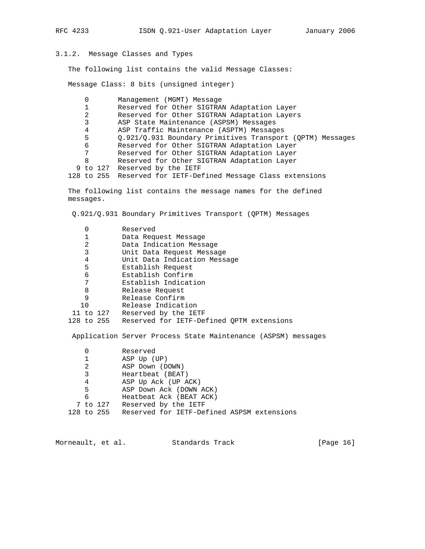# 3.1.2. Message Classes and Types

The following list contains the valid Message Classes:

Message Class: 8 bits (unsigned integer)

| 0 | Management (MGMT) Message                                     |
|---|---------------------------------------------------------------|
|   | Reserved for Other SIGTRAN Adaptation Layer                   |
| 2 | Reserved for Other SIGTRAN Adaptation Layers                  |
| 3 | ASP State Maintenance (ASPSM) Messages                        |
| 4 | ASP Traffic Maintenance (ASPTM) Messages                      |
| 5 | 0.921/0.931 Boundary Primitives Transport (QPTM) Messages     |
| 6 | Reserved for Other SIGTRAN Adaptation Layer                   |
| 7 | Reserved for Other SIGTRAN Adaptation Layer                   |
| 8 | Reserved for Other SIGTRAN Adaptation Layer                   |
|   | 9 to 127 Reserved by the IETF                                 |
|   | 128 to 255 Reserved for IETF-Defined Message Class extensions |
|   |                                                               |

 The following list contains the message names for the defined messages.

Q.921/Q.931 Boundary Primitives Transport (QPTM) Messages

| $\Omega$ | Reserved                                                      |
|----------|---------------------------------------------------------------|
| 1        | Data Request Message                                          |
| 2        | Data Indication Message                                       |
| 3        | Unit Data Request Message                                     |
| 4        | Unit Data Indication Message                                  |
| 5        | Establish Request                                             |
| 6        | Establish Confirm                                             |
| 7        | Establish Indication                                          |
| 8        | Release Request                                               |
| 9        | Release Confirm                                               |
| 10       | Release Indication                                            |
|          | 11 to 127 Reserved by the IETF                                |
|          | 128 to 255 Reserved for IETF-Defined QPTM extensions          |
|          | Application Server Process State Maintenance (ASPSM) messages |
| 0        | Reserved                                                      |
| 1        | ASP Up (UP)                                                   |
| 2        | ASP Down (DOWN)                                               |
| 3        | Heartbeat (BEAT)                                              |
|          |                                                               |

 4 ASP Up Ack (UP ACK) 5 ASP Down Ack (DOWN ACK) 6 Heatbeat Ack (BEAT ACK) 7 to 127 Reserved by the IETF 128 to 255 Reserved for IETF-Defined ASPSM extensions

Morneault, et al. Standards Track [Page 16]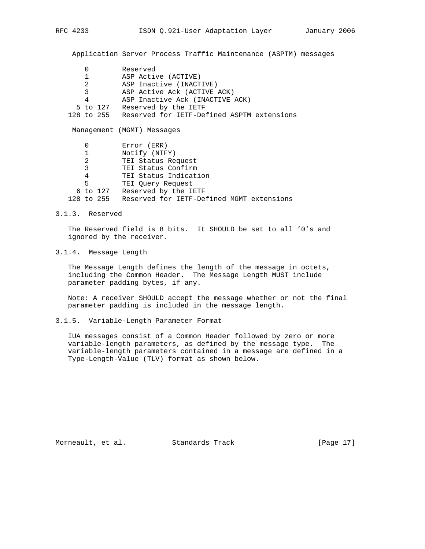Application Server Process Traffic Maintenance (ASPTM) messages

|                | Reserved                                   |
|----------------|--------------------------------------------|
| 1              | ASP Active (ACTIVE)                        |
| 2              | ASP Inactive (INACTIVE)                    |
| 3              | ASP Active Ack (ACTIVE ACK)                |
| 4              | ASP Inactive Ack (INACTIVE ACK)            |
| 5 to 127       | Reserved by the IETF                       |
| 128 to 255     | Reserved for IETF-Defined ASPTM extensions |
|                | Management (MGMT) Messages                 |
|                |                                            |
| 0              | Error (ERR)                                |
| 1              | Notify (NTFY)                              |
| $\overline{2}$ | TEI Status Request                         |
| 3              | TEI Status Confirm                         |
| 4              | TEI Status Indication                      |
| 5              | TEI Query Request                          |
| 6 to 127       | Reserved by the IETF                       |

3.1.3. Reserved

 The Reserved field is 8 bits. It SHOULD be set to all '0's and ignored by the receiver.

3.1.4. Message Length

 The Message Length defines the length of the message in octets, including the Common Header. The Message Length MUST include parameter padding bytes, if any.

 Note: A receiver SHOULD accept the message whether or not the final parameter padding is included in the message length.

3.1.5. Variable-Length Parameter Format

 IUA messages consist of a Common Header followed by zero or more variable-length parameters, as defined by the message type. The variable-length parameters contained in a message are defined in a Type-Length-Value (TLV) format as shown below.

Morneault, et al. Standards Track [Page 17]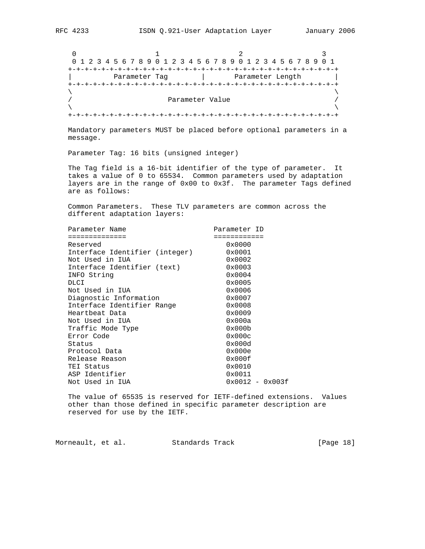0  $1$  2 3 0 1 2 3 4 5 6 7 8 9 0 1 2 3 4 5 6 7 8 9 0 1 2 3 4 5 6 7 8 9 0 1 +-+-+-+-+-+-+-+-+-+-+-+-+-+-+-+-+-+-+-+-+-+-+-+-+-+-+-+-+-+-+-+-+ | Parameter Tag | Parameter Length | +-+-+-+-+-+-+-+-+-+-+-+-+-+-+-+-+-+-+-+-+-+-+-+-+-+-+-+-+-+-+-+-+  $\lambda$  and  $\lambda$  and  $\lambda$  and  $\lambda$  and  $\lambda$  and  $\lambda$  and  $\lambda$  and  $\lambda$  and  $\lambda$  and  $\lambda$  and  $\lambda$  and  $\lambda$  and  $\lambda$  and  $\lambda$  and  $\lambda$  and  $\lambda$  and  $\lambda$  and  $\lambda$  and  $\lambda$  and  $\lambda$  and  $\lambda$  and  $\lambda$  and  $\lambda$  and  $\lambda$  and  $\lambda$  / Parameter Value /  $\lambda$  and  $\lambda$  and  $\lambda$  and  $\lambda$  and  $\lambda$  and  $\lambda$  and  $\lambda$  and  $\lambda$  and  $\lambda$  and  $\lambda$  and  $\lambda$  and  $\lambda$  and  $\lambda$  and  $\lambda$  and  $\lambda$  and  $\lambda$  and  $\lambda$  and  $\lambda$  and  $\lambda$  and  $\lambda$  and  $\lambda$  and  $\lambda$  and  $\lambda$  and  $\lambda$  and  $\lambda$  +-+-+-+-+-+-+-+-+-+-+-+-+-+-+-+-+-+-+-+-+-+-+-+-+-+-+-+-+-+-+-+-+

 Mandatory parameters MUST be placed before optional parameters in a message.

Parameter Tag: 16 bits (unsigned integer)

 The Tag field is a 16-bit identifier of the type of parameter. It takes a value of 0 to 65534. Common parameters used by adaptation layers are in the range of 0x00 to 0x3f. The parameter Tags defined are as follows:

 Common Parameters. These TLV parameters are common across the different adaptation layers:

| Parameter Name                 | Parameter ID      |
|--------------------------------|-------------------|
| ============                   | =========         |
| Reserved                       | 0x0000            |
| Interface Identifier (integer) | 0x0001            |
| Not Used in IUA                | $0 \times 0002$   |
| Interface Identifier (text)    | $0 \times 0003$   |
| INFO String                    | $0 \times 0004$   |
| DLCI                           | 0x0005            |
| Not Used in IUA                | 0x0006            |
| Diagnostic Information         | $0 \times 0007$   |
| Interface Identifier Range     | $0 \times 0008$   |
| Heartbeat Data                 | 0x0009            |
| Not Used in IUA                | 0x000a            |
| Traffic Mode Type              | 0x000b            |
| Error Code                     | 0x000c            |
| Status                         | 0x000d            |
| Protocol Data                  | 0x000e            |
| Release Reason                 | 0x000f            |
| TEI Status                     | 0x0010            |
| ASP Identifier                 | 0x0011            |
| Not Used in IUA                | $0x0012 - 0x003f$ |

 The value of 65535 is reserved for IETF-defined extensions. Values other than those defined in specific parameter description are reserved for use by the IETF.

Morneault, et al. Standards Track [Page 18]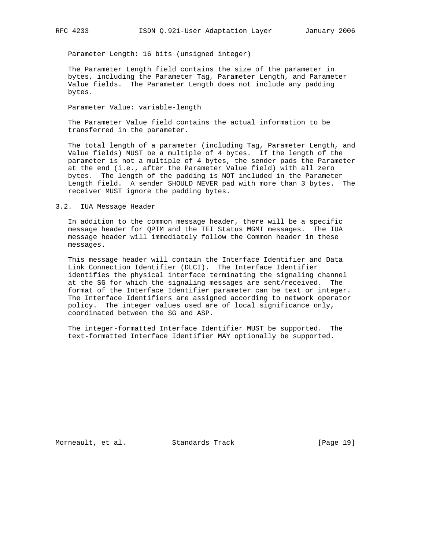Parameter Length: 16 bits (unsigned integer)

 The Parameter Length field contains the size of the parameter in bytes, including the Parameter Tag, Parameter Length, and Parameter Value fields. The Parameter Length does not include any padding bytes.

Parameter Value: variable-length

 The Parameter Value field contains the actual information to be transferred in the parameter.

 The total length of a parameter (including Tag, Parameter Length, and Value fields) MUST be a multiple of 4 bytes. If the length of the parameter is not a multiple of 4 bytes, the sender pads the Parameter at the end (i.e., after the Parameter Value field) with all zero bytes. The length of the padding is NOT included in the Parameter Length field. A sender SHOULD NEVER pad with more than 3 bytes. The receiver MUST ignore the padding bytes.

#### 3.2. IUA Message Header

 In addition to the common message header, there will be a specific message header for QPTM and the TEI Status MGMT messages. The IUA message header will immediately follow the Common header in these messages.

 This message header will contain the Interface Identifier and Data Link Connection Identifier (DLCI). The Interface Identifier identifies the physical interface terminating the signaling channel at the SG for which the signaling messages are sent/received. The format of the Interface Identifier parameter can be text or integer. The Interface Identifiers are assigned according to network operator policy. The integer values used are of local significance only, coordinated between the SG and ASP.

 The integer-formatted Interface Identifier MUST be supported. The text-formatted Interface Identifier MAY optionally be supported.

Morneault, et al. Standards Track [Page 19]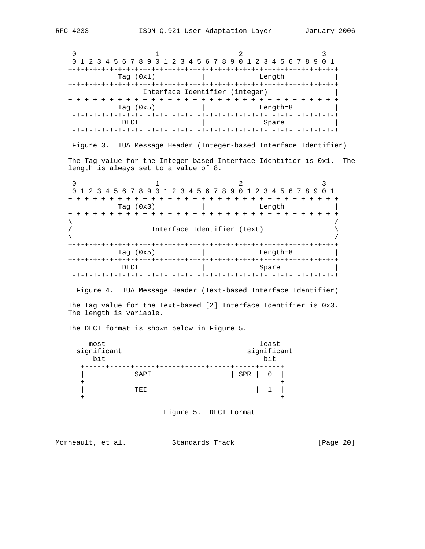0  $1$  2 3 0 1 2 3 4 5 6 7 8 9 0 1 2 3 4 5 6 7 8 9 0 1 2 3 4 5 6 7 8 9 0 1 +-+-+-+-+-+-+-+-+-+-+-+-+-+-+-+-+-+-+-+-+-+-+-+-+-+-+-+-+-+-+-+-+ Tag (0x1) | Length +-+-+-+-+-+-+-+-+-+-+-+-+-+-+-+-+-+-+-+-+-+-+-+-+-+-+-+-+-+-+-+-+ Interface Identifier (integer) +-+-+-+-+-+-+-+-+-+-+-+-+-+-+-+-+-+-+-+-+-+-+-+-+-+-+-+-+-+-+-+-+ | Tag (0x5) | Length=8 | +-+-+-+-+-+-+-+-+-+-+-+-+-+-+-+-+-+-+-+-+-+-+-+-+-+-+-+-+-+-+-+-+ DLCI | Spare | Spare | Spare | Spare | Spare | Spare | Spare | Spare | Spare | Spare | Spare | Spare | Spare | Spare | Spare | Spare | Spare | Spare | Spare | Spare | Spare | Spare | Spare | Spare | Spare | Spare | Spare | +-+-+-+-+-+-+-+-+-+-+-+-+-+-+-+-+-+-+-+-+-+-+-+-+-+-+-+-+-+-+-+-+

Figure 3. IUA Message Header (Integer-based Interface Identifier)

 The Tag value for the Integer-based Interface Identifier is 0x1. The length is always set to a value of 8.

0  $1$  2 3 0 1 2 3 4 5 6 7 8 9 0 1 2 3 4 5 6 7 8 9 0 1 2 3 4 5 6 7 8 9 0 1 +-+-+-+-+-+-+-+-+-+-+-+-+-+-+-+-+-+-+-+-+-+-+-+-+-+-+-+-+-+-+-+-+ Tag (0x3) | Length +-+-+-+-+-+-+-+-+-+-+-+-+-+-+-+-+-+-+-+-+-+-+-+-+-+-+-+-+-+-+-+-+  $\lambda$  /  $\lambda$  /  $\lambda$  /  $\lambda$  /  $\lambda$  /  $\lambda$  /  $\lambda$  /  $\lambda$  /  $\lambda$  /  $\lambda$  /  $\lambda$  /  $\lambda$  /  $\lambda$  /  $\lambda$  /  $\lambda$  /  $\lambda$  /  $\lambda$  /  $\lambda$  /  $\lambda$  /  $\lambda$  /  $\lambda$  /  $\lambda$  /  $\lambda$  /  $\lambda$  /  $\lambda$  /  $\lambda$  /  $\lambda$  /  $\lambda$  /  $\lambda$  /  $\lambda$  /  $\lambda$  /  $\lambda$ Interface Identifier (text)  $\lambda$  /  $\lambda$  /  $\lambda$  /  $\lambda$  /  $\lambda$  /  $\lambda$  /  $\lambda$  /  $\lambda$  /  $\lambda$  /  $\lambda$  /  $\lambda$  /  $\lambda$  /  $\lambda$  /  $\lambda$  /  $\lambda$  /  $\lambda$  /  $\lambda$  /  $\lambda$  /  $\lambda$  /  $\lambda$  /  $\lambda$  /  $\lambda$  /  $\lambda$  /  $\lambda$  /  $\lambda$  /  $\lambda$  /  $\lambda$  /  $\lambda$  /  $\lambda$  /  $\lambda$  /  $\lambda$  /  $\lambda$  +-+-+-+-+-+-+-+-+-+-+-+-+-+-+-+-+-+-+-+-+-+-+-+-+-+-+-+-+-+-+-+-+ Tag (0x5) | Length=8 +-+-+-+-+-+-+-+-+-+-+-+-+-+-+-+-+-+-+-+-+-+-+-+-+-+-+-+-+-+-+-+-+ | DLCI | Spare | +-+-+-+-+-+-+-+-+-+-+-+-+-+-+-+-+-+-+-+-+-+-+-+-+-+-+-+-+-+-+-+-+

Figure 4. IUA Message Header (Text-based Interface Identifier)

 The Tag value for the Text-based [2] Interface Identifier is 0x3. The length is variable.

The DLCI format is shown below in Figure 5.

| most<br>significant<br>bit | least<br>significant<br>bit |
|----------------------------|-----------------------------|
| SAPI                       | SPR<br>$\Omega$             |
| TE T                       |                             |

Figure 5. DLCI Format

Morneault, et al. Standards Track [Page 20]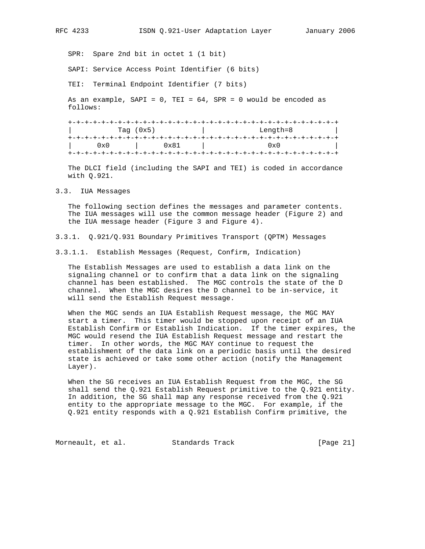SPR: Spare 2nd bit in octet 1 (1 bit)

SAPI: Service Access Point Identifier (6 bits)

TEI: Terminal Endpoint Identifier (7 bits)

 As an example, SAPI = 0, TEI = 64, SPR = 0 would be encoded as follows:

 +-+-+-+-+-+-+-+-+-+-+-+-+-+-+-+-+-+-+-+-+-+-+-+-+-+-+-+-+-+-+-+-+ Tag (0x5) | Length=8 +-+-+-+-+-+-+-+-+-+-+-+-+-+-+-+-+-+-+-+-+-+-+-+-+-+-+-+-+-+-+-+-+ | 0x0 | 0x81 | 0x0 | +-+-+-+-+-+-+-+-+-+-+-+-+-+-+-+-+-+-+-+-+-+-+-+-+-+-+-+-+-+-+-+-+

 The DLCI field (including the SAPI and TEI) is coded in accordance with Q.921.

#### 3.3. IUA Messages

 The following section defines the messages and parameter contents. The IUA messages will use the common message header (Figure 2) and the IUA message header (Figure 3 and Figure 4).

- 3.3.1. Q.921/Q.931 Boundary Primitives Transport (QPTM) Messages
- 3.3.1.1. Establish Messages (Request, Confirm, Indication)

 The Establish Messages are used to establish a data link on the signaling channel or to confirm that a data link on the signaling channel has been established. The MGC controls the state of the D channel. When the MGC desires the D channel to be in-service, it will send the Establish Request message.

 When the MGC sends an IUA Establish Request message, the MGC MAY start a timer. This timer would be stopped upon receipt of an IUA Establish Confirm or Establish Indication. If the timer expires, the MGC would resend the IUA Establish Request message and restart the timer. In other words, the MGC MAY continue to request the establishment of the data link on a periodic basis until the desired state is achieved or take some other action (notify the Management Layer).

 When the SG receives an IUA Establish Request from the MGC, the SG shall send the Q.921 Establish Request primitive to the Q.921 entity. In addition, the SG shall map any response received from the Q.921 entity to the appropriate message to the MGC. For example, if the Q.921 entity responds with a Q.921 Establish Confirm primitive, the

Morneault, et al. Standards Track [Page 21]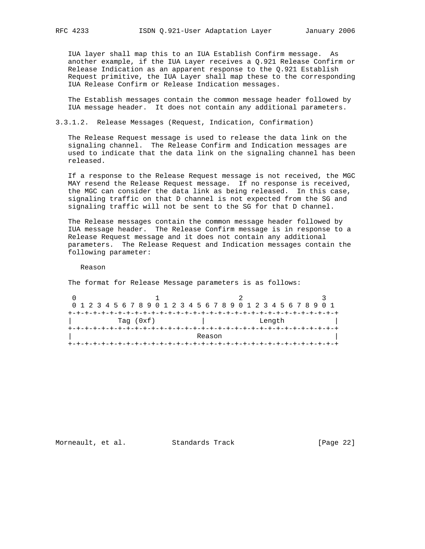IUA layer shall map this to an IUA Establish Confirm message. As another example, if the IUA Layer receives a Q.921 Release Confirm or Release Indication as an apparent response to the Q.921 Establish Request primitive, the IUA Layer shall map these to the corresponding IUA Release Confirm or Release Indication messages.

 The Establish messages contain the common message header followed by IUA message header. It does not contain any additional parameters.

3.3.1.2. Release Messages (Request, Indication, Confirmation)

 The Release Request message is used to release the data link on the signaling channel. The Release Confirm and Indication messages are used to indicate that the data link on the signaling channel has been released.

 If a response to the Release Request message is not received, the MGC MAY resend the Release Request message. If no response is received, the MGC can consider the data link as being released. In this case, signaling traffic on that D channel is not expected from the SG and signaling traffic will not be sent to the SG for that D channel.

 The Release messages contain the common message header followed by IUA message header. The Release Confirm message is in response to a Release Request message and it does not contain any additional parameters. The Release Request and Indication messages contain the following parameter:

Reason

The format for Release Message parameters is as follows:

| 0 1 2 3 4 5 6 7 8 9 0 1 2 3 4 5 6 7 8 9 0 1 2 3 4 5 6 7 8 9 0 1 |  |  |  |  |  |  |        |  |  |  |                                  |  |  |  |  |  |  |  |  |  |  |  |  |  |
|-----------------------------------------------------------------|--|--|--|--|--|--|--------|--|--|--|----------------------------------|--|--|--|--|--|--|--|--|--|--|--|--|--|
|                                                                 |  |  |  |  |  |  |        |  |  |  |                                  |  |  |  |  |  |  |  |  |  |  |  |  |  |
| Tag $(0xf)$                                                     |  |  |  |  |  |  | Length |  |  |  |                                  |  |  |  |  |  |  |  |  |  |  |  |  |  |
|                                                                 |  |  |  |  |  |  |        |  |  |  | --+-+-+-+-+-+-+-+-+-+-+-+-+-+-+- |  |  |  |  |  |  |  |  |  |  |  |  |  |
| Reason                                                          |  |  |  |  |  |  |        |  |  |  |                                  |  |  |  |  |  |  |  |  |  |  |  |  |  |
|                                                                 |  |  |  |  |  |  |        |  |  |  |                                  |  |  |  |  |  |  |  |  |  |  |  |  |  |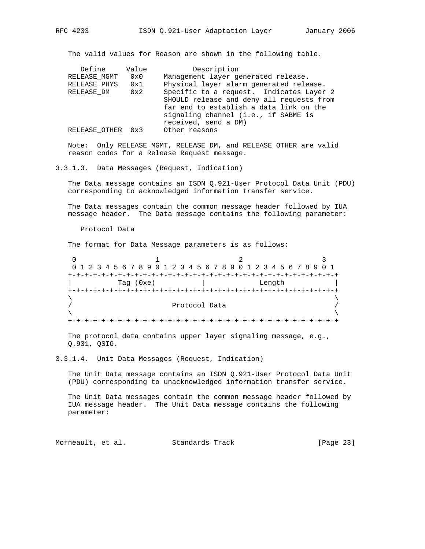The valid values for Reason are shown in the following table.

| Define        | Value | Description                               |
|---------------|-------|-------------------------------------------|
| RELEASE MGMT  | 0x0   | Management layer generated release.       |
| RELEASE PHYS  | 0x1   | Physical layer alarm generated release.   |
| RELEASE DM    | 0x2   | Specific to a request. Indicates Layer 2  |
|               |       | SHOULD release and deny all requests from |
|               |       | far end to establish a data link on the   |
|               |       | signaling channel (i.e., if SABME is      |
|               |       | received, send a DM)                      |
| RELEASE OTHER | 0x3   | Other reasons                             |
|               |       |                                           |

 Note: Only RELEASE\_MGMT, RELEASE\_DM, and RELEASE\_OTHER are valid reason codes for a Release Request message.

3.3.1.3. Data Messages (Request, Indication)

 The Data message contains an ISDN Q.921-User Protocol Data Unit (PDU) corresponding to acknowledged information transfer service.

 The Data messages contain the common message header followed by IUA message header. The Data message contains the following parameter:

Protocol Data

The format for Data Message parameters is as follows:

0  $1$  2 3 0 1 2 3 4 5 6 7 8 9 0 1 2 3 4 5 6 7 8 9 0 1 2 3 4 5 6 7 8 9 0 1 +-+-+-+-+-+-+-+-+-+-+-+-+-+-+-+-+-+-+-+-+-+-+-+-+-+-+-+-+-+-+-+-+ Tag (0xe) | Length +-+-+-+-+-+-+-+-+-+-+-+-+-+-+-+-+-+-+-+-+-+-+-+-+-+-+-+-+-+-+-+-+  $\lambda$  and  $\lambda$  and  $\lambda$  and  $\lambda$  and  $\lambda$  and  $\lambda$  and  $\lambda$  and  $\lambda$  and  $\lambda$  and  $\lambda$  and  $\lambda$  and  $\lambda$  and  $\lambda$  and  $\lambda$  and  $\lambda$  and  $\lambda$  and  $\lambda$  and  $\lambda$  and  $\lambda$  and  $\lambda$  and  $\lambda$  and  $\lambda$  and  $\lambda$  and  $\lambda$  and  $\lambda$  / Protocol Data /  $\lambda$  and  $\lambda$  and  $\lambda$  and  $\lambda$  and  $\lambda$  and  $\lambda$  and  $\lambda$  and  $\lambda$  and  $\lambda$  and  $\lambda$  and  $\lambda$  and  $\lambda$  and  $\lambda$  and  $\lambda$  and  $\lambda$  and  $\lambda$  and  $\lambda$  and  $\lambda$  and  $\lambda$  and  $\lambda$  and  $\lambda$  and  $\lambda$  and  $\lambda$  and  $\lambda$  and  $\lambda$  +-+-+-+-+-+-+-+-+-+-+-+-+-+-+-+-+-+-+-+-+-+-+-+-+-+-+-+-+-+-+-+-+

 The protocol data contains upper layer signaling message, e.g., Q.931, QSIG.

3.3.1.4. Unit Data Messages (Request, Indication)

 The Unit Data message contains an ISDN Q.921-User Protocol Data Unit (PDU) corresponding to unacknowledged information transfer service.

 The Unit Data messages contain the common message header followed by IUA message header. The Unit Data message contains the following parameter:

Morneault, et al. Standards Track [Page 23]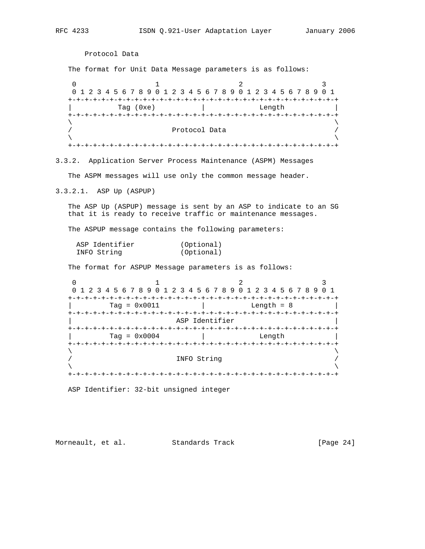Protocol Data The format for Unit Data Message parameters is as follows: 0  $1$  2 3 0 1 2 3 4 5 6 7 8 9 0 1 2 3 4 5 6 7 8 9 0 1 2 3 4 5 6 7 8 9 0 1 +-+-+-+-+-+-+-+-+-+-+-+-+-+-+-+-+-+-+-+-+-+-+-+-+-+-+-+-+-+-+-+-+  $\text{Tag } (0 \text{xe})$  | +-+-+-+-+-+-+-+-+-+-+-+-+-+-+-+-+-+-+-+-+-+-+-+-+-+-+-+-+-+-+-+-+  $\lambda$  and  $\lambda$  and  $\lambda$  and  $\lambda$  and  $\lambda$  and  $\lambda$  and  $\lambda$  and  $\lambda$  and  $\lambda$  and  $\lambda$  and  $\lambda$  and  $\lambda$  and  $\lambda$  and  $\lambda$  and  $\lambda$  and  $\lambda$  and  $\lambda$  and  $\lambda$  and  $\lambda$  and  $\lambda$  and  $\lambda$  and  $\lambda$  and  $\lambda$  and  $\lambda$  and  $\lambda$  Protocol Data  $\lambda$  and  $\lambda$  and  $\lambda$  and  $\lambda$  and  $\lambda$  and  $\lambda$  and  $\lambda$  and  $\lambda$  and  $\lambda$  and  $\lambda$  and  $\lambda$  and  $\lambda$  and  $\lambda$  and  $\lambda$  and  $\lambda$  and  $\lambda$  and  $\lambda$  and  $\lambda$  and  $\lambda$  and  $\lambda$  and  $\lambda$  and  $\lambda$  and  $\lambda$  and  $\lambda$  and  $\lambda$  +-+-+-+-+-+-+-+-+-+-+-+-+-+-+-+-+-+-+-+-+-+-+-+-+-+-+-+-+-+-+-+-+ 3.3.2. Application Server Process Maintenance (ASPM) Messages The ASPM messages will use only the common message header. 3.3.2.1. ASP Up (ASPUP) The ASP Up (ASPUP) message is sent by an ASP to indicate to an SG that it is ready to receive traffic or maintenance messages. The ASPUP message contains the following parameters: ASP Identifier (Optional) INFO String (Optional) The format for ASPUP Message parameters is as follows: 0  $1$  2 3 0 1 2 3 4 5 6 7 8 9 0 1 2 3 4 5 6 7 8 9 0 1 2 3 4 5 6 7 8 9 0 1 +-+-+-+-+-+-+-+-+-+-+-+-+-+-+-+-+-+-+-+-+-+-+-+-+-+-+-+-+-+-+-+-+ | Tag = 0x0011 | Length = 8 | +-+-+-+-+-+-+-+-+-+-+-+-+-+-+-+-+-+-+-+-+-+-+-+-+-+-+-+-+-+-+-+-+ ASP Identifier +-+-+-+-+-+-+-+-+-+-+-+-+-+-+-+-+-+-+-+-+-+-+-+-+-+-+-+-+-+-+-+-+ | Tag = 0x0004 | Length | +-+-+-+-+-+-+-+-+-+-+-+-+-+-+-+-+-+-+-+-+-+-+-+-+-+-+-+-+-+-+-+-+  $\lambda$  and  $\lambda$  and  $\lambda$  and  $\lambda$  and  $\lambda$  and  $\lambda$  and  $\lambda$  and  $\lambda$  and  $\lambda$  and  $\lambda$  and  $\lambda$  and  $\lambda$  and  $\lambda$  and  $\lambda$  and  $\lambda$  and  $\lambda$  and  $\lambda$  and  $\lambda$  and  $\lambda$  and  $\lambda$  and  $\lambda$  and  $\lambda$  and  $\lambda$  and  $\lambda$  and  $\lambda$  INFO String  $\lambda$  and  $\lambda$  and  $\lambda$  and  $\lambda$  and  $\lambda$  and  $\lambda$  and  $\lambda$  and  $\lambda$  and  $\lambda$  and  $\lambda$  and  $\lambda$  and  $\lambda$  and  $\lambda$  and  $\lambda$  and  $\lambda$  and  $\lambda$  and  $\lambda$  and  $\lambda$  and  $\lambda$  and  $\lambda$  and  $\lambda$  and  $\lambda$  and  $\lambda$  and  $\lambda$  and  $\lambda$  +-+-+-+-+-+-+-+-+-+-+-+-+-+-+-+-+-+-+-+-+-+-+-+-+-+-+-+-+-+-+-+-+ ASP Identifier: 32-bit unsigned integer Morneault, et al. Standards Track [Page 24]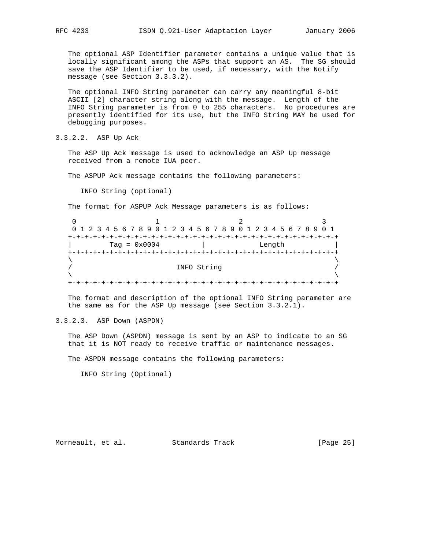The optional ASP Identifier parameter contains a unique value that is locally significant among the ASPs that support an AS. The SG should save the ASP Identifier to be used, if necessary, with the Notify message (see Section 3.3.3.2).

 The optional INFO String parameter can carry any meaningful 8-bit ASCII [2] character string along with the message. Length of the INFO String parameter is from 0 to 255 characters. No procedures are presently identified for its use, but the INFO String MAY be used for debugging purposes.

3.3.2.2. ASP Up Ack

 The ASP Up Ack message is used to acknowledge an ASP Up message received from a remote IUA peer.

The ASPUP Ack message contains the following parameters:

INFO String (optional)

The format for ASPUP Ack Message parameters is as follows:

| 0 1 2 3 4 5 6 7 8 9 0 1 2 3 4 5 6 7 8 9 0 1 2 3 4 5 6 7 8 9 0 1 |  |        |  |  |  |  |  |  |  |  |  |  |
|-----------------------------------------------------------------|--|--------|--|--|--|--|--|--|--|--|--|--|
|                                                                 |  |        |  |  |  |  |  |  |  |  |  |  |
| Tag = $0 \times 0004$                                           |  | Length |  |  |  |  |  |  |  |  |  |  |
|                                                                 |  |        |  |  |  |  |  |  |  |  |  |  |
|                                                                 |  |        |  |  |  |  |  |  |  |  |  |  |
| INFO String                                                     |  |        |  |  |  |  |  |  |  |  |  |  |
|                                                                 |  |        |  |  |  |  |  |  |  |  |  |  |
|                                                                 |  |        |  |  |  |  |  |  |  |  |  |  |

 The format and description of the optional INFO String parameter are the same as for the ASP Up message (see Section 3.3.2.1).

3.3.2.3. ASP Down (ASPDN)

 The ASP Down (ASPDN) message is sent by an ASP to indicate to an SG that it is NOT ready to receive traffic or maintenance messages.

The ASPDN message contains the following parameters:

INFO String (Optional)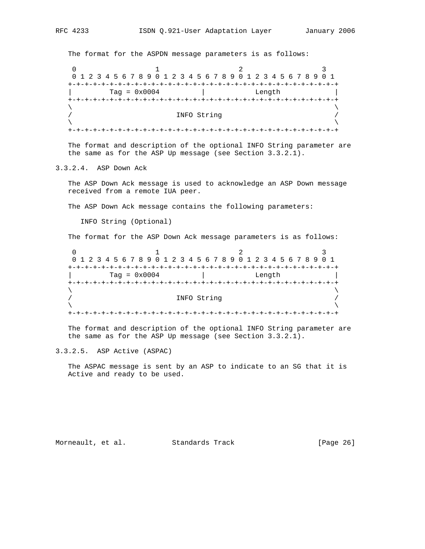The format for the ASPDN message parameters is as follows:

0  $1$  2 3 0 1 2 3 4 5 6 7 8 9 0 1 2 3 4 5 6 7 8 9 0 1 2 3 4 5 6 7 8 9 0 1 +-+-+-+-+-+-+-+-+-+-+-+-+-+-+-+-+-+-+-+-+-+-+-+-+-+-+-+-+-+-+-+-+ | Tag = 0x0004 | Length | +-+-+-+-+-+-+-+-+-+-+-+-+-+-+-+-+-+-+-+-+-+-+-+-+-+-+-+-+-+-+-+-+  $\lambda$  and  $\lambda$  and  $\lambda$  and  $\lambda$  and  $\lambda$  and  $\lambda$  and  $\lambda$  and  $\lambda$  and  $\lambda$  and  $\lambda$  and  $\lambda$  and  $\lambda$  and  $\lambda$  and  $\lambda$  and  $\lambda$  and  $\lambda$  and  $\lambda$  and  $\lambda$  and  $\lambda$  and  $\lambda$  and  $\lambda$  and  $\lambda$  and  $\lambda$  and  $\lambda$  and  $\lambda$  / INFO String /  $\lambda$  and  $\lambda$  and  $\lambda$  and  $\lambda$  and  $\lambda$  and  $\lambda$  and  $\lambda$  and  $\lambda$  and  $\lambda$  and  $\lambda$  and  $\lambda$  and  $\lambda$  and  $\lambda$  and  $\lambda$  and  $\lambda$  and  $\lambda$  and  $\lambda$  and  $\lambda$  and  $\lambda$  and  $\lambda$  and  $\lambda$  and  $\lambda$  and  $\lambda$  and  $\lambda$  and  $\lambda$  +-+-+-+-+-+-+-+-+-+-+-+-+-+-+-+-+-+-+-+-+-+-+-+-+-+-+-+-+-+-+-+-+

 The format and description of the optional INFO String parameter are the same as for the ASP Up message (see Section 3.3.2.1).

3.3.2.4. ASP Down Ack

 The ASP Down Ack message is used to acknowledge an ASP Down message received from a remote IUA peer.

The ASP Down Ack message contains the following parameters:

INFO String (Optional)

The format for the ASP Down Ack message parameters is as follows:

| 0 1 2 3 4 5 6 7 8 9 0 1 2 3 4 5 6 7 8 9 0 1 2 3 4 5 6 7 8 9 0 1 |        |  |  |  |  |  |  |  |  |  |  |  |  |
|-----------------------------------------------------------------|--------|--|--|--|--|--|--|--|--|--|--|--|--|
|                                                                 |        |  |  |  |  |  |  |  |  |  |  |  |  |
| $Taq = 0x0004$                                                  | Length |  |  |  |  |  |  |  |  |  |  |  |  |
|                                                                 |        |  |  |  |  |  |  |  |  |  |  |  |  |
|                                                                 |        |  |  |  |  |  |  |  |  |  |  |  |  |
| INFO String                                                     |        |  |  |  |  |  |  |  |  |  |  |  |  |
|                                                                 |        |  |  |  |  |  |  |  |  |  |  |  |  |
|                                                                 |        |  |  |  |  |  |  |  |  |  |  |  |  |

 The format and description of the optional INFO String parameter are the same as for the ASP Up message (see Section 3.3.2.1).

3.3.2.5. ASP Active (ASPAC)

 The ASPAC message is sent by an ASP to indicate to an SG that it is Active and ready to be used.

Morneault, et al. Standards Track [Page 26]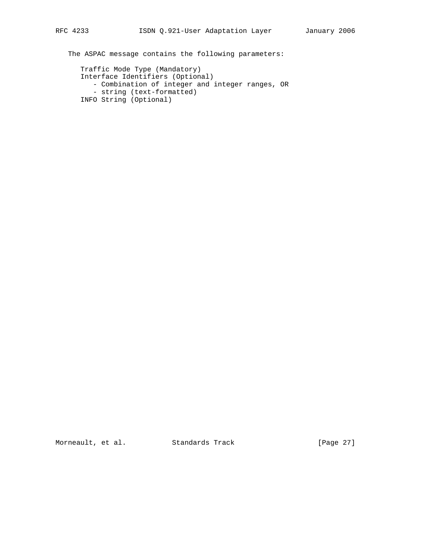The ASPAC message contains the following parameters:

 Traffic Mode Type (Mandatory) Interface Identifiers (Optional) - Combination of integer and integer ranges, OR - string (text-formatted) INFO String (Optional)

Morneault, et al. Standards Track [Page 27]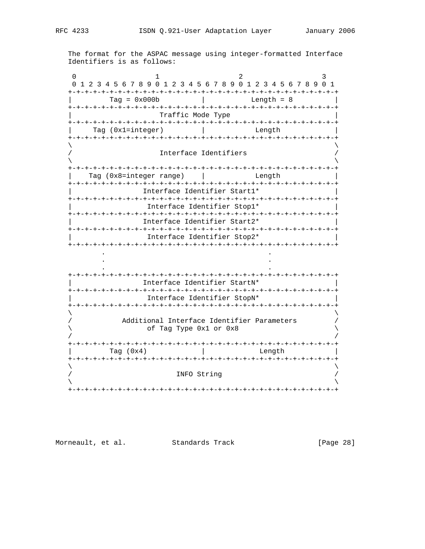The format for the ASPAC message using integer-formatted Interface Identifiers is as follows:

0  $1$  2 3 0 1 2 3 4 5 6 7 8 9 0 1 2 3 4 5 6 7 8 9 0 1 2 3 4 5 6 7 8 9 0 1 +-+-+-+-+-+-+-+-+-+-+-+-+-+-+-+-+-+-+-+-+-+-+-+-+-+-+-+-+-+-+-+-+ | Tag = 0x000b | Length = 8 | +-+-+-+-+-+-+-+-+-+-+-+-+-+-+-+-+-+-+-+-+-+-+-+-+-+-+-+-+-+-+-+-+ | Traffic Mode Type | +-+-+-+-+-+-+-+-+-+-+-+-+-+-+-+-+-+-+-+-+-+-+-+-+-+-+-+-+-+-+-+-+ Tag (0x1=integer) | Length +-+-+-+-+-+-+-+-+-+-+-+-+-+-+-+-+-+-+-+-+-+-+-+-+-+-+-+-+-+-+-+-+  $\lambda$  and  $\lambda$  and  $\lambda$  and  $\lambda$  and  $\lambda$  and  $\lambda$  and  $\lambda$  and  $\lambda$  and  $\lambda$  and  $\lambda$  and  $\lambda$  and  $\lambda$  and  $\lambda$  and  $\lambda$  and  $\lambda$  and  $\lambda$  and  $\lambda$  and  $\lambda$  and  $\lambda$  and  $\lambda$  and  $\lambda$  and  $\lambda$  and  $\lambda$  and  $\lambda$  and  $\lambda$  Interface Identifiers  $\lambda$  and  $\lambda$  and  $\lambda$  and  $\lambda$  and  $\lambda$  and  $\lambda$  and  $\lambda$  and  $\lambda$  and  $\lambda$  and  $\lambda$  and  $\lambda$  and  $\lambda$  and  $\lambda$  and  $\lambda$  and  $\lambda$  and  $\lambda$  and  $\lambda$  and  $\lambda$  and  $\lambda$  and  $\lambda$  and  $\lambda$  and  $\lambda$  and  $\lambda$  and  $\lambda$  and  $\lambda$  +-+-+-+-+-+-+-+-+-+-+-+-+-+-+-+-+-+-+-+-+-+-+-+-+-+-+-+-+-+-+-+-+ Tag (0x8=integer range) | Changth | Length +-+-+-+-+-+-+-+-+-+-+-+-+-+-+-+-+-+-+-+-+-+-+-+-+-+-+-+-+-+-+-+-+ | Interface Identifier Start1\* | +-+-+-+-+-+-+-+-+-+-+-+-+-+-+-+-+-+-+-+-+-+-+-+-+-+-+-+-+-+-+-+-+ | Interface Identifier Stop1\* | +-+-+-+-+-+-+-+-+-+-+-+-+-+-+-+-+-+-+-+-+-+-+-+-+-+-+-+-+-+-+-+-+ | Interface Identifier Start2\* | +-+-+-+-+-+-+-+-+-+-+-+-+-+-+-+-+-+-+-+-+-+-+-+-+-+-+-+-+-+-+-+-+ | Interface Identifier Stop2\* | +-+-+-+-+-+-+-+-+-+-+-+-+-+-+-+-+-+-+-+-+-+-+-+-+-+-+-+-+-+-+-+-+ . . . . . . +-+-+-+-+-+-+-+-+-+-+-+-+-+-+-+-+-+-+-+-+-+-+-+-+-+-+-+-+-+-+-+-+ | Interface Identifier StartN\* | +-+-+-+-+-+-+-+-+-+-+-+-+-+-+-+-+-+-+-+-+-+-+-+-+-+-+-+-+-+-+-+-+ | Interface Identifier StopN\* | +-+-+-+-+-+-+-+-+-+-+-+-+-+-+-+-+-+-+-+-+-+-+-+-+-+-+-+-+-+-+-+-+  $\lambda$  and  $\lambda$  and  $\lambda$  and  $\lambda$  and  $\lambda$  and  $\lambda$  and  $\lambda$  and  $\lambda$  and  $\lambda$  and  $\lambda$  and  $\lambda$  and  $\lambda$  and  $\lambda$  and  $\lambda$  and  $\lambda$  and  $\lambda$  and  $\lambda$  and  $\lambda$  and  $\lambda$  and  $\lambda$  and  $\lambda$  and  $\lambda$  and  $\lambda$  and  $\lambda$  and  $\lambda$  Additional Interface Identifier Parameters \ of Tag Type 0x1 or 0x8 \ / / +-+-+-+-+-+-+-+-+-+-+-+-+-+-+-+-+-+-+-+-+-+-+-+-+-+-+-+-+-+-+-+-+ Tag (0x4)  $\qquad \qquad \vert$  Length +-+-+-+-+-+-+-+-+-+-+-+-+-+-+-+-+-+-+-+-+-+-+-+-+-+-+-+-+-+-+-+-+  $\lambda$  and  $\lambda$  and  $\lambda$  and  $\lambda$  and  $\lambda$  and  $\lambda$  and  $\lambda$  and  $\lambda$  and  $\lambda$  and  $\lambda$  and  $\lambda$  and  $\lambda$  and  $\lambda$  and  $\lambda$  and  $\lambda$  and  $\lambda$  and  $\lambda$  and  $\lambda$  and  $\lambda$  and  $\lambda$  and  $\lambda$  and  $\lambda$  and  $\lambda$  and  $\lambda$  and  $\lambda$  INFO String  $\lambda$  and  $\lambda$  and  $\lambda$  and  $\lambda$  and  $\lambda$  and  $\lambda$  and  $\lambda$  and  $\lambda$  and  $\lambda$  and  $\lambda$  and  $\lambda$  and  $\lambda$  and  $\lambda$  and  $\lambda$  and  $\lambda$  and  $\lambda$  and  $\lambda$  and  $\lambda$  and  $\lambda$  and  $\lambda$  and  $\lambda$  and  $\lambda$  and  $\lambda$  and  $\lambda$  and  $\lambda$  +-+-+-+-+-+-+-+-+-+-+-+-+-+-+-+-+-+-+-+-+-+-+-+-+-+-+-+-+-+-+-+-+

Morneault, et al. Standards Track [Page 28]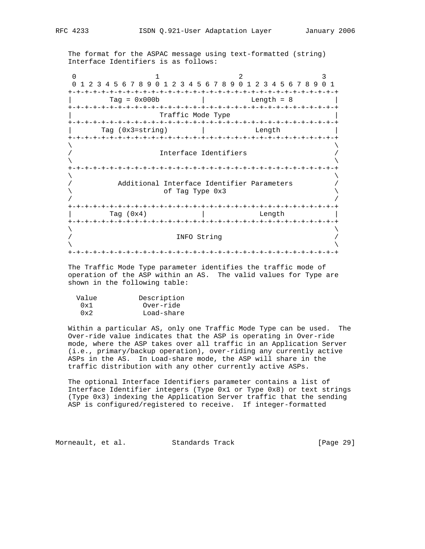The format for the ASPAC message using text-formatted (string) Interface Identifiers is as follows:

0  $1$  2 3 0 1 2 3 4 5 6 7 8 9 0 1 2 3 4 5 6 7 8 9 0 1 2 3 4 5 6 7 8 9 0 1 +-+-+-+-+-+-+-+-+-+-+-+-+-+-+-+-+-+-+-+-+-+-+-+-+-+-+-+-+-+-+-+-+ | Tag = 0x000b | Length = 8 | +-+-+-+-+-+-+-+-+-+-+-+-+-+-+-+-+-+-+-+-+-+-+-+-+-+-+-+-+-+-+-+-+ Traffic Mode Type +-+-+-+-+-+-+-+-+-+-+-+-+-+-+-+-+-+-+-+-+-+-+-+-+-+-+-+-+-+-+-+-+ Tag (0x3=string) | Length +-+-+-+-+-+-+-+-+-+-+-+-+-+-+-+-+-+-+-+-+-+-+-+-+-+-+-+-+-+-+-+-+  $\lambda$  and  $\lambda$  and  $\lambda$  and  $\lambda$  and  $\lambda$  and  $\lambda$  and  $\lambda$  and  $\lambda$  and  $\lambda$  and  $\lambda$  and  $\lambda$  and  $\lambda$  and  $\lambda$  and  $\lambda$  and  $\lambda$  and  $\lambda$  and  $\lambda$  and  $\lambda$  and  $\lambda$  and  $\lambda$  and  $\lambda$  and  $\lambda$  and  $\lambda$  and  $\lambda$  and  $\lambda$  Interface Identifiers  $\lambda$  and  $\lambda$  and  $\lambda$  and  $\lambda$  and  $\lambda$  and  $\lambda$  and  $\lambda$  and  $\lambda$  and  $\lambda$  and  $\lambda$  and  $\lambda$  and  $\lambda$  and  $\lambda$  and  $\lambda$  and  $\lambda$  and  $\lambda$  and  $\lambda$  and  $\lambda$  and  $\lambda$  and  $\lambda$  and  $\lambda$  and  $\lambda$  and  $\lambda$  and  $\lambda$  and  $\lambda$  +-+-+-+-+-+-+-+-+-+-+-+-+-+-+-+-+-+-+-+-+-+-+-+-+-+-+-+-+-+-+-+-+  $\lambda$  and  $\lambda$  and  $\lambda$  and  $\lambda$  and  $\lambda$  and  $\lambda$  and  $\lambda$  and  $\lambda$  and  $\lambda$  and  $\lambda$  and  $\lambda$  and  $\lambda$  and  $\lambda$  and  $\lambda$  and  $\lambda$  and  $\lambda$  and  $\lambda$  and  $\lambda$  and  $\lambda$  and  $\lambda$  and  $\lambda$  and  $\lambda$  and  $\lambda$  and  $\lambda$  and  $\lambda$  Additional Interface Identifier Parameters  $\setminus$  / / +-+-+-+-+-+-+-+-+-+-+-+-+-+-+-+-+-+-+-+-+-+-+-+-+-+-+-+-+-+-+-+-+ | Tag (0x4) | Length | +-+-+-+-+-+-+-+-+-+-+-+-+-+-+-+-+-+-+-+-+-+-+-+-+-+-+-+-+-+-+-+-+  $\lambda$  and  $\lambda$  and  $\lambda$  and  $\lambda$  and  $\lambda$  and  $\lambda$  and  $\lambda$  and  $\lambda$  and  $\lambda$  and  $\lambda$  and  $\lambda$  and  $\lambda$  and  $\lambda$  and  $\lambda$  and  $\lambda$  and  $\lambda$  and  $\lambda$  and  $\lambda$  and  $\lambda$  and  $\lambda$  and  $\lambda$  and  $\lambda$  and  $\lambda$  and  $\lambda$  and  $\lambda$  / INFO String /  $\lambda$  and  $\lambda$  and  $\lambda$  and  $\lambda$  and  $\lambda$  and  $\lambda$  and  $\lambda$  and  $\lambda$  and  $\lambda$  and  $\lambda$  and  $\lambda$  and  $\lambda$  and  $\lambda$  and  $\lambda$  and  $\lambda$  and  $\lambda$  and  $\lambda$  and  $\lambda$  and  $\lambda$  and  $\lambda$  and  $\lambda$  and  $\lambda$  and  $\lambda$  and  $\lambda$  and  $\lambda$  +-+-+-+-+-+-+-+-+-+-+-+-+-+-+-+-+-+-+-+-+-+-+-+-+-+-+-+-+-+-+-+-+

 The Traffic Mode Type parameter identifies the traffic mode of operation of the ASP within an AS. The valid values for Type are shown in the following table:

| Value | Description |
|-------|-------------|
| 0x1   | Over-ride   |
| 0x2   | Load-share  |

 Within a particular AS, only one Traffic Mode Type can be used. The Over-ride value indicates that the ASP is operating in Over-ride mode, where the ASP takes over all traffic in an Application Server (i.e., primary/backup operation), over-riding any currently active ASPs in the AS. In Load-share mode, the ASP will share in the traffic distribution with any other currently active ASPs.

 The optional Interface Identifiers parameter contains a list of Interface Identifier integers (Type 0x1 or Type 0x8) or text strings (Type 0x3) indexing the Application Server traffic that the sending ASP is configured/registered to receive. If integer-formatted

Morneault, et al. Standards Track [Page 29]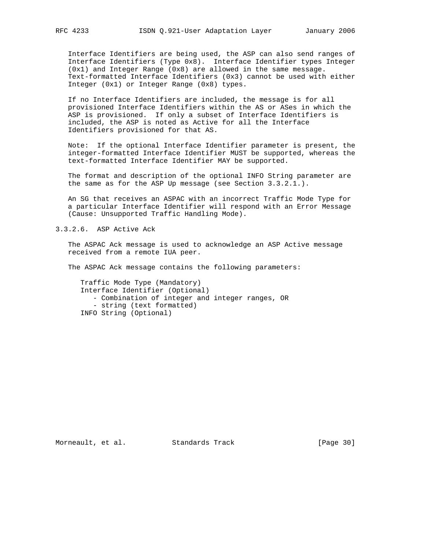Interface Identifiers are being used, the ASP can also send ranges of Interface Identifiers (Type 0x8). Interface Identifier types Integer (0x1) and Integer Range (0x8) are allowed in the same message. Text-formatted Interface Identifiers (0x3) cannot be used with either Integer (0x1) or Integer Range (0x8) types.

 If no Interface Identifiers are included, the message is for all provisioned Interface Identifiers within the AS or ASes in which the ASP is provisioned. If only a subset of Interface Identifiers is included, the ASP is noted as Active for all the Interface Identifiers provisioned for that AS.

 Note: If the optional Interface Identifier parameter is present, the integer-formatted Interface Identifier MUST be supported, whereas the text-formatted Interface Identifier MAY be supported.

 The format and description of the optional INFO String parameter are the same as for the ASP Up message (see Section 3.3.2.1.).

 An SG that receives an ASPAC with an incorrect Traffic Mode Type for a particular Interface Identifier will respond with an Error Message (Cause: Unsupported Traffic Handling Mode).

3.3.2.6. ASP Active Ack

 The ASPAC Ack message is used to acknowledge an ASP Active message received from a remote IUA peer.

The ASPAC Ack message contains the following parameters:

 Traffic Mode Type (Mandatory) Interface Identifier (Optional) - Combination of integer and integer ranges, OR - string (text formatted) INFO String (Optional)

Morneault, et al. Standards Track [Page 30]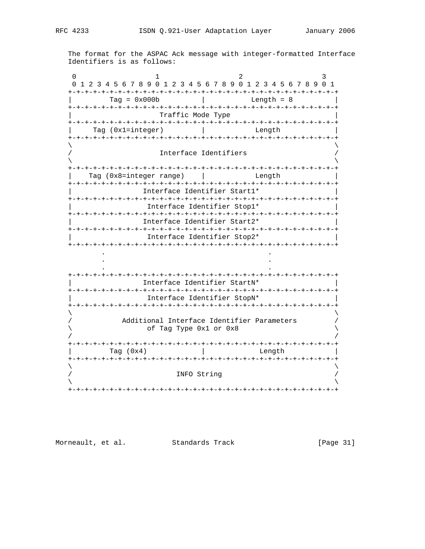The format for the ASPAC Ack message with integer-formatted Interface Identifiers is as follows:

0  $1$  2 3 0 1 2 3 4 5 6 7 8 9 0 1 2 3 4 5 6 7 8 9 0 1 2 3 4 5 6 7 8 9 0 1 +-+-+-+-+-+-+-+-+-+-+-+-+-+-+-+-+-+-+-+-+-+-+-+-+-+-+-+-+-+-+-+-+ | Tag = 0x000b | Length = 8 | +-+-+-+-+-+-+-+-+-+-+-+-+-+-+-+-+-+-+-+-+-+-+-+-+-+-+-+-+-+-+-+-+ | Traffic Mode Type | +-+-+-+-+-+-+-+-+-+-+-+-+-+-+-+-+-+-+-+-+-+-+-+-+-+-+-+-+-+-+-+-+ Tag (0x1=integer) | Length +-+-+-+-+-+-+-+-+-+-+-+-+-+-+-+-+-+-+-+-+-+-+-+-+-+-+-+-+-+-+-+-+  $\lambda$  and  $\lambda$  and  $\lambda$  and  $\lambda$  and  $\lambda$  and  $\lambda$  and  $\lambda$  and  $\lambda$  and  $\lambda$  and  $\lambda$  and  $\lambda$  and  $\lambda$  and  $\lambda$  and  $\lambda$  and  $\lambda$  and  $\lambda$  and  $\lambda$  and  $\lambda$  and  $\lambda$  and  $\lambda$  and  $\lambda$  and  $\lambda$  and  $\lambda$  and  $\lambda$  and  $\lambda$  Interface Identifiers  $\lambda$  and  $\lambda$  and  $\lambda$  and  $\lambda$  and  $\lambda$  and  $\lambda$  and  $\lambda$  and  $\lambda$  and  $\lambda$  and  $\lambda$  and  $\lambda$  and  $\lambda$  and  $\lambda$  and  $\lambda$  and  $\lambda$  and  $\lambda$  and  $\lambda$  and  $\lambda$  and  $\lambda$  and  $\lambda$  and  $\lambda$  and  $\lambda$  and  $\lambda$  and  $\lambda$  and  $\lambda$  +-+-+-+-+-+-+-+-+-+-+-+-+-+-+-+-+-+-+-+-+-+-+-+-+-+-+-+-+-+-+-+-+ Tag (0x8=integer range) | Changth | Length +-+-+-+-+-+-+-+-+-+-+-+-+-+-+-+-+-+-+-+-+-+-+-+-+-+-+-+-+-+-+-+-+ | Interface Identifier Start1\* | +-+-+-+-+-+-+-+-+-+-+-+-+-+-+-+-+-+-+-+-+-+-+-+-+-+-+-+-+-+-+-+-+ | Interface Identifier Stop1\* | +-+-+-+-+-+-+-+-+-+-+-+-+-+-+-+-+-+-+-+-+-+-+-+-+-+-+-+-+-+-+-+-+ | Interface Identifier Start2\* | +-+-+-+-+-+-+-+-+-+-+-+-+-+-+-+-+-+-+-+-+-+-+-+-+-+-+-+-+-+-+-+-+ | Interface Identifier Stop2\* | +-+-+-+-+-+-+-+-+-+-+-+-+-+-+-+-+-+-+-+-+-+-+-+-+-+-+-+-+-+-+-+-+ . . . . . . +-+-+-+-+-+-+-+-+-+-+-+-+-+-+-+-+-+-+-+-+-+-+-+-+-+-+-+-+-+-+-+-+ | Interface Identifier StartN\* | +-+-+-+-+-+-+-+-+-+-+-+-+-+-+-+-+-+-+-+-+-+-+-+-+-+-+-+-+-+-+-+-+ | Interface Identifier StopN\* | +-+-+-+-+-+-+-+-+-+-+-+-+-+-+-+-+-+-+-+-+-+-+-+-+-+-+-+-+-+-+-+-+  $\lambda$  and  $\lambda$  and  $\lambda$  and  $\lambda$  and  $\lambda$  and  $\lambda$  and  $\lambda$  and  $\lambda$  and  $\lambda$  and  $\lambda$  and  $\lambda$  and  $\lambda$  and  $\lambda$  and  $\lambda$  and  $\lambda$  and  $\lambda$  and  $\lambda$  and  $\lambda$  and  $\lambda$  and  $\lambda$  and  $\lambda$  and  $\lambda$  and  $\lambda$  and  $\lambda$  and  $\lambda$  Additional Interface Identifier Parameters \ of Tag Type 0x1 or 0x8 \ / / +-+-+-+-+-+-+-+-+-+-+-+-+-+-+-+-+-+-+-+-+-+-+-+-+-+-+-+-+-+-+-+-+ Tag (0x4) | Length +-+-+-+-+-+-+-+-+-+-+-+-+-+-+-+-+-+-+-+-+-+-+-+-+-+-+-+-+-+-+-+-+  $\lambda$  and  $\lambda$  and  $\lambda$  and  $\lambda$  and  $\lambda$  and  $\lambda$  and  $\lambda$  and  $\lambda$  and  $\lambda$  and  $\lambda$  and  $\lambda$  and  $\lambda$  and  $\lambda$  and  $\lambda$  and  $\lambda$  and  $\lambda$  and  $\lambda$  and  $\lambda$  and  $\lambda$  and  $\lambda$  and  $\lambda$  and  $\lambda$  and  $\lambda$  and  $\lambda$  and  $\lambda$  INFO String  $\lambda$  and  $\lambda$  and  $\lambda$  and  $\lambda$  and  $\lambda$  and  $\lambda$  and  $\lambda$  and  $\lambda$  and  $\lambda$  and  $\lambda$  and  $\lambda$  and  $\lambda$  and  $\lambda$  and  $\lambda$  and  $\lambda$  and  $\lambda$  and  $\lambda$  and  $\lambda$  and  $\lambda$  and  $\lambda$  and  $\lambda$  and  $\lambda$  and  $\lambda$  and  $\lambda$  and  $\lambda$  +-+-+-+-+-+-+-+-+-+-+-+-+-+-+-+-+-+-+-+-+-+-+-+-+-+-+-+-+-+-+-+-+

Morneault, et al. Standards Track [Page 31]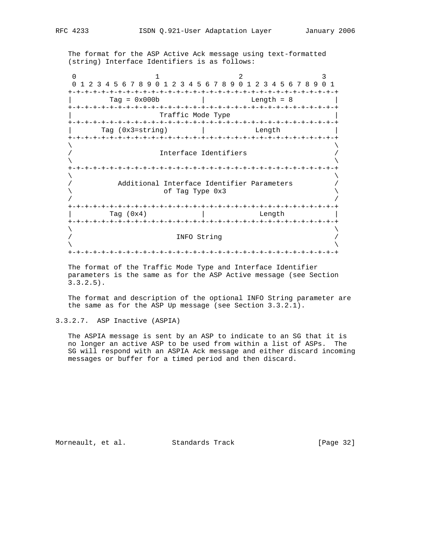The format for the ASP Active Ack message using text-formatted (string) Interface Identifiers is as follows:

0  $1$  2 3 0 1 2 3 4 5 6 7 8 9 0 1 2 3 4 5 6 7 8 9 0 1 2 3 4 5 6 7 8 9 0 1 +-+-+-+-+-+-+-+-+-+-+-+-+-+-+-+-+-+-+-+-+-+-+-+-+-+-+-+-+-+-+-+-+  $Tag = 0x000b$  | Length = 8 +-+-+-+-+-+-+-+-+-+-+-+-+-+-+-+-+-+-+-+-+-+-+-+-+-+-+-+-+-+-+-+-+ Traffic Mode Type +-+-+-+-+-+-+-+-+-+-+-+-+-+-+-+-+-+-+-+-+-+-+-+-+-+-+-+-+-+-+-+-+ Tag (0x3=string) | Length +-+-+-+-+-+-+-+-+-+-+-+-+-+-+-+-+-+-+-+-+-+-+-+-+-+-+-+-+-+-+-+-+  $\lambda$  and  $\lambda$  and  $\lambda$  and  $\lambda$  and  $\lambda$  and  $\lambda$  and  $\lambda$  and  $\lambda$  and  $\lambda$  and  $\lambda$  and  $\lambda$  and  $\lambda$  and  $\lambda$  and  $\lambda$  and  $\lambda$  and  $\lambda$  and  $\lambda$  and  $\lambda$  and  $\lambda$  and  $\lambda$  and  $\lambda$  and  $\lambda$  and  $\lambda$  and  $\lambda$  and  $\lambda$  Interface Identifiers  $\lambda$  and  $\lambda$  and  $\lambda$  and  $\lambda$  and  $\lambda$  and  $\lambda$  and  $\lambda$  and  $\lambda$  and  $\lambda$  and  $\lambda$  and  $\lambda$  and  $\lambda$  and  $\lambda$  and  $\lambda$  and  $\lambda$  and  $\lambda$  and  $\lambda$  and  $\lambda$  and  $\lambda$  and  $\lambda$  and  $\lambda$  and  $\lambda$  and  $\lambda$  and  $\lambda$  and  $\lambda$  +-+-+-+-+-+-+-+-+-+-+-+-+-+-+-+-+-+-+-+-+-+-+-+-+-+-+-+-+-+-+-+-+  $\lambda$  and  $\lambda$  and  $\lambda$  and  $\lambda$  and  $\lambda$  and  $\lambda$  and  $\lambda$  and  $\lambda$  and  $\lambda$  and  $\lambda$  and  $\lambda$  and  $\lambda$  and  $\lambda$  and  $\lambda$  and  $\lambda$  and  $\lambda$  and  $\lambda$  and  $\lambda$  and  $\lambda$  and  $\lambda$  and  $\lambda$  and  $\lambda$  and  $\lambda$  and  $\lambda$  and  $\lambda$  Additional Interface Identifier Parameters \ of Tag Type 0x3 \ / / +-+-+-+-+-+-+-+-+-+-+-+-+-+-+-+-+-+-+-+-+-+-+-+-+-+-+-+-+-+-+-+-+ Tag (0x4) | Length +-+-+-+-+-+-+-+-+-+-+-+-+-+-+-+-+-+-+-+-+-+-+-+-+-+-+-+-+-+-+-+-+  $\lambda$  and  $\lambda$  and  $\lambda$  and  $\lambda$  and  $\lambda$  and  $\lambda$  and  $\lambda$  and  $\lambda$  and  $\lambda$  and  $\lambda$  and  $\lambda$  and  $\lambda$  and  $\lambda$  and  $\lambda$  and  $\lambda$  and  $\lambda$  and  $\lambda$  and  $\lambda$  and  $\lambda$  and  $\lambda$  and  $\lambda$  and  $\lambda$  and  $\lambda$  and  $\lambda$  and  $\lambda$  / INFO String /  $\lambda$  and  $\lambda$  and  $\lambda$  and  $\lambda$  and  $\lambda$  and  $\lambda$  and  $\lambda$  and  $\lambda$  and  $\lambda$  and  $\lambda$  and  $\lambda$  and  $\lambda$  and  $\lambda$  and  $\lambda$  and  $\lambda$  and  $\lambda$  and  $\lambda$  and  $\lambda$  and  $\lambda$  and  $\lambda$  and  $\lambda$  and  $\lambda$  and  $\lambda$  and  $\lambda$  and  $\lambda$  +-+-+-+-+-+-+-+-+-+-+-+-+-+-+-+-+-+-+-+-+-+-+-+-+-+-+-+-+-+-+-+-+

 The format of the Traffic Mode Type and Interface Identifier parameters is the same as for the ASP Active message (see Section 3.3.2.5).

 The format and description of the optional INFO String parameter are the same as for the ASP Up message (see Section 3.3.2.1).

3.3.2.7. ASP Inactive (ASPIA)

 The ASPIA message is sent by an ASP to indicate to an SG that it is no longer an active ASP to be used from within a list of ASPs. The SG will respond with an ASPIA Ack message and either discard incoming messages or buffer for a timed period and then discard.

Morneault, et al. Standards Track [Page 32]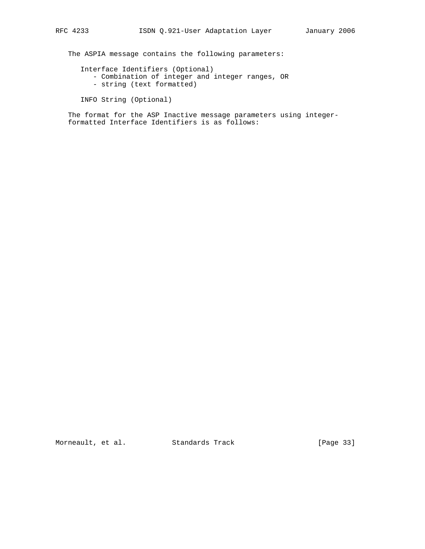The ASPIA message contains the following parameters:

Interface Identifiers (Optional)

- Combination of integer and integer ranges, OR
- string (text formatted)

```
 INFO String (Optional)
```
 The format for the ASP Inactive message parameters using integer formatted Interface Identifiers is as follows:

Morneault, et al. Standards Track [Page 33]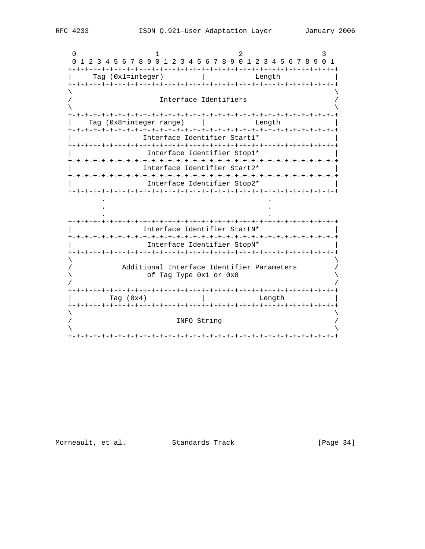$\cap$  $\mathbf{1}$  $\mathcal{L}$ ર 0 1 2 3 4 5 6 7 8 9 0 1 2 3 4 5 6 7 8 9 0 1 2 3 4 5 6 7 8 9 0 1 Tag (0x1=integer) | Length Interface Identifiers Tag (0x8=integer range) | | Length Interface Identifier Start1\* Interface Identifier Stop1\* Interface Identifier Start2\* Interface Identifier Stop2\* Interface Identifier StartN\* Interface Identifier StopN\* Additional Interface Identifier Parameters of Tag Type 0x1 or 0x8 Tag (0x4) and a contract the length INFO String 

[Page  $34$ ]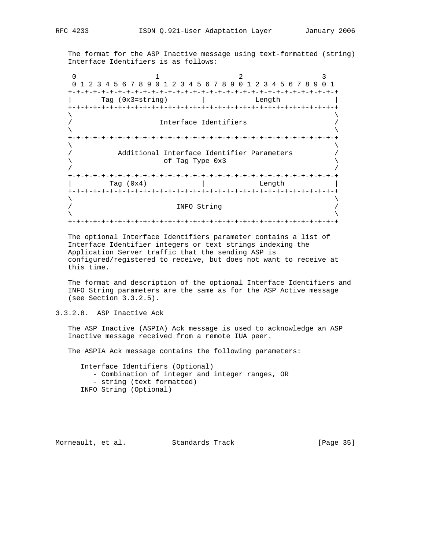The format for the ASP Inactive message using text-formatted (string) Interface Identifiers is as follows:

0  $1$  2 3 0 1 2 3 4 5 6 7 8 9 0 1 2 3 4 5 6 7 8 9 0 1 2 3 4 5 6 7 8 9 0 1 +-+-+-+-+-+-+-+-+-+-+-+-+-+-+-+-+-+-+-+-+-+-+-+-+-+-+-+-+-+-+-+-+ Tag (0x3=string) | Length +-+-+-+-+-+-+-+-+-+-+-+-+-+-+-+-+-+-+-+-+-+-+-+-+-+-+-+-+-+-+-+-+  $\lambda$  and  $\lambda$  and  $\lambda$  and  $\lambda$  and  $\lambda$  and  $\lambda$  and  $\lambda$  and  $\lambda$  and  $\lambda$  and  $\lambda$  and  $\lambda$  and  $\lambda$  and  $\lambda$  and  $\lambda$  and  $\lambda$  and  $\lambda$  and  $\lambda$  and  $\lambda$  and  $\lambda$  and  $\lambda$  and  $\lambda$  and  $\lambda$  and  $\lambda$  and  $\lambda$  and  $\lambda$  Interface Identifiers  $\lambda$  and  $\lambda$  and  $\lambda$  and  $\lambda$  and  $\lambda$  and  $\lambda$  and  $\lambda$  and  $\lambda$  and  $\lambda$  and  $\lambda$  and  $\lambda$  and  $\lambda$  and  $\lambda$  and  $\lambda$  and  $\lambda$  and  $\lambda$  and  $\lambda$  and  $\lambda$  and  $\lambda$  and  $\lambda$  and  $\lambda$  and  $\lambda$  and  $\lambda$  and  $\lambda$  and  $\lambda$  +-+-+-+-+-+-+-+-+-+-+-+-+-+-+-+-+-+-+-+-+-+-+-+-+-+-+-+-+-+-+-+-+  $\lambda$  and  $\lambda$  and  $\lambda$  and  $\lambda$  and  $\lambda$  and  $\lambda$  and  $\lambda$  and  $\lambda$  and  $\lambda$  and  $\lambda$  and  $\lambda$  and  $\lambda$  and  $\lambda$  and  $\lambda$  and  $\lambda$  and  $\lambda$  and  $\lambda$  and  $\lambda$  and  $\lambda$  and  $\lambda$  and  $\lambda$  and  $\lambda$  and  $\lambda$  and  $\lambda$  and  $\lambda$  Additional Interface Identifier Parameters  $\setminus$  / / +-+-+-+-+-+-+-+-+-+-+-+-+-+-+-+-+-+-+-+-+-+-+-+-+-+-+-+-+-+-+-+-+ Tag (0x4) | Length +-+-+-+-+-+-+-+-+-+-+-+-+-+-+-+-+-+-+-+-+-+-+-+-+-+-+-+-+-+-+-+-+  $\lambda$  and  $\lambda$  and  $\lambda$  and  $\lambda$  and  $\lambda$  and  $\lambda$  and  $\lambda$  and  $\lambda$  and  $\lambda$  and  $\lambda$  and  $\lambda$  and  $\lambda$  and  $\lambda$  and  $\lambda$  and  $\lambda$  and  $\lambda$  and  $\lambda$  and  $\lambda$  and  $\lambda$  and  $\lambda$  and  $\lambda$  and  $\lambda$  and  $\lambda$  and  $\lambda$  and  $\lambda$  / INFO String /  $\lambda$  and  $\lambda$  and  $\lambda$  and  $\lambda$  and  $\lambda$  and  $\lambda$  and  $\lambda$  and  $\lambda$  and  $\lambda$  and  $\lambda$  and  $\lambda$  and  $\lambda$  and  $\lambda$  and  $\lambda$  and  $\lambda$  and  $\lambda$  and  $\lambda$  and  $\lambda$  and  $\lambda$  and  $\lambda$  and  $\lambda$  and  $\lambda$  and  $\lambda$  and  $\lambda$  and  $\lambda$  +-+-+-+-+-+-+-+-+-+-+-+-+-+-+-+-+-+-+-+-+-+-+-+-+-+-+-+-+-+-+-+-+

 The optional Interface Identifiers parameter contains a list of Interface Identifier integers or text strings indexing the Application Server traffic that the sending ASP is configured/registered to receive, but does not want to receive at this time.

 The format and description of the optional Interface Identifiers and INFO String parameters are the same as for the ASP Active message (see Section 3.3.2.5).

3.3.2.8. ASP Inactive Ack

 The ASP Inactive (ASPIA) Ack message is used to acknowledge an ASP Inactive message received from a remote IUA peer.

The ASPIA Ack message contains the following parameters:

 Interface Identifiers (Optional) - Combination of integer and integer ranges, OR - string (text formatted) INFO String (Optional)

Morneault, et al. Standards Track [Page 35]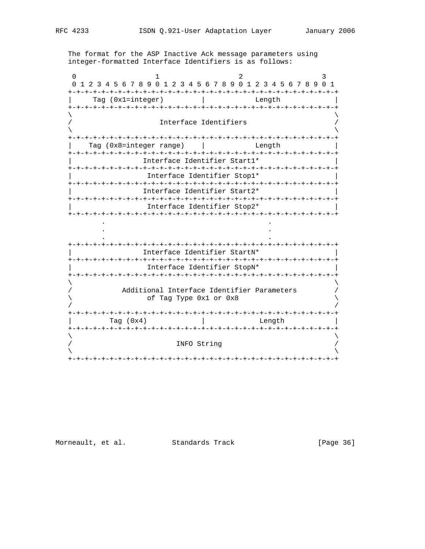The format for the ASP Inactive Ack message parameters using integer-formatted Interface Identifiers is as follows:

0  $1$  2 3 0 1 2 3 4 5 6 7 8 9 0 1 2 3 4 5 6 7 8 9 0 1 2 3 4 5 6 7 8 9 0 1 +-+-+-+-+-+-+-+-+-+-+-+-+-+-+-+-+-+-+-+-+-+-+-+-+-+-+-+-+-+-+-+-+ | Tag (0x1=integer) | Length | +-+-+-+-+-+-+-+-+-+-+-+-+-+-+-+-+-+-+-+-+-+-+-+-+-+-+-+-+-+-+-+-+  $\lambda$  and  $\lambda$  and  $\lambda$  and  $\lambda$  and  $\lambda$  and  $\lambda$  and  $\lambda$  and  $\lambda$  and  $\lambda$  and  $\lambda$  and  $\lambda$  and  $\lambda$  and  $\lambda$  and  $\lambda$  and  $\lambda$  and  $\lambda$  and  $\lambda$  and  $\lambda$  and  $\lambda$  and  $\lambda$  and  $\lambda$  and  $\lambda$  and  $\lambda$  and  $\lambda$  and  $\lambda$  Interface Identifiers  $\lambda$  and  $\lambda$  and  $\lambda$  and  $\lambda$  and  $\lambda$  and  $\lambda$  and  $\lambda$  and  $\lambda$  and  $\lambda$  and  $\lambda$  and  $\lambda$  and  $\lambda$  and  $\lambda$  and  $\lambda$  and  $\lambda$  and  $\lambda$  and  $\lambda$  and  $\lambda$  and  $\lambda$  and  $\lambda$  and  $\lambda$  and  $\lambda$  and  $\lambda$  and  $\lambda$  and  $\lambda$  +-+-+-+-+-+-+-+-+-+-+-+-+-+-+-+-+-+-+-+-+-+-+-+-+-+-+-+-+-+-+-+-+ Tag (0x8=integer range) | Changth | Length +-+-+-+-+-+-+-+-+-+-+-+-+-+-+-+-+-+-+-+-+-+-+-+-+-+-+-+-+-+-+-+-+ | Interface Identifier Start1\* | +-+-+-+-+-+-+-+-+-+-+-+-+-+-+-+-+-+-+-+-+-+-+-+-+-+-+-+-+-+-+-+-+ Interface Identifier Stop1\* +-+-+-+-+-+-+-+-+-+-+-+-+-+-+-+-+-+-+-+-+-+-+-+-+-+-+-+-+-+-+-+-+ | Interface Identifier Start2\* | +-+-+-+-+-+-+-+-+-+-+-+-+-+-+-+-+-+-+-+-+-+-+-+-+-+-+-+-+-+-+-+-+ | Interface Identifier Stop2\* | +-+-+-+-+-+-+-+-+-+-+-+-+-+-+-+-+-+-+-+-+-+-+-+-+-+-+-+-+-+-+-+-+ . . . . . . +-+-+-+-+-+-+-+-+-+-+-+-+-+-+-+-+-+-+-+-+-+-+-+-+-+-+-+-+-+-+-+-+ | Interface Identifier StartN\* | +-+-+-+-+-+-+-+-+-+-+-+-+-+-+-+-+-+-+-+-+-+-+-+-+-+-+-+-+-+-+-+-+ | Interface Identifier StopN\* | +-+-+-+-+-+-+-+-+-+-+-+-+-+-+-+-+-+-+-+-+-+-+-+-+-+-+-+-+-+-+-+-+  $\lambda$  and  $\lambda$  and  $\lambda$  and  $\lambda$  and  $\lambda$  and  $\lambda$  and  $\lambda$  and  $\lambda$  and  $\lambda$  and  $\lambda$  and  $\lambda$  and  $\lambda$  and  $\lambda$  and  $\lambda$  and  $\lambda$  and  $\lambda$  and  $\lambda$  and  $\lambda$  and  $\lambda$  and  $\lambda$  and  $\lambda$  and  $\lambda$  and  $\lambda$  and  $\lambda$  and  $\lambda$  Additional Interface Identifier Parameters of Tag Type 0x1 or 0x8 / / +-+-+-+-+-+-+-+-+-+-+-+-+-+-+-+-+-+-+-+-+-+-+-+-+-+-+-+-+-+-+-+-+ Tag (0x4) | Length +-+-+-+-+-+-+-+-+-+-+-+-+-+-+-+-+-+-+-+-+-+-+-+-+-+-+-+-+-+-+-+-+  $\lambda$  and  $\lambda$  and  $\lambda$  and  $\lambda$  and  $\lambda$  and  $\lambda$  and  $\lambda$  and  $\lambda$  and  $\lambda$  and  $\lambda$  and  $\lambda$  and  $\lambda$  and  $\lambda$  and  $\lambda$  and  $\lambda$  and  $\lambda$  and  $\lambda$  and  $\lambda$  and  $\lambda$  and  $\lambda$  and  $\lambda$  and  $\lambda$  and  $\lambda$  and  $\lambda$  and  $\lambda$  INFO String  $\lambda$  and  $\lambda$  and  $\lambda$  and  $\lambda$  and  $\lambda$  and  $\lambda$  and  $\lambda$  and  $\lambda$  and  $\lambda$  and  $\lambda$  and  $\lambda$  and  $\lambda$  and  $\lambda$  and  $\lambda$  and  $\lambda$  and  $\lambda$  and  $\lambda$  and  $\lambda$  and  $\lambda$  and  $\lambda$  and  $\lambda$  and  $\lambda$  and  $\lambda$  and  $\lambda$  and  $\lambda$  +-+-+-+-+-+-+-+-+-+-+-+-+-+-+-+-+-+-+-+-+-+-+-+-+-+-+-+-+-+-+-+-+

Morneault, et al. Standards Track [Page 36]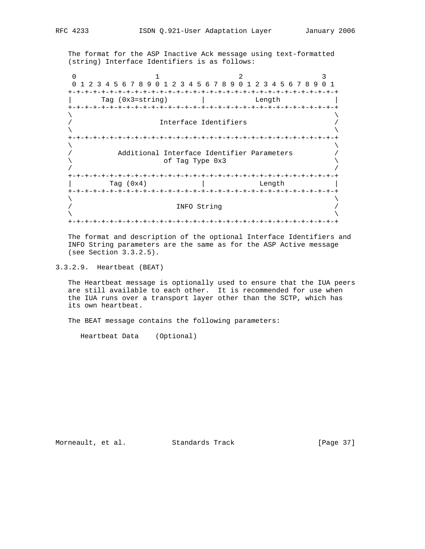The format for the ASP Inactive Ack message using text-formatted (string) Interface Identifiers is as follows:

0  $1$  2 3 0 1 2 3 4 5 6 7 8 9 0 1 2 3 4 5 6 7 8 9 0 1 2 3 4 5 6 7 8 9 0 1 +-+-+-+-+-+-+-+-+-+-+-+-+-+-+-+-+-+-+-+-+-+-+-+-+-+-+-+-+-+-+-+-+ Tag (0x3=string) | Length +-+-+-+-+-+-+-+-+-+-+-+-+-+-+-+-+-+-+-+-+-+-+-+-+-+-+-+-+-+-+-+-+  $\lambda$  and  $\lambda$  and  $\lambda$  and  $\lambda$  and  $\lambda$  and  $\lambda$  and  $\lambda$  and  $\lambda$  and  $\lambda$  and  $\lambda$  and  $\lambda$  and  $\lambda$  and  $\lambda$  and  $\lambda$  and  $\lambda$  and  $\lambda$  and  $\lambda$  and  $\lambda$  and  $\lambda$  and  $\lambda$  and  $\lambda$  and  $\lambda$  and  $\lambda$  and  $\lambda$  and  $\lambda$  Interface Identifiers  $\lambda$  and  $\lambda$  and  $\lambda$  and  $\lambda$  and  $\lambda$  and  $\lambda$  and  $\lambda$  and  $\lambda$  and  $\lambda$  and  $\lambda$  and  $\lambda$  and  $\lambda$  and  $\lambda$  and  $\lambda$  and  $\lambda$  and  $\lambda$  and  $\lambda$  and  $\lambda$  and  $\lambda$  and  $\lambda$  and  $\lambda$  and  $\lambda$  and  $\lambda$  and  $\lambda$  and  $\lambda$  +-+-+-+-+-+-+-+-+-+-+-+-+-+-+-+-+-+-+-+-+-+-+-+-+-+-+-+-+-+-+-+-+  $\lambda$  and  $\lambda$  and  $\lambda$  and  $\lambda$  and  $\lambda$  and  $\lambda$  and  $\lambda$  and  $\lambda$  and  $\lambda$  and  $\lambda$  and  $\lambda$  and  $\lambda$  and  $\lambda$  and  $\lambda$  and  $\lambda$  and  $\lambda$  and  $\lambda$  and  $\lambda$  and  $\lambda$  and  $\lambda$  and  $\lambda$  and  $\lambda$  and  $\lambda$  and  $\lambda$  and  $\lambda$  Additional Interface Identifier Parameters \ of Tag Type 0x3 \ / / +-+-+-+-+-+-+-+-+-+-+-+-+-+-+-+-+-+-+-+-+-+-+-+-+-+-+-+-+-+-+-+-+ Tag (0x4) | Length +-+-+-+-+-+-+-+-+-+-+-+-+-+-+-+-+-+-+-+-+-+-+-+-+-+-+-+-+-+-+-+-+  $\lambda$  and  $\lambda$  and  $\lambda$  and  $\lambda$  and  $\lambda$  and  $\lambda$  and  $\lambda$  and  $\lambda$  and  $\lambda$  and  $\lambda$  and  $\lambda$  and  $\lambda$  and  $\lambda$  and  $\lambda$  and  $\lambda$  and  $\lambda$  and  $\lambda$  and  $\lambda$  and  $\lambda$  and  $\lambda$  and  $\lambda$  and  $\lambda$  and  $\lambda$  and  $\lambda$  and  $\lambda$  / INFO String /  $\lambda$  and  $\lambda$  and  $\lambda$  and  $\lambda$  and  $\lambda$  and  $\lambda$  and  $\lambda$  and  $\lambda$  and  $\lambda$  and  $\lambda$  and  $\lambda$  and  $\lambda$  and  $\lambda$  and  $\lambda$  and  $\lambda$  and  $\lambda$  and  $\lambda$  and  $\lambda$  and  $\lambda$  and  $\lambda$  and  $\lambda$  and  $\lambda$  and  $\lambda$  and  $\lambda$  and  $\lambda$  +-+-+-+-+-+-+-+-+-+-+-+-+-+-+-+-+-+-+-+-+-+-+-+-+-+-+-+-+-+-+-+-+

 The format and description of the optional Interface Identifiers and INFO String parameters are the same as for the ASP Active message (see Section 3.3.2.5).

3.3.2.9. Heartbeat (BEAT)

 The Heartbeat message is optionally used to ensure that the IUA peers are still available to each other. It is recommended for use when the IUA runs over a transport layer other than the SCTP, which has its own heartbeat.

The BEAT message contains the following parameters:

Heartbeat Data (Optional)

Morneault, et al. Standards Track [Page 37]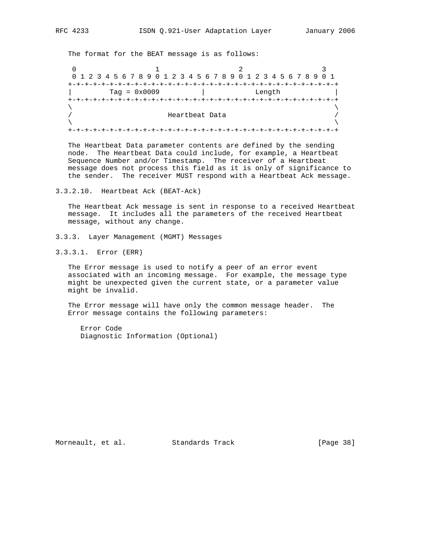The format for the BEAT message is as follows:

0  $1$  2 3 0 1 2 3 4 5 6 7 8 9 0 1 2 3 4 5 6 7 8 9 0 1 2 3 4 5 6 7 8 9 0 1 +-+-+-+-+-+-+-+-+-+-+-+-+-+-+-+-+-+-+-+-+-+-+-+-+-+-+-+-+-+-+-+-+ | Tag = 0x0009 | Length | +-+-+-+-+-+-+-+-+-+-+-+-+-+-+-+-+-+-+-+-+-+-+-+-+-+-+-+-+-+-+-+-+  $\lambda$  and  $\lambda$  and  $\lambda$  and  $\lambda$  and  $\lambda$  and  $\lambda$  and  $\lambda$  and  $\lambda$  and  $\lambda$  and  $\lambda$  and  $\lambda$  and  $\lambda$  and  $\lambda$  and  $\lambda$  and  $\lambda$  and  $\lambda$  and  $\lambda$  and  $\lambda$  and  $\lambda$  and  $\lambda$  and  $\lambda$  and  $\lambda$  and  $\lambda$  and  $\lambda$  and  $\lambda$  Heartbeat Data  $\lambda$  and  $\lambda$  and  $\lambda$  and  $\lambda$  and  $\lambda$  and  $\lambda$  and  $\lambda$  and  $\lambda$  and  $\lambda$  and  $\lambda$  and  $\lambda$  and  $\lambda$  and  $\lambda$  and  $\lambda$  and  $\lambda$  and  $\lambda$  and  $\lambda$  and  $\lambda$  and  $\lambda$  and  $\lambda$  and  $\lambda$  and  $\lambda$  and  $\lambda$  and  $\lambda$  and  $\lambda$  +-+-+-+-+-+-+-+-+-+-+-+-+-+-+-+-+-+-+-+-+-+-+-+-+-+-+-+-+-+-+-+-+

 The Heartbeat Data parameter contents are defined by the sending node. The Heartbeat Data could include, for example, a Heartbeat Sequence Number and/or Timestamp. The receiver of a Heartbeat message does not process this field as it is only of significance to the sender. The receiver MUST respond with a Heartbeat Ack message.

3.3.2.10. Heartbeat Ack (BEAT-Ack)

 The Heartbeat Ack message is sent in response to a received Heartbeat message. It includes all the parameters of the received Heartbeat message, without any change.

- 3.3.3. Layer Management (MGMT) Messages
- 3.3.3.1. Error (ERR)

 The Error message is used to notify a peer of an error event associated with an incoming message. For example, the message type might be unexpected given the current state, or a parameter value might be invalid.

 The Error message will have only the common message header. The Error message contains the following parameters:

 Error Code Diagnostic Information (Optional)

Morneault, et al. Standards Track [Page 38]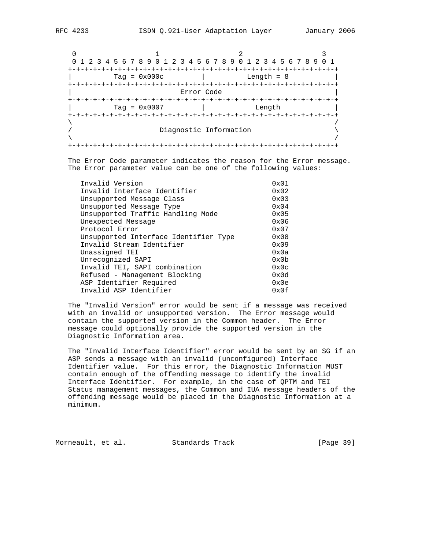0  $1$  2 3 0 1 2 3 4 5 6 7 8 9 0 1 2 3 4 5 6 7 8 9 0 1 2 3 4 5 6 7 8 9 0 1 +-+-+-+-+-+-+-+-+-+-+-+-+-+-+-+-+-+-+-+-+-+-+-+-+-+-+-+-+-+-+-+-+ | Tag = 0x000c | Length = 8 | +-+-+-+-+-+-+-+-+-+-+-+-+-+-+-+-+-+-+-+-+-+-+-+-+-+-+-+-+-+-+-+-+ | Error Code | +-+-+-+-+-+-+-+-+-+-+-+-+-+-+-+-+-+-+-+-+-+-+-+-+-+-+-+-+-+-+-+-+ | Tag = 0x0007 | Length | +-+-+-+-+-+-+-+-+-+-+-+-+-+-+-+-+-+-+-+-+-+-+-+-+-+-+-+-+-+-+-+-+  $\lambda$  /  $\lambda$  /  $\lambda$  /  $\lambda$  /  $\lambda$  /  $\lambda$  /  $\lambda$  /  $\lambda$  /  $\lambda$  /  $\lambda$  /  $\lambda$  /  $\lambda$  /  $\lambda$  /  $\lambda$  /  $\lambda$  /  $\lambda$  /  $\lambda$  /  $\lambda$  /  $\lambda$  /  $\lambda$  /  $\lambda$  /  $\lambda$  /  $\lambda$  /  $\lambda$  /  $\lambda$  /  $\lambda$  /  $\lambda$  /  $\lambda$  /  $\lambda$  /  $\lambda$  /  $\lambda$  /  $\lambda$ Diagnostic Information  $\setminus$  $\lambda$  /  $\lambda$  /  $\lambda$  /  $\lambda$  /  $\lambda$  /  $\lambda$  /  $\lambda$  /  $\lambda$  /  $\lambda$  /  $\lambda$  /  $\lambda$  /  $\lambda$  /  $\lambda$  /  $\lambda$  /  $\lambda$  /  $\lambda$  /  $\lambda$  /  $\lambda$  /  $\lambda$  /  $\lambda$  /  $\lambda$  /  $\lambda$  /  $\lambda$  /  $\lambda$  /  $\lambda$  /  $\lambda$  /  $\lambda$  /  $\lambda$  /  $\lambda$  /  $\lambda$  /  $\lambda$  /  $\lambda$ +-+-+-+-+-+-+-+-+-+-+-+-+-+-+-+-+-+-+-+-+-+-+-+-+-+-+-+-+-+-+-+-+

 The Error Code parameter indicates the reason for the Error message. The Error parameter value can be one of the following values:

| $0 \times 01$  |
|----------------|
| $0 \times 02$  |
| $0 \times 03$  |
| $0 \times 04$  |
| $0 \times 05$  |
| 0x06           |
| $0 \times 07$  |
| $0 \times 08$  |
| $0 \times 09$  |
| 0x0a           |
| $0 \times 0$ b |
| $0 \times 0c$  |
| $0 \times 0d$  |
| 0x0e           |
| 0x0f           |
|                |

 The "Invalid Version" error would be sent if a message was received with an invalid or unsupported version. The Error message would contain the supported version in the Common header. The Error message could optionally provide the supported version in the Diagnostic Information area.

 The "Invalid Interface Identifier" error would be sent by an SG if an ASP sends a message with an invalid (unconfigured) Interface Identifier value. For this error, the Diagnostic Information MUST contain enough of the offending message to identify the invalid Interface Identifier. For example, in the case of QPTM and TEI Status management messages, the Common and IUA message headers of the offending message would be placed in the Diagnostic Information at a minimum.

Morneault, et al. Standards Track [Page 39]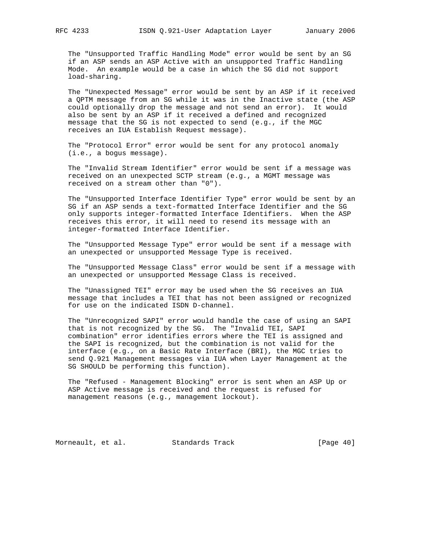The "Unsupported Traffic Handling Mode" error would be sent by an SG if an ASP sends an ASP Active with an unsupported Traffic Handling Mode. An example would be a case in which the SG did not support load-sharing.

 The "Unexpected Message" error would be sent by an ASP if it received a QPTM message from an SG while it was in the Inactive state (the ASP could optionally drop the message and not send an error). It would also be sent by an ASP if it received a defined and recognized message that the SG is not expected to send (e.g., if the MGC receives an IUA Establish Request message).

 The "Protocol Error" error would be sent for any protocol anomaly (i.e., a bogus message).

 The "Invalid Stream Identifier" error would be sent if a message was received on an unexpected SCTP stream (e.g., a MGMT message was received on a stream other than "0").

 The "Unsupported Interface Identifier Type" error would be sent by an SG if an ASP sends a text-formatted Interface Identifier and the SG only supports integer-formatted Interface Identifiers. When the ASP receives this error, it will need to resend its message with an integer-formatted Interface Identifier.

 The "Unsupported Message Type" error would be sent if a message with an unexpected or unsupported Message Type is received.

 The "Unsupported Message Class" error would be sent if a message with an unexpected or unsupported Message Class is received.

 The "Unassigned TEI" error may be used when the SG receives an IUA message that includes a TEI that has not been assigned or recognized for use on the indicated ISDN D-channel.

 The "Unrecognized SAPI" error would handle the case of using an SAPI that is not recognized by the SG. The "Invalid TEI, SAPI combination" error identifies errors where the TEI is assigned and the SAPI is recognized, but the combination is not valid for the interface (e.g., on a Basic Rate Interface (BRI), the MGC tries to send Q.921 Management messages via IUA when Layer Management at the SG SHOULD be performing this function).

 The "Refused - Management Blocking" error is sent when an ASP Up or ASP Active message is received and the request is refused for management reasons (e.g., management lockout).

Morneault, et al. Standards Track [Page 40]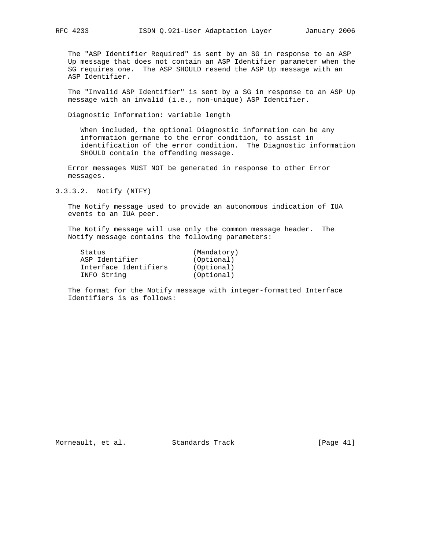The "ASP Identifier Required" is sent by an SG in response to an ASP Up message that does not contain an ASP Identifier parameter when the SG requires one. The ASP SHOULD resend the ASP Up message with an ASP Identifier.

 The "Invalid ASP Identifier" is sent by a SG in response to an ASP Up message with an invalid (i.e., non-unique) ASP Identifier.

Diagnostic Information: variable length

 When included, the optional Diagnostic information can be any information germane to the error condition, to assist in identification of the error condition. The Diagnostic information SHOULD contain the offending message.

 Error messages MUST NOT be generated in response to other Error messages.

3.3.3.2. Notify (NTFY)

 The Notify message used to provide an autonomous indication of IUA events to an IUA peer.

 The Notify message will use only the common message header. The Notify message contains the following parameters:

| Status                | (Mandatory) |
|-----------------------|-------------|
| ASP Identifier        | (Optional)  |
| Interface Identifiers | (Optional)  |
| INFO String           | (Optional)  |

 The format for the Notify message with integer-formatted Interface Identifiers is as follows: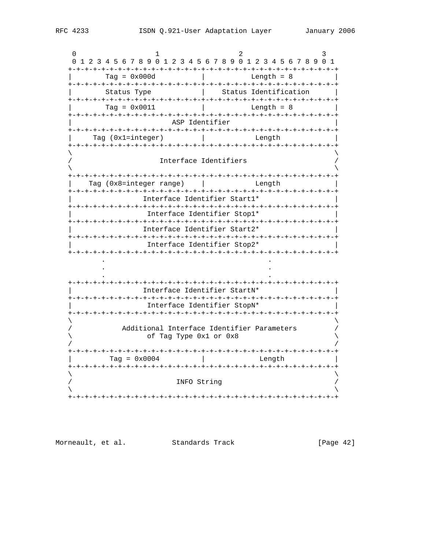| 0                            |  | 0 1 2 3 4 5 6 7 8 9 0 1 2 3 4 5 6 7 8 9 0 1 2 3 4 5 6 7 8 9 0 1 |  |                       |  |  |  |  |                                                                      |  |  |  |                       |  |  |  |                      |        |  |  |                       |  |  |
|------------------------------|--|-----------------------------------------------------------------|--|-----------------------|--|--|--|--|----------------------------------------------------------------------|--|--|--|-----------------------|--|--|--|----------------------|--------|--|--|-----------------------|--|--|
|                              |  |                                                                 |  | $Tag = 0x000d$        |  |  |  |  |                                                                      |  |  |  |                       |  |  |  | Length $= 8$         |        |  |  |                       |  |  |
|                              |  |                                                                 |  | Status Type           |  |  |  |  |                                                                      |  |  |  |                       |  |  |  |                      |        |  |  | Status Identification |  |  |
|                              |  |                                                                 |  | $Taq = 0x0011$        |  |  |  |  |                                                                      |  |  |  |                       |  |  |  | Length $= 8$         |        |  |  |                       |  |  |
|                              |  |                                                                 |  |                       |  |  |  |  |                                                                      |  |  |  | ASP Identifier        |  |  |  |                      |        |  |  |                       |  |  |
|                              |  |                                                                 |  | Taq (Oxl=integer)     |  |  |  |  |                                                                      |  |  |  |                       |  |  |  |                      | Length |  |  |                       |  |  |
|                              |  |                                                                 |  |                       |  |  |  |  |                                                                      |  |  |  | Interface Identifiers |  |  |  |                      |        |  |  |                       |  |  |
|                              |  | Tag (0x8=integer range)                                         |  |                       |  |  |  |  |                                                                      |  |  |  |                       |  |  |  |                      | Length |  |  |                       |  |  |
|                              |  |                                                                 |  |                       |  |  |  |  | Interface Identifier Start1*                                         |  |  |  |                       |  |  |  |                      |        |  |  |                       |  |  |
| Interface Identifier Stop1*  |  |                                                                 |  |                       |  |  |  |  |                                                                      |  |  |  |                       |  |  |  |                      |        |  |  |                       |  |  |
| Interface Identifier Start2* |  |                                                                 |  |                       |  |  |  |  |                                                                      |  |  |  |                       |  |  |  |                      |        |  |  |                       |  |  |
|                              |  |                                                                 |  |                       |  |  |  |  | Interface Identifier Stop2*                                          |  |  |  |                       |  |  |  |                      |        |  |  |                       |  |  |
|                              |  |                                                                 |  |                       |  |  |  |  |                                                                      |  |  |  |                       |  |  |  |                      |        |  |  |                       |  |  |
|                              |  |                                                                 |  |                       |  |  |  |  | Interface Identifier StartN*                                         |  |  |  |                       |  |  |  |                      |        |  |  |                       |  |  |
|                              |  |                                                                 |  |                       |  |  |  |  | Interface Identifier StopN*<br>-+-+-+-+-+-+-+-+                      |  |  |  |                       |  |  |  | -+-+-+-+-+-+-+-+-+-+ |        |  |  |                       |  |  |
|                              |  |                                                                 |  |                       |  |  |  |  | Additional Interface Identifier Parameters<br>of Tag Type 0x1 or 0x8 |  |  |  |                       |  |  |  |                      |        |  |  |                       |  |  |
|                              |  |                                                                 |  | Tag = $0 \times 0004$ |  |  |  |  |                                                                      |  |  |  |                       |  |  |  |                      | Length |  |  |                       |  |  |
|                              |  |                                                                 |  |                       |  |  |  |  |                                                                      |  |  |  | INFO String           |  |  |  |                      |        |  |  |                       |  |  |

Morneault, et al. Standards Track

[Page 42]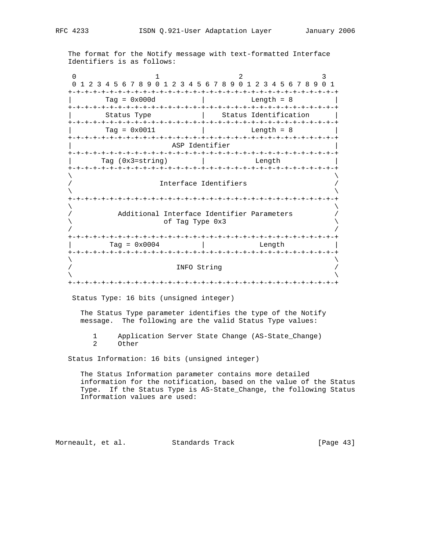The format for the Notify message with text-formatted Interface Identifiers is as follows:

0  $1$  2 3 0 1 2 3 4 5 6 7 8 9 0 1 2 3 4 5 6 7 8 9 0 1 2 3 4 5 6 7 8 9 0 1 +-+-+-+-+-+-+-+-+-+-+-+-+-+-+-+-+-+-+-+-+-+-+-+-+-+-+-+-+-+-+-+-+ | Tag = 0x000d | Length = 8 | +-+-+-+-+-+-+-+-+-+-+-+-+-+-+-+-+-+-+-+-+-+-+-+-+-+-+-+-+-+-+-+-+ | Status Type | Status Identification | +-+-+-+-+-+-+-+-+-+-+-+-+-+-+-+-+-+-+-+-+-+-+-+-+-+-+-+-+-+-+-+-+ | Tag = 0x0011 | Length = 8 | +-+-+-+-+-+-+-+-+-+-+-+-+-+-+-+-+-+-+-+-+-+-+-+-+-+-+-+-+-+-+-+-+ ASP Identifier +-+-+-+-+-+-+-+-+-+-+-+-+-+-+-+-+-+-+-+-+-+-+-+-+-+-+-+-+-+-+-+-+ Tag (0x3=string) | Length +-+-+-+-+-+-+-+-+-+-+-+-+-+-+-+-+-+-+-+-+-+-+-+-+-+-+-+-+-+-+-+-+  $\lambda$  and  $\lambda$  and  $\lambda$  and  $\lambda$  and  $\lambda$  and  $\lambda$  and  $\lambda$  and  $\lambda$  and  $\lambda$  and  $\lambda$  and  $\lambda$  and  $\lambda$  and  $\lambda$  and  $\lambda$  and  $\lambda$  and  $\lambda$  and  $\lambda$  and  $\lambda$  and  $\lambda$  and  $\lambda$  and  $\lambda$  and  $\lambda$  and  $\lambda$  and  $\lambda$  and  $\lambda$  Interface Identifiers  $\lambda$  and  $\lambda$  and  $\lambda$  and  $\lambda$  and  $\lambda$  and  $\lambda$  and  $\lambda$  and  $\lambda$  and  $\lambda$  and  $\lambda$  and  $\lambda$  and  $\lambda$  and  $\lambda$  and  $\lambda$  and  $\lambda$  and  $\lambda$  and  $\lambda$  and  $\lambda$  and  $\lambda$  and  $\lambda$  and  $\lambda$  and  $\lambda$  and  $\lambda$  and  $\lambda$  and  $\lambda$  +-+-+-+-+-+-+-+-+-+-+-+-+-+-+-+-+-+-+-+-+-+-+-+-+-+-+-+-+-+-+-+-+  $\lambda$  and  $\lambda$  and  $\lambda$  and  $\lambda$  and  $\lambda$  and  $\lambda$  and  $\lambda$  and  $\lambda$  and  $\lambda$  and  $\lambda$  and  $\lambda$  and  $\lambda$  and  $\lambda$  and  $\lambda$  and  $\lambda$  and  $\lambda$  and  $\lambda$  and  $\lambda$  and  $\lambda$  and  $\lambda$  and  $\lambda$  and  $\lambda$  and  $\lambda$  and  $\lambda$  and  $\lambda$  / Additional Interface Identifier Parameters /  $\setminus$  of Tag Type 0x3  $/$  /  $/$  +-+-+-+-+-+-+-+-+-+-+-+-+-+-+-+-+-+-+-+-+-+-+-+-+-+-+-+-+-+-+-+-+  $\text{Tag} = 0 \times 0004$  | Length +-+-+-+-+-+-+-+-+-+-+-+-+-+-+-+-+-+-+-+-+-+-+-+-+-+-+-+-+-+-+-+-+  $\lambda$  and  $\lambda$  and  $\lambda$  and  $\lambda$  and  $\lambda$  and  $\lambda$  and  $\lambda$  and  $\lambda$  and  $\lambda$  and  $\lambda$  and  $\lambda$  and  $\lambda$  and  $\lambda$  and  $\lambda$  and  $\lambda$  and  $\lambda$  and  $\lambda$  and  $\lambda$  and  $\lambda$  and  $\lambda$  and  $\lambda$  and  $\lambda$  and  $\lambda$  and  $\lambda$  and  $\lambda$  / INFO String /  $\lambda$  and  $\lambda$  and  $\lambda$  and  $\lambda$  and  $\lambda$  and  $\lambda$  and  $\lambda$  and  $\lambda$  and  $\lambda$  and  $\lambda$  and  $\lambda$  and  $\lambda$  and  $\lambda$  and  $\lambda$  and  $\lambda$  and  $\lambda$  and  $\lambda$  and  $\lambda$  and  $\lambda$  and  $\lambda$  and  $\lambda$  and  $\lambda$  and  $\lambda$  and  $\lambda$  and  $\lambda$  +-+-+-+-+-+-+-+-+-+-+-+-+-+-+-+-+-+-+-+-+-+-+-+-+-+-+-+-+-+-+-+-+ Status Type: 16 bits (unsigned integer) The Status Type parameter identifies the type of the Notify message. The following are the valid Status Type values: 1 Application Server State Change (AS-State\_Change)<br>2 Other 0ther

Status Information: 16 bits (unsigned integer)

 The Status Information parameter contains more detailed information for the notification, based on the value of the Status Type. If the Status Type is AS-State\_Change, the following Status Information values are used:

Morneault, et al. Standards Track [Page 43]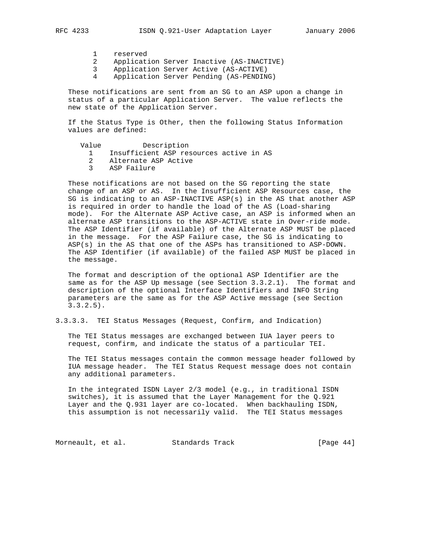- 1 reserved
- 2 Application Server Inactive (AS-INACTIVE)
- 3 Application Server Active (AS-ACTIVE)
- 4 Application Server Pending (AS-PENDING)

 These notifications are sent from an SG to an ASP upon a change in status of a particular Application Server. The value reflects the new state of the Application Server.

 If the Status Type is Other, then the following Status Information values are defined:

- Value Description
	- 1 Insufficient ASP resources active in AS
	- 2 Alternate ASP Active
	- 3 ASP Failure

 These notifications are not based on the SG reporting the state change of an ASP or AS. In the Insufficient ASP Resources case, the SG is indicating to an ASP-INACTIVE ASP(s) in the AS that another ASP is required in order to handle the load of the AS (Load-sharing mode). For the Alternate ASP Active case, an ASP is informed when an alternate ASP transitions to the ASP-ACTIVE state in Over-ride mode. The ASP Identifier (if available) of the Alternate ASP MUST be placed in the message. For the ASP Failure case, the SG is indicating to ASP(s) in the AS that one of the ASPs has transitioned to ASP-DOWN. The ASP Identifier (if available) of the failed ASP MUST be placed in the message.

 The format and description of the optional ASP Identifier are the same as for the ASP Up message (see Section 3.3.2.1). The format and description of the optional Interface Identifiers and INFO String parameters are the same as for the ASP Active message (see Section 3.3.2.5).

3.3.3.3. TEI Status Messages (Request, Confirm, and Indication)

 The TEI Status messages are exchanged between IUA layer peers to request, confirm, and indicate the status of a particular TEI.

 The TEI Status messages contain the common message header followed by IUA message header. The TEI Status Request message does not contain any additional parameters.

 In the integrated ISDN Layer 2/3 model (e.g., in traditional ISDN switches), it is assumed that the Layer Management for the Q.921 Layer and the Q.931 layer are co-located. When backhauling ISDN, this assumption is not necessarily valid. The TEI Status messages

Morneault, et al. Standards Track [Page 44]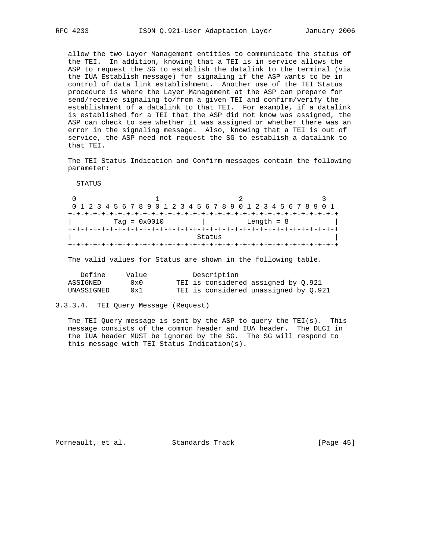allow the two Layer Management entities to communicate the status of the TEI. In addition, knowing that a TEI is in service allows the ASP to request the SG to establish the datalink to the terminal (via the IUA Establish message) for signaling if the ASP wants to be in control of data link establishment. Another use of the TEI Status procedure is where the Layer Management at the ASP can prepare for send/receive signaling to/from a given TEI and confirm/verify the establishment of a datalink to that TEI. For example, if a datalink is established for a TEI that the ASP did not know was assigned, the ASP can check to see whether it was assigned or whether there was an error in the signaling message. Also, knowing that a TEI is out of service, the ASP need not request the SG to establish a datalink to that TEI.

 The TEI Status Indication and Confirm messages contain the following parameter:

STATUS

 $0$  1 2 0 1 2 3 4 5 6 7 8 9 0 1 2 3 4 5 6 7 8 9 0 1 2 3 4 5 6 7 8 9 0 1 +-+-+-+-+-+-+-+-+-+-+-+-+-+-+-+-+-+-+-+-+-+-+-+-+-+-+-+-+-+-+-+-+ | Tag = 0x0010 | Length = 8 | +-+-+-+-+-+-+-+-+-+-+-+-+-+-+-+-+-+-+-+-+-+-+-+-+-+-+-+-+-+-+-+-+ | Status | Status | Status | Status | Status | Status | Status | Status | Status | Status | Status | Status | Status | Status | Status | Status | Status | Status | Status | Status | Status | Status | Status | Status | Stat +-+-+-+-+-+-+-+-+-+-+-+-+-+-+-+-+-+-+-+-+-+-+-+-+-+-+-+-+-+-+-+-+

The valid values for Status are shown in the following table.

| Define     | Value | Description                           |
|------------|-------|---------------------------------------|
| ASSIGNED   | 0x0   | TEI is considered assigned by 0.921   |
| UNASSIGNED | 0x1   | TEI is considered unassigned by 0.921 |

3.3.3.4. TEI Query Message (Request)

 The TEI Query message is sent by the ASP to query the TEI(s). This message consists of the common header and IUA header. The DLCI in the IUA header MUST be ignored by the SG. The SG will respond to this message with TEI Status Indication(s).

Morneault, et al. Standards Track [Page 45]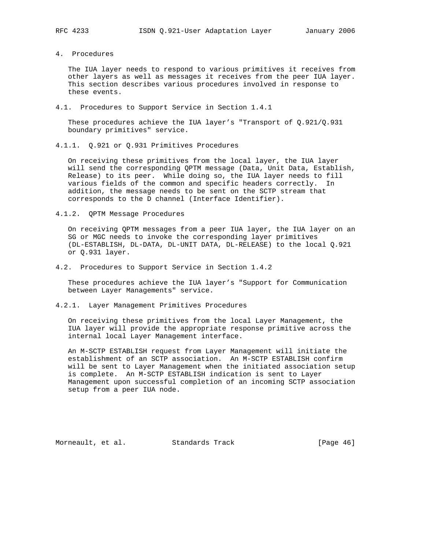- 
- 4. Procedures

 The IUA layer needs to respond to various primitives it receives from other layers as well as messages it receives from the peer IUA layer. This section describes various procedures involved in response to these events.

4.1. Procedures to Support Service in Section 1.4.1

 These procedures achieve the IUA layer's "Transport of Q.921/Q.931 boundary primitives" service.

4.1.1. Q.921 or Q.931 Primitives Procedures

 On receiving these primitives from the local layer, the IUA layer will send the corresponding QPTM message (Data, Unit Data, Establish, Release) to its peer. While doing so, the IUA layer needs to fill various fields of the common and specific headers correctly. In addition, the message needs to be sent on the SCTP stream that corresponds to the D channel (Interface Identifier).

4.1.2. QPTM Message Procedures

 On receiving QPTM messages from a peer IUA layer, the IUA layer on an SG or MGC needs to invoke the corresponding layer primitives (DL-ESTABLISH, DL-DATA, DL-UNIT DATA, DL-RELEASE) to the local Q.921 or Q.931 layer.

4.2. Procedures to Support Service in Section 1.4.2

 These procedures achieve the IUA layer's "Support for Communication between Layer Managements" service.

4.2.1. Layer Management Primitives Procedures

 On receiving these primitives from the local Layer Management, the IUA layer will provide the appropriate response primitive across the internal local Layer Management interface.

 An M-SCTP ESTABLISH request from Layer Management will initiate the establishment of an SCTP association. An M-SCTP ESTABLISH confirm will be sent to Layer Management when the initiated association setup is complete. An M-SCTP ESTABLISH indication is sent to Layer Management upon successful completion of an incoming SCTP association setup from a peer IUA node.

Morneault, et al. Standards Track [Page 46]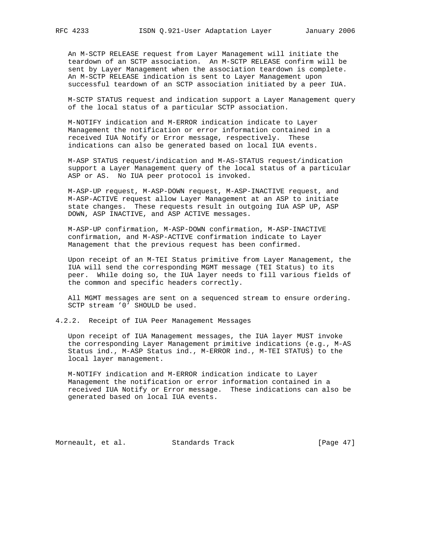An M-SCTP RELEASE request from Layer Management will initiate the teardown of an SCTP association. An M-SCTP RELEASE confirm will be sent by Layer Management when the association teardown is complete. An M-SCTP RELEASE indication is sent to Layer Management upon successful teardown of an SCTP association initiated by a peer IUA.

 M-SCTP STATUS request and indication support a Layer Management query of the local status of a particular SCTP association.

 M-NOTIFY indication and M-ERROR indication indicate to Layer Management the notification or error information contained in a received IUA Notify or Error message, respectively. These indications can also be generated based on local IUA events.

 M-ASP STATUS request/indication and M-AS-STATUS request/indication support a Layer Management query of the local status of a particular ASP or AS. No IUA peer protocol is invoked.

 M-ASP-UP request, M-ASP-DOWN request, M-ASP-INACTIVE request, and M-ASP-ACTIVE request allow Layer Management at an ASP to initiate state changes. These requests result in outgoing IUA ASP UP, ASP DOWN, ASP INACTIVE, and ASP ACTIVE messages.

 M-ASP-UP confirmation, M-ASP-DOWN confirmation, M-ASP-INACTIVE confirmation, and M-ASP-ACTIVE confirmation indicate to Layer Management that the previous request has been confirmed.

 Upon receipt of an M-TEI Status primitive from Layer Management, the IUA will send the corresponding MGMT message (TEI Status) to its peer. While doing so, the IUA layer needs to fill various fields of the common and specific headers correctly.

 All MGMT messages are sent on a sequenced stream to ensure ordering. SCTP stream '0' SHOULD be used.

4.2.2. Receipt of IUA Peer Management Messages

 Upon receipt of IUA Management messages, the IUA layer MUST invoke the corresponding Layer Management primitive indications (e.g., M-AS Status ind., M-ASP Status ind., M-ERROR ind., M-TEI STATUS) to the local layer management.

 M-NOTIFY indication and M-ERROR indication indicate to Layer Management the notification or error information contained in a received IUA Notify or Error message. These indications can also be generated based on local IUA events.

Morneault, et al. Standards Track [Page 47]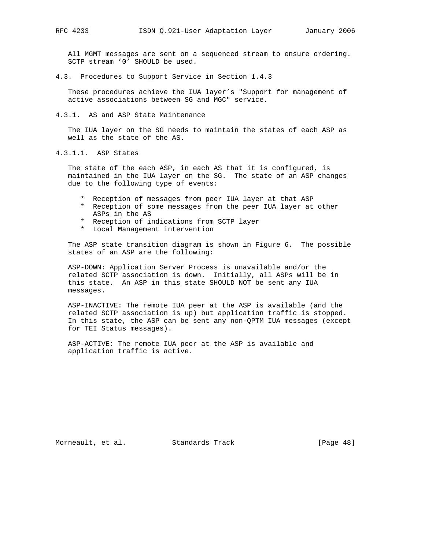All MGMT messages are sent on a sequenced stream to ensure ordering. SCTP stream '0' SHOULD be used.

4.3. Procedures to Support Service in Section 1.4.3

 These procedures achieve the IUA layer's "Support for management of active associations between SG and MGC" service.

4.3.1. AS and ASP State Maintenance

 The IUA layer on the SG needs to maintain the states of each ASP as well as the state of the AS.

4.3.1.1. ASP States

 The state of the each ASP, in each AS that it is configured, is maintained in the IUA layer on the SG. The state of an ASP changes due to the following type of events:

- \* Reception of messages from peer IUA layer at that ASP
- \* Reception of some messages from the peer IUA layer at other ASPs in the AS
- \* Reception of indications from SCTP layer
- \* Local Management intervention

 The ASP state transition diagram is shown in Figure 6. The possible states of an ASP are the following:

 ASP-DOWN: Application Server Process is unavailable and/or the related SCTP association is down. Initially, all ASPs will be in this state. An ASP in this state SHOULD NOT be sent any IUA messages.

 ASP-INACTIVE: The remote IUA peer at the ASP is available (and the related SCTP association is up) but application traffic is stopped. In this state, the ASP can be sent any non-QPTM IUA messages (except for TEI Status messages).

 ASP-ACTIVE: The remote IUA peer at the ASP is available and application traffic is active.

Morneault, et al. Standards Track [Page 48]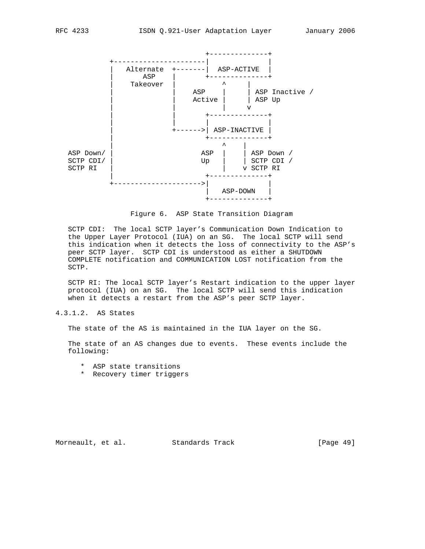

Figure 6. ASP State Transition Diagram

 SCTP CDI: The local SCTP layer's Communication Down Indication to the Upper Layer Protocol (IUA) on an SG. The local SCTP will send this indication when it detects the loss of connectivity to the ASP's peer SCTP layer. SCTP CDI is understood as either a SHUTDOWN COMPLETE notification and COMMUNICATION LOST notification from the SCTP.

 SCTP RI: The local SCTP layer's Restart indication to the upper layer protocol (IUA) on an SG. The local SCTP will send this indication when it detects a restart from the ASP's peer SCTP layer.

# 4.3.1.2. AS States

The state of the AS is maintained in the IUA layer on the SG.

 The state of an AS changes due to events. These events include the following:

- \* ASP state transitions
- \* Recovery timer triggers

Morneault, et al. Standards Track [Page 49]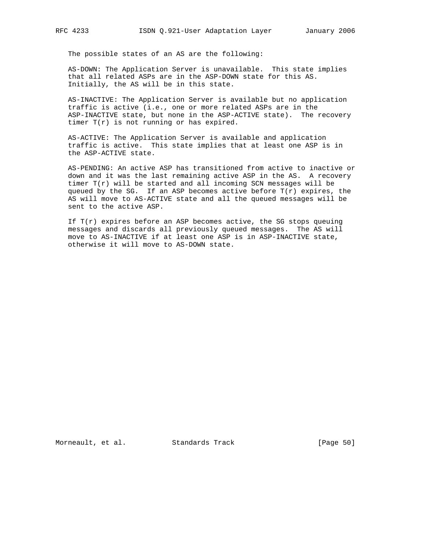The possible states of an AS are the following:

 AS-DOWN: The Application Server is unavailable. This state implies that all related ASPs are in the ASP-DOWN state for this AS. Initially, the AS will be in this state.

 AS-INACTIVE: The Application Server is available but no application traffic is active (i.e., one or more related ASPs are in the ASP-INACTIVE state, but none in the ASP-ACTIVE state). The recovery timer T(r) is not running or has expired.

 AS-ACTIVE: The Application Server is available and application traffic is active. This state implies that at least one ASP is in the ASP-ACTIVE state.

 AS-PENDING: An active ASP has transitioned from active to inactive or down and it was the last remaining active ASP in the AS. A recovery timer  $T(r)$  will be started and all incoming SCN messages will be queued by the SG. If an ASP becomes active before T(r) expires, the AS will move to AS-ACTIVE state and all the queued messages will be sent to the active ASP.

If  $T(r)$  expires before an ASP becomes active, the SG stops queuing messages and discards all previously queued messages. The AS will move to AS-INACTIVE if at least one ASP is in ASP-INACTIVE state, otherwise it will move to AS-DOWN state.

Morneault, et al. Standards Track [Page 50]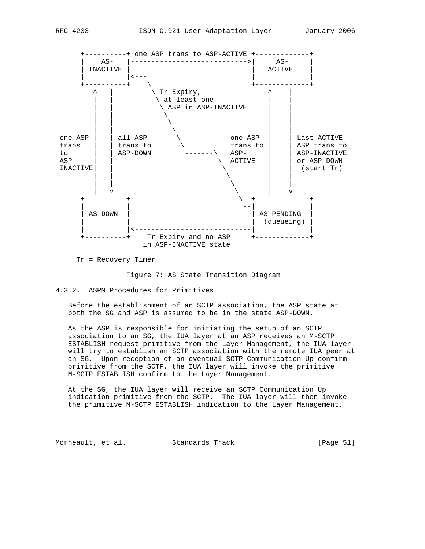

Tr = Recovery Timer

Figure 7: AS State Transition Diagram

4.3.2. ASPM Procedures for Primitives

 Before the establishment of an SCTP association, the ASP state at both the SG and ASP is assumed to be in the state ASP-DOWN.

 As the ASP is responsible for initiating the setup of an SCTP association to an SG, the IUA layer at an ASP receives an M-SCTP ESTABLISH request primitive from the Layer Management, the IUA layer will try to establish an SCTP association with the remote IUA peer at an SG. Upon reception of an eventual SCTP-Communication Up confirm primitive from the SCTP, the IUA layer will invoke the primitive M-SCTP ESTABLISH confirm to the Layer Management.

 At the SG, the IUA layer will receive an SCTP Communication Up indication primitive from the SCTP. The IUA layer will then invoke the primitive M-SCTP ESTABLISH indication to the Layer Management.

Morneault, et al. Standards Track [Page 51]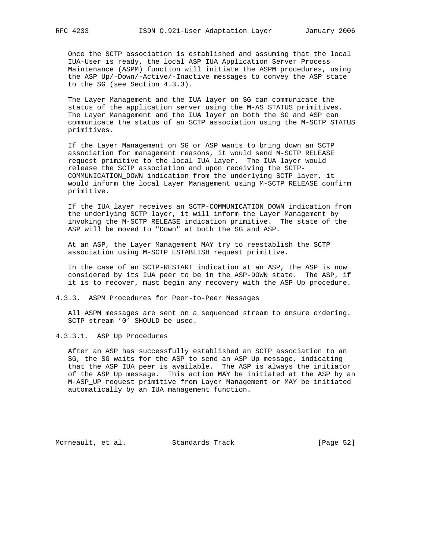Once the SCTP association is established and assuming that the local IUA-User is ready, the local ASP IUA Application Server Process Maintenance (ASPM) function will initiate the ASPM procedures, using the ASP Up/-Down/-Active/-Inactive messages to convey the ASP state to the SG (see Section 4.3.3).

 The Layer Management and the IUA layer on SG can communicate the status of the application server using the M-AS\_STATUS primitives. The Layer Management and the IUA layer on both the SG and ASP can communicate the status of an SCTP association using the M-SCTP\_STATUS primitives.

 If the Layer Management on SG or ASP wants to bring down an SCTP association for management reasons, it would send M-SCTP RELEASE request primitive to the local IUA layer. The IUA layer would release the SCTP association and upon receiving the SCTP- COMMUNICATION\_DOWN indication from the underlying SCTP layer, it would inform the local Layer Management using M-SCTP\_RELEASE confirm primitive.

 If the IUA layer receives an SCTP-COMMUNICATION\_DOWN indication from the underlying SCTP layer, it will inform the Layer Management by invoking the M-SCTP RELEASE indication primitive. The state of the ASP will be moved to "Down" at both the SG and ASP.

 At an ASP, the Layer Management MAY try to reestablish the SCTP association using M-SCTP\_ESTABLISH request primitive.

 In the case of an SCTP-RESTART indication at an ASP, the ASP is now considered by its IUA peer to be in the ASP-DOWN state. The ASP, if it is to recover, must begin any recovery with the ASP Up procedure.

4.3.3. ASPM Procedures for Peer-to-Peer Messages

 All ASPM messages are sent on a sequenced stream to ensure ordering. SCTP stream '0' SHOULD be used.

4.3.3.1. ASP Up Procedures

 After an ASP has successfully established an SCTP association to an SG, the SG waits for the ASP to send an ASP Up message, indicating that the ASP IUA peer is available. The ASP is always the initiator of the ASP Up message. This action MAY be initiated at the ASP by an M-ASP\_UP request primitive from Layer Management or MAY be initiated automatically by an IUA management function.

Morneault, et al. Standards Track [Page 52]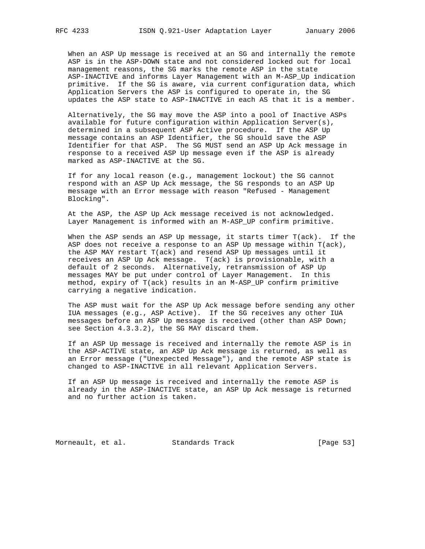When an ASP Up message is received at an SG and internally the remote ASP is in the ASP-DOWN state and not considered locked out for local management reasons, the SG marks the remote ASP in the state ASP-INACTIVE and informs Layer Management with an M-ASP\_Up indication primitive. If the SG is aware, via current configuration data, which Application Servers the ASP is configured to operate in, the SG updates the ASP state to ASP-INACTIVE in each AS that it is a member.

 Alternatively, the SG may move the ASP into a pool of Inactive ASPs available for future configuration within Application Server(s), determined in a subsequent ASP Active procedure. If the ASP Up message contains an ASP Identifier, the SG should save the ASP Identifier for that ASP. The SG MUST send an ASP Up Ack message in response to a received ASP Up message even if the ASP is already marked as ASP-INACTIVE at the SG.

 If for any local reason (e.g., management lockout) the SG cannot respond with an ASP Up Ack message, the SG responds to an ASP Up message with an Error message with reason "Refused - Management Blocking".

 At the ASP, the ASP Up Ack message received is not acknowledged. Layer Management is informed with an M-ASP\_UP confirm primitive.

 When the ASP sends an ASP Up message, it starts timer T(ack). If the ASP does not receive a response to an ASP Up message within T(ack), the ASP MAY restart T(ack) and resend ASP Up messages until it receives an ASP Up Ack message. T(ack) is provisionable, with a default of 2 seconds. Alternatively, retransmission of ASP Up messages MAY be put under control of Layer Management. In this method, expiry of T(ack) results in an M-ASP\_UP confirm primitive carrying a negative indication.

 The ASP must wait for the ASP Up Ack message before sending any other IUA messages (e.g., ASP Active). If the SG receives any other IUA messages before an ASP Up message is received (other than ASP Down; see Section 4.3.3.2), the SG MAY discard them.

 If an ASP Up message is received and internally the remote ASP is in the ASP-ACTIVE state, an ASP Up Ack message is returned, as well as an Error message ("Unexpected Message"), and the remote ASP state is changed to ASP-INACTIVE in all relevant Application Servers.

 If an ASP Up message is received and internally the remote ASP is already in the ASP-INACTIVE state, an ASP Up Ack message is returned and no further action is taken.

Morneault, et al. Standards Track [Page 53]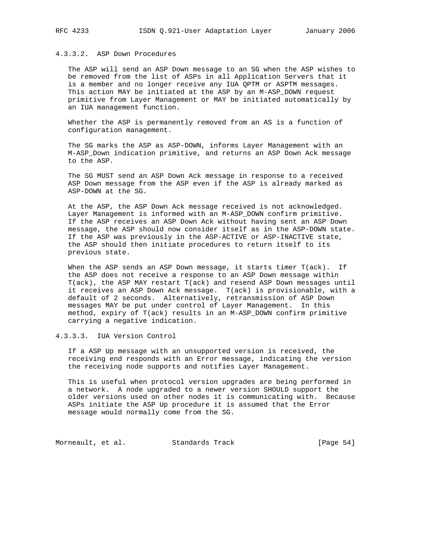# 4.3.3.2. ASP Down Procedures

 The ASP will send an ASP Down message to an SG when the ASP wishes to be removed from the list of ASPs in all Application Servers that it is a member and no longer receive any IUA QPTM or ASPTM messages. This action MAY be initiated at the ASP by an M-ASP\_DOWN request primitive from Layer Management or MAY be initiated automatically by an IUA management function.

 Whether the ASP is permanently removed from an AS is a function of configuration management.

 The SG marks the ASP as ASP-DOWN, informs Layer Management with an M-ASP\_Down indication primitive, and returns an ASP Down Ack message to the ASP.

 The SG MUST send an ASP Down Ack message in response to a received ASP Down message from the ASP even if the ASP is already marked as ASP-DOWN at the SG.

 At the ASP, the ASP Down Ack message received is not acknowledged. Layer Management is informed with an M-ASP\_DOWN confirm primitive. If the ASP receives an ASP Down Ack without having sent an ASP Down message, the ASP should now consider itself as in the ASP-DOWN state. If the ASP was previously in the ASP-ACTIVE or ASP-INACTIVE state, the ASP should then initiate procedures to return itself to its previous state.

 When the ASP sends an ASP Down message, it starts timer T(ack). If the ASP does not receive a response to an ASP Down message within T(ack), the ASP MAY restart T(ack) and resend ASP Down messages until it receives an ASP Down Ack message. T(ack) is provisionable, with a default of 2 seconds. Alternatively, retransmission of ASP Down messages MAY be put under control of Layer Management. In this method, expiry of T(ack) results in an M-ASP\_DOWN confirm primitive carrying a negative indication.

4.3.3.3. IUA Version Control

 If a ASP Up message with an unsupported version is received, the receiving end responds with an Error message, indicating the version the receiving node supports and notifies Layer Management.

 This is useful when protocol version upgrades are being performed in a network. A node upgraded to a newer version SHOULD support the older versions used on other nodes it is communicating with. Because ASPs initiate the ASP Up procedure it is assumed that the Error message would normally come from the SG.

Morneault, et al. Standards Track [Page 54]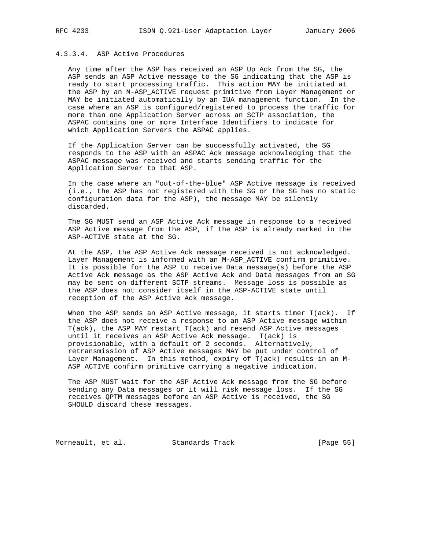# 4.3.3.4. ASP Active Procedures

 Any time after the ASP has received an ASP Up Ack from the SG, the ASP sends an ASP Active message to the SG indicating that the ASP is ready to start processing traffic. This action MAY be initiated at the ASP by an M-ASP\_ACTIVE request primitive from Layer Management or MAY be initiated automatically by an IUA management function. In the case where an ASP is configured/registered to process the traffic for more than one Application Server across an SCTP association, the ASPAC contains one or more Interface Identifiers to indicate for which Application Servers the ASPAC applies.

 If the Application Server can be successfully activated, the SG responds to the ASP with an ASPAC Ack message acknowledging that the ASPAC message was received and starts sending traffic for the Application Server to that ASP.

 In the case where an "out-of-the-blue" ASP Active message is received (i.e., the ASP has not registered with the SG or the SG has no static configuration data for the ASP), the message MAY be silently discarded.

 The SG MUST send an ASP Active Ack message in response to a received ASP Active message from the ASP, if the ASP is already marked in the ASP-ACTIVE state at the SG.

 At the ASP, the ASP Active Ack message received is not acknowledged. Layer Management is informed with an M-ASP\_ACTIVE confirm primitive. It is possible for the ASP to receive Data message(s) before the ASP Active Ack message as the ASP Active Ack and Data messages from an SG may be sent on different SCTP streams. Message loss is possible as the ASP does not consider itself in the ASP-ACTIVE state until reception of the ASP Active Ack message.

 When the ASP sends an ASP Active message, it starts timer T(ack). If the ASP does not receive a response to an ASP Active message within T(ack), the ASP MAY restart T(ack) and resend ASP Active messages until it receives an ASP Active Ack message. T(ack) is provisionable, with a default of 2 seconds. Alternatively, retransmission of ASP Active messages MAY be put under control of Layer Management. In this method, expiry of T(ack) results in an M- ASP\_ACTIVE confirm primitive carrying a negative indication.

 The ASP MUST wait for the ASP Active Ack message from the SG before sending any Data messages or it will risk message loss. If the SG receives QPTM messages before an ASP Active is received, the SG SHOULD discard these messages.

Morneault, et al. Standards Track [Page 55]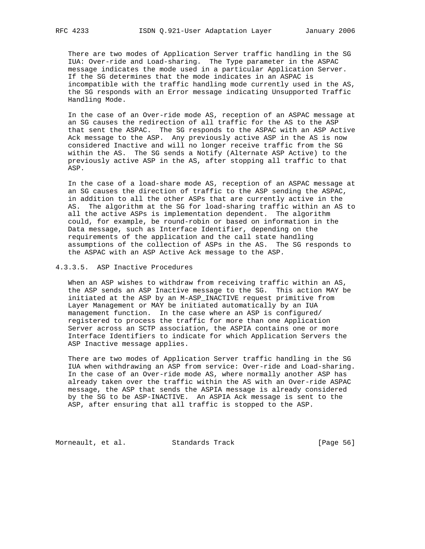There are two modes of Application Server traffic handling in the SG IUA: Over-ride and Load-sharing. The Type parameter in the ASPAC message indicates the mode used in a particular Application Server. If the SG determines that the mode indicates in an ASPAC is incompatible with the traffic handling mode currently used in the AS, the SG responds with an Error message indicating Unsupported Traffic Handling Mode.

 In the case of an Over-ride mode AS, reception of an ASPAC message at an SG causes the redirection of all traffic for the AS to the ASP that sent the ASPAC. The SG responds to the ASPAC with an ASP Active Ack message to the ASP. Any previously active ASP in the AS is now considered Inactive and will no longer receive traffic from the SG within the AS. The SG sends a Notify (Alternate ASP Active) to the previously active ASP in the AS, after stopping all traffic to that ASP.

 In the case of a load-share mode AS, reception of an ASPAC message at an SG causes the direction of traffic to the ASP sending the ASPAC, in addition to all the other ASPs that are currently active in the AS. The algorithm at the SG for load-sharing traffic within an AS to all the active ASPs is implementation dependent. The algorithm could, for example, be round-robin or based on information in the Data message, such as Interface Identifier, depending on the requirements of the application and the call state handling assumptions of the collection of ASPs in the AS. The SG responds to the ASPAC with an ASP Active Ack message to the ASP.

## 4.3.3.5. ASP Inactive Procedures

 When an ASP wishes to withdraw from receiving traffic within an AS, the ASP sends an ASP Inactive message to the SG. This action MAY be initiated at the ASP by an M-ASP\_INACTIVE request primitive from Layer Management or MAY be initiated automatically by an IUA management function. In the case where an ASP is configured/ registered to process the traffic for more than one Application Server across an SCTP association, the ASPIA contains one or more Interface Identifiers to indicate for which Application Servers the ASP Inactive message applies.

 There are two modes of Application Server traffic handling in the SG IUA when withdrawing an ASP from service: Over-ride and Load-sharing. In the case of an Over-ride mode AS, where normally another ASP has already taken over the traffic within the AS with an Over-ride ASPAC message, the ASP that sends the ASPIA message is already considered by the SG to be ASP-INACTIVE. An ASPIA Ack message is sent to the ASP, after ensuring that all traffic is stopped to the ASP.

Morneault, et al. Standards Track [Page 56]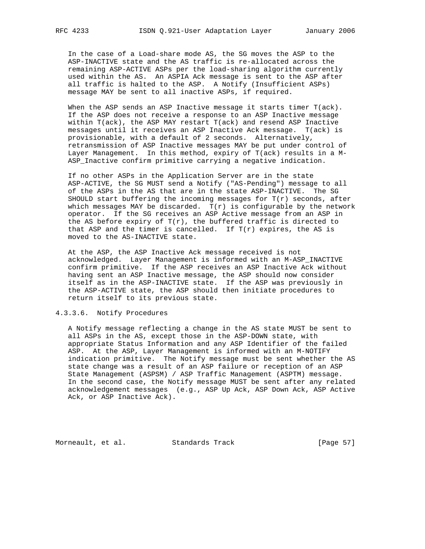In the case of a Load-share mode AS, the SG moves the ASP to the ASP-INACTIVE state and the AS traffic is re-allocated across the remaining ASP-ACTIVE ASPs per the load-sharing algorithm currently used within the AS. An ASPIA Ack message is sent to the ASP after all traffic is halted to the ASP. A Notify (Insufficient ASPs) message MAY be sent to all inactive ASPs, if required.

 When the ASP sends an ASP Inactive message it starts timer T(ack). If the ASP does not receive a response to an ASP Inactive message within T(ack), the ASP MAY restart T(ack) and resend ASP Inactive messages until it receives an ASP Inactive Ack message. T(ack) is provisionable, with a default of 2 seconds. Alternatively, retransmission of ASP Inactive messages MAY be put under control of Layer Management. In this method, expiry of T(ack) results in a M- ASP\_Inactive confirm primitive carrying a negative indication.

 If no other ASPs in the Application Server are in the state ASP-ACTIVE, the SG MUST send a Notify ("AS-Pending") message to all of the ASPs in the AS that are in the state ASP-INACTIVE. The SG SHOULD start buffering the incoming messages for  $T(r)$  seconds, after which messages MAY be discarded.  $T(r)$  is configurable by the network operator. If the SG receives an ASP Active message from an ASP in the AS before expiry of  $T(r)$ , the buffered traffic is directed to that ASP and the timer is cancelled. If  $T(r)$  expires, the AS is moved to the AS-INACTIVE state.

 At the ASP, the ASP Inactive Ack message received is not acknowledged. Layer Management is informed with an M-ASP\_INACTIVE confirm primitive. If the ASP receives an ASP Inactive Ack without having sent an ASP Inactive message, the ASP should now consider itself as in the ASP-INACTIVE state. If the ASP was previously in the ASP-ACTIVE state, the ASP should then initiate procedures to return itself to its previous state.

### 4.3.3.6. Notify Procedures

 A Notify message reflecting a change in the AS state MUST be sent to all ASPs in the AS, except those in the ASP-DOWN state, with appropriate Status Information and any ASP Identifier of the failed ASP. At the ASP, Layer Management is informed with an M-NOTIFY indication primitive. The Notify message must be sent whether the AS state change was a result of an ASP failure or reception of an ASP State Management (ASPSM) / ASP Traffic Management (ASPTM) message. In the second case, the Notify message MUST be sent after any related acknowledgement messages (e.g., ASP Up Ack, ASP Down Ack, ASP Active Ack, or ASP Inactive Ack).

Morneault, et al. Standards Track [Page 57]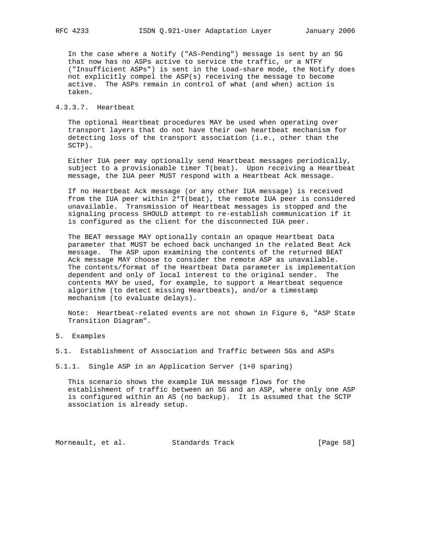In the case where a Notify ("AS-Pending") message is sent by an SG that now has no ASPs active to service the traffic, or a NTFY ("Insufficient ASPs") is sent in the Load-share mode, the Notify does not explicitly compel the ASP(s) receiving the message to become active. The ASPs remain in control of what (and when) action is taken.

## 4.3.3.7. Heartbeat

 The optional Heartbeat procedures MAY be used when operating over transport layers that do not have their own heartbeat mechanism for detecting loss of the transport association (i.e., other than the SCTP).

 Either IUA peer may optionally send Heartbeat messages periodically, subject to a provisionable timer T(beat). Upon receiving a Heartbeat message, the IUA peer MUST respond with a Heartbeat Ack message.

 If no Heartbeat Ack message (or any other IUA message) is received from the IUA peer within 2\*T(beat), the remote IUA peer is considered unavailable. Transmission of Heartbeat messages is stopped and the signaling process SHOULD attempt to re-establish communication if it is configured as the client for the disconnected IUA peer.

 The BEAT message MAY optionally contain an opaque Heartbeat Data parameter that MUST be echoed back unchanged in the related Beat Ack message. The ASP upon examining the contents of the returned BEAT Ack message MAY choose to consider the remote ASP as unavailable. The contents/format of the Heartbeat Data parameter is implementation dependent and only of local interest to the original sender. The contents MAY be used, for example, to support a Heartbeat sequence algorithm (to detect missing Heartbeats), and/or a timestamp mechanism (to evaluate delays).

 Note: Heartbeat-related events are not shown in Figure 6, "ASP State Transition Diagram".

### 5. Examples

5.1. Establishment of Association and Traffic between SGs and ASPs

5.1.1. Single ASP in an Application Server (1+0 sparing)

 This scenario shows the example IUA message flows for the establishment of traffic between an SG and an ASP, where only one ASP is configured within an AS (no backup). It is assumed that the SCTP association is already setup.

Morneault, et al. Standards Track [Page 58]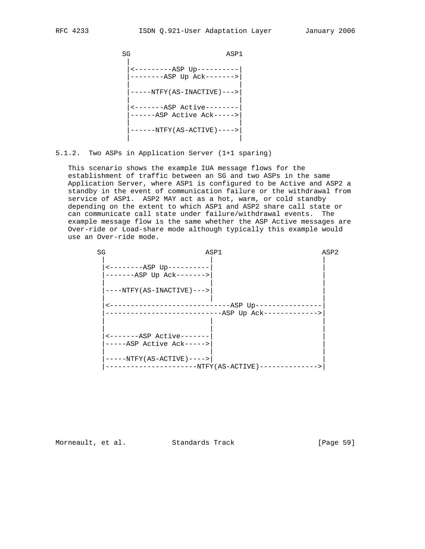SG ASP1 | |<---------ASP Up----------| |--------ASP Up Ack------->| | |  $|---NTFY(AS-INACTIVE)--->$  | | |<-------ASP Active--------| |------ASP Active Ack----->| | | |------NTFY(AS-ACTIVE)---->| | |

5.1.2. Two ASPs in Application Server (1+1 sparing)

 This scenario shows the example IUA message flows for the establishment of traffic between an SG and two ASPs in the same Application Server, where ASP1 is configured to be Active and ASP2 a standby in the event of communication failure or the withdrawal from service of ASP1. ASP2 MAY act as a hot, warm, or cold standby depending on the extent to which ASP1 and ASP2 share call state or can communicate call state under failure/withdrawal events. The example message flow is the same whether the ASP Active messages are Over-ride or Load-share mode although typically this example would use an Over-ride mode.

| SG |                                                                  | ASP1                                                 | ASP2 |
|----|------------------------------------------------------------------|------------------------------------------------------|------|
|    | $\leftarrow$ --------ASP Up----------<br>$----ASP$ Up $Ack---->$ |                                                      |      |
|    | $---NTFY (AS-INACTIVE) ---$                                      |                                                      |      |
|    |                                                                  | ------------ASP Up--------<br>$-$ ASP Up Ac $k$ ---- |      |
|    | <-------ASP Active-------<br>-----ASP Active Ack----->           |                                                      |      |
|    | $---NTFY(AS-ACTIVE) --- >>$                                      | --NTFY(AS-ACTIVE)----                                |      |
|    |                                                                  |                                                      |      |

Morneault, et al. Standards Track [Page 59]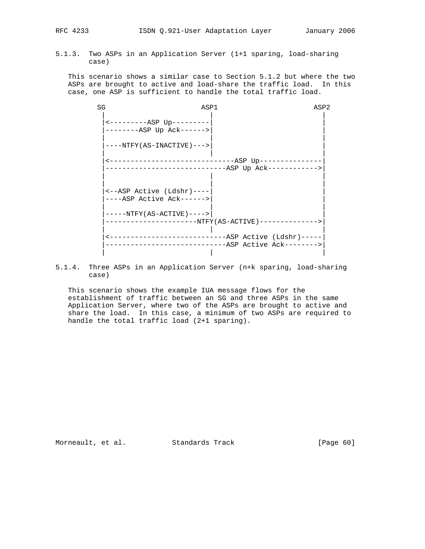5.1.3. Two ASPs in an Application Server (1+1 sparing, load-sharing case)

 This scenario shows a similar case to Section 5.1.2 but where the two ASPs are brought to active and load-share the traffic load. In this case, one ASP is sufficient to handle the total traffic load.

| SG | ASP1                                                                       |                                                      | ASP2 |
|----|----------------------------------------------------------------------------|------------------------------------------------------|------|
|    | $\leftarrow$ --------- $\text{ASP}$ Up---------<br>$----ASP$ Up $Ack---->$ |                                                      |      |
|    | $---NTFY (AS-INACTIVE) ---$                                                |                                                      |      |
|    | <----------------------------------ASP Up--------------                    | -----------------------------ASP Up Ack------------> |      |
|    | <--ASP Active (Ldshr)----<br>----ASP Active Ack------>                     |                                                      |      |
|    | $---NTFY (AS-ACTIVE) --- >>$                                               |                                                      |      |
|    | -----------------------NTFY(AS-ACTIVE)-------------->                      |                                                      |      |
|    |                                                                            | ----------------------------ASP Active Ack-------->  |      |

5.1.4. Three ASPs in an Application Server (n+k sparing, load-sharing case)

 This scenario shows the example IUA message flows for the establishment of traffic between an SG and three ASPs in the same Application Server, where two of the ASPs are brought to active and share the load. In this case, a minimum of two ASPs are required to handle the total traffic load (2+1 sparing).

Morneault, et al. Standards Track [Page 60]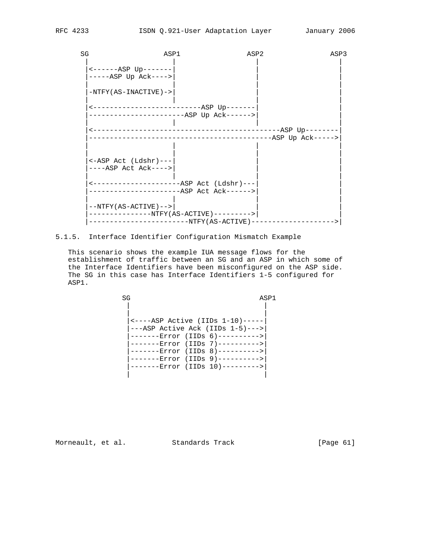| SG | ASP1                                                                                | ASP2                                |                                                  | ASP3              |
|----|-------------------------------------------------------------------------------------|-------------------------------------|--------------------------------------------------|-------------------|
|    | $----ABP UP---$<br>$---ASP$ Up $Ack--->$                                            |                                     |                                                  |                   |
|    | $-NTFY(AS-INACTIVE)$ ->                                                             |                                     |                                                  |                   |
|    | <-------------------------ASP Up-------<br>-----------------------ASP Up Ack------> |                                     |                                                  |                   |
|    |                                                                                     |                                     | ----------------------------------ASP Up-------- | -ASP Up Ack-----> |
|    |                                                                                     |                                     |                                                  |                   |
|    | $\leftarrow$ ASP Act (Ldshr)---<br>$---ASP$ Act Ack---->                            |                                     |                                                  |                   |
|    |                                                                                     | ----------ASP Act (Ldshr)---        |                                                  |                   |
|    | $--NTFY (AS-ACTIVE) ---$                                                            | $-NTFY$ (AS-ACTIVE) --------->      |                                                  |                   |
|    |                                                                                     | -------------NTFY(AS-ACTIVE)------- |                                                  |                   |

# 5.1.5. Interface Identifier Configuration Mismatch Example

 This scenario shows the example IUA message flows for the establishment of traffic between an SG and an ASP in which some of the Interface Identifiers have been misconfigured on the ASP side. The SG in this case has Interface Identifiers 1-5 configured for ASP1.

SG ASP1 | | | | |<----ASP Active (IIDs 1-10)-----|  $\vert$ ---ASP Active Ack (IIDs 1-5)---> |-------Error (IIDs 6)---------->| |-------Error (IIDs 7)---------->| |-------Error (IIDs 8)---------->| |-------Error (IIDs 9)---------->| |-------Error (IIDs 10)--------->| | |

Morneault, et al. Standards Track [Page 61]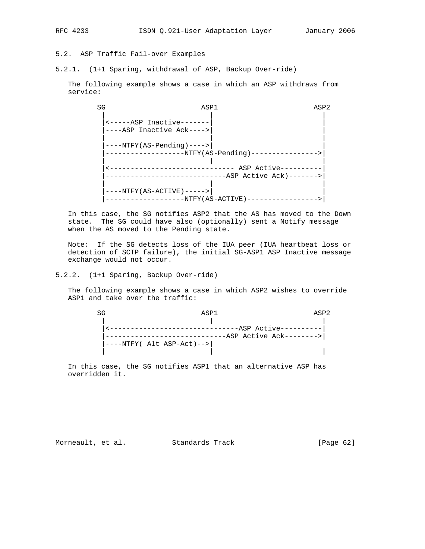5.2. ASP Traffic Fail-over Examples

5.2.1. (1+1 Sparing, withdrawal of ASP, Backup Over-ride)

 The following example shows a case in which an ASP withdraws from service:

SG ASP1 ASP2 | | | |<-----ASP Inactive-------| | |----ASP Inactive Ack---->| | | | | |----NTFY(AS-Pending)---->| | |-------------------NTFY(AS-Pending)---------------->| | | | |<------------------------------ ASP Active----------| |-----------------------------ASP Active Ack)------->| | | | |----NTFY(AS-ACTIVE)----->| | |-------------------NTFY(AS-ACTIVE)----------------->|

 In this case, the SG notifies ASP2 that the AS has moved to the Down state. The SG could have also (optionally) sent a Notify message when the AS moved to the Pending state.

 Note: If the SG detects loss of the IUA peer (IUA heartbeat loss or detection of SCTP failure), the initial SG-ASP1 ASP Inactive message exchange would not occur.

5.2.2. (1+1 Sparing, Backup Over-ride)

 The following example shows a case in which ASP2 wishes to override ASP1 and take over the traffic:

| SG | ASP1                      |                          | ASP <sub>2</sub> |
|----|---------------------------|--------------------------|------------------|
|    |                           |                          |                  |
|    |                           | --ASP Active--------     |                  |
|    |                           | -ASP Active Ack--------> |                  |
|    | ----NTFY( Alt ASP-Act)--> |                          |                  |
|    |                           |                          |                  |

 In this case, the SG notifies ASP1 that an alternative ASP has overridden it.

Morneault, et al. Standards Track [Page 62]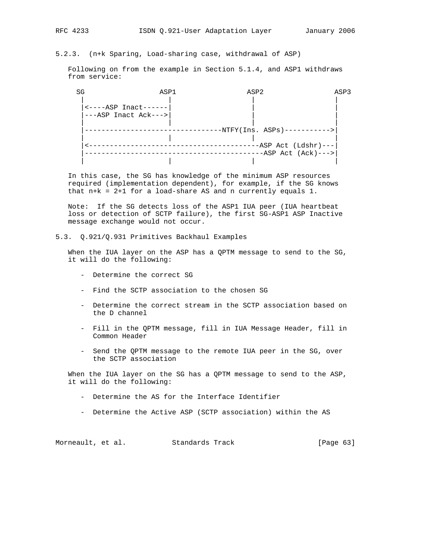Following on from the example in Section 5.1.4, and ASP1 withdraws from service:

| SG | ASP1                                                        | ASP2                                              | ASP3 |
|----|-------------------------------------------------------------|---------------------------------------------------|------|
|    | $\leftarrow$ ----ASP Inact------<br>$---ASP$ Inact Ack ---> |                                                   |      |
|    |                                                             | $-NTFY(Ins. ASPs)-----$                           |      |
|    |                                                             | $-ASP$ Act (Ldshr) ---<br>$-ASP$ Act $(Ack)$ ---> |      |
|    |                                                             |                                                   |      |

 In this case, the SG has knowledge of the minimum ASP resources required (implementation dependent), for example, if the SG knows that n+k = 2+1 for a load-share AS and n currently equals 1.

 Note: If the SG detects loss of the ASP1 IUA peer (IUA heartbeat loss or detection of SCTP failure), the first SG-ASP1 ASP Inactive message exchange would not occur.

5.3. Q.921/Q.931 Primitives Backhaul Examples

 When the IUA layer on the ASP has a QPTM message to send to the SG, it will do the following:

- Determine the correct SG
- Find the SCTP association to the chosen SG
- Determine the correct stream in the SCTP association based on the D channel
- Fill in the QPTM message, fill in IUA Message Header, fill in Common Header
- Send the QPTM message to the remote IUA peer in the SG, over the SCTP association

 When the IUA layer on the SG has a QPTM message to send to the ASP, it will do the following:

- Determine the AS for the Interface Identifier
- Determine the Active ASP (SCTP association) within the AS

Morneault, et al. Standards Track [Page 63]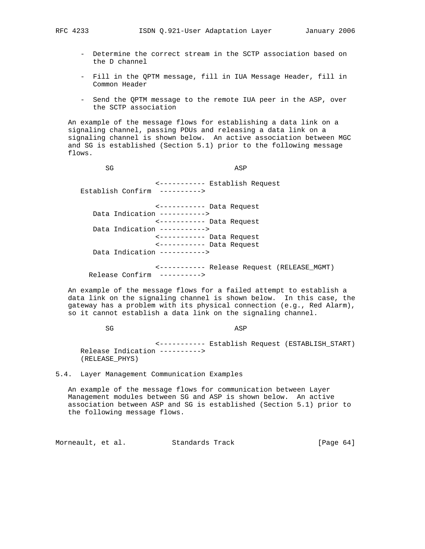- Determine the correct stream in the SCTP association based on the D channel
- Fill in the QPTM message, fill in IUA Message Header, fill in Common Header
- Send the QPTM message to the remote IUA peer in the ASP, over the SCTP association

 An example of the message flows for establishing a data link on a signaling channel, passing PDUs and releasing a data link on a signaling channel is shown below. An active association between MGC and SG is established (Section 5.1) prior to the following message flows.

SG ASP <----------- Establish Request Establish Confirm ----------> <----------- Data Request Data Indication -----------> <----------- Data Request Data Indication -----------> <----------- Data Request <----------- Data Request Data Indication ----------->

 <----------- Release Request (RELEASE\_MGMT) Release Confirm ---------->

 An example of the message flows for a failed attempt to establish a data link on the signaling channel is shown below. In this case, the gateway has a problem with its physical connection (e.g., Red Alarm), so it cannot establish a data link on the signaling channel.

SG ASP

 <----------- Establish Request (ESTABLISH\_START) Release Indication ----------> (RELEASE\_PHYS)

5.4. Layer Management Communication Examples

 An example of the message flows for communication between Layer Management modules between SG and ASP is shown below. An active association between ASP and SG is established (Section 5.1) prior to the following message flows.

Morneault, et al. Standards Track [Page 64]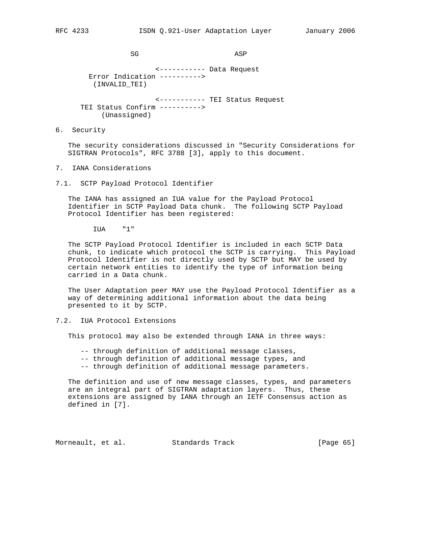SG ASP

 <----------- Data Request Error Indication ----------> (INVALID\_TEI) <----------- TEI Status Request TEI Status Confirm ---------->

(Unassigned)

6. Security

 The security considerations discussed in "Security Considerations for SIGTRAN Protocols", RFC 3788 [3], apply to this document.

- 7. IANA Considerations
- 7.1. SCTP Payload Protocol Identifier

 The IANA has assigned an IUA value for the Payload Protocol Identifier in SCTP Payload Data chunk. The following SCTP Payload Protocol Identifier has been registered:

IUA "1"

 The SCTP Payload Protocol Identifier is included in each SCTP Data chunk, to indicate which protocol the SCTP is carrying. This Payload Protocol Identifier is not directly used by SCTP but MAY be used by certain network entities to identify the type of information being carried in a Data chunk.

 The User Adaptation peer MAY use the Payload Protocol Identifier as a way of determining additional information about the data being presented to it by SCTP.

### 7.2. IUA Protocol Extensions

This protocol may also be extended through IANA in three ways:

- -- through definition of additional message classes,
- -- through definition of additional message types, and
- -- through definition of additional message parameters.

 The definition and use of new message classes, types, and parameters are an integral part of SIGTRAN adaptation layers. Thus, these extensions are assigned by IANA through an IETF Consensus action as defined in [7].

Morneault, et al. Standards Track [Page 65]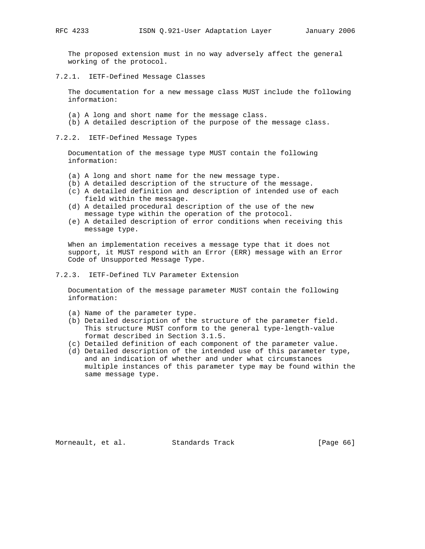The proposed extension must in no way adversely affect the general working of the protocol.

7.2.1. IETF-Defined Message Classes

 The documentation for a new message class MUST include the following information:

- (a) A long and short name for the message class.
- (b) A detailed description of the purpose of the message class.

7.2.2. IETF-Defined Message Types

 Documentation of the message type MUST contain the following information:

- (a) A long and short name for the new message type.
- (b) A detailed description of the structure of the message.
- (c) A detailed definition and description of intended use of each field within the message.
- (d) A detailed procedural description of the use of the new message type within the operation of the protocol.
- (e) A detailed description of error conditions when receiving this message type.

 When an implementation receives a message type that it does not support, it MUST respond with an Error (ERR) message with an Error Code of Unsupported Message Type.

7.2.3. IETF-Defined TLV Parameter Extension

 Documentation of the message parameter MUST contain the following information:

- (a) Name of the parameter type.
- (b) Detailed description of the structure of the parameter field. This structure MUST conform to the general type-length-value format described in Section 3.1.5.
- (c) Detailed definition of each component of the parameter value.
- (d) Detailed description of the intended use of this parameter type, and an indication of whether and under what circumstances multiple instances of this parameter type may be found within the same message type.

Morneault, et al. Standards Track [Page 66]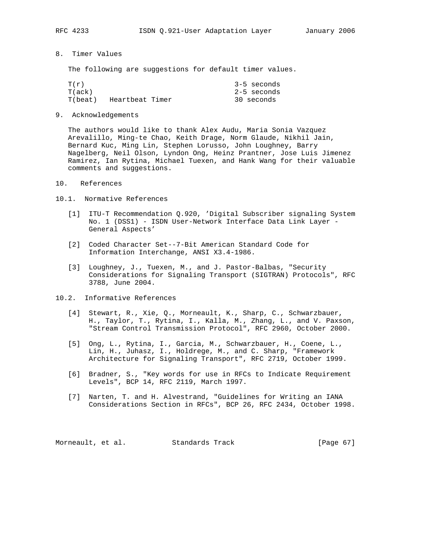- 
- 8. Timer Values

The following are suggestions for default timer values.

| T(r)    |                 |  | $3-5$ seconds |
|---------|-----------------|--|---------------|
| T(ack)  |                 |  | 2-5 seconds   |
| T(beat) | Heartbeat Timer |  | 30 seconds    |

9. Acknowledgements

 The authors would like to thank Alex Audu, Maria Sonia Vazquez Arevalillo, Ming-te Chao, Keith Drage, Norm Glaude, Nikhil Jain, Bernard Kuc, Ming Lin, Stephen Lorusso, John Loughney, Barry Nagelberg, Neil Olson, Lyndon Ong, Heinz Prantner, Jose Luis Jimenez Ramirez, Ian Rytina, Michael Tuexen, and Hank Wang for their valuable comments and suggestions.

- 10. References
- 10.1. Normative References
	- [1] ITU-T Recommendation Q.920, 'Digital Subscriber signaling System No. 1 (DSS1) - ISDN User-Network Interface Data Link Layer - General Aspects'
	- [2] Coded Character Set--7-Bit American Standard Code for Information Interchange, ANSI X3.4-1986.
	- [3] Loughney, J., Tuexen, M., and J. Pastor-Balbas, "Security Considerations for Signaling Transport (SIGTRAN) Protocols", RFC 3788, June 2004.
- 10.2. Informative References
	- [4] Stewart, R., Xie, Q., Morneault, K., Sharp, C., Schwarzbauer, H., Taylor, T., Rytina, I., Kalla, M., Zhang, L., and V. Paxson, "Stream Control Transmission Protocol", RFC 2960, October 2000.
	- [5] Ong, L., Rytina, I., Garcia, M., Schwarzbauer, H., Coene, L., Lin, H., Juhasz, I., Holdrege, M., and C. Sharp, "Framework Architecture for Signaling Transport", RFC 2719, October 1999.
	- [6] Bradner, S., "Key words for use in RFCs to Indicate Requirement Levels", BCP 14, RFC 2119, March 1997.
	- [7] Narten, T. and H. Alvestrand, "Guidelines for Writing an IANA Considerations Section in RFCs", BCP 26, RFC 2434, October 1998.

Morneault, et al. Standards Track [Page 67]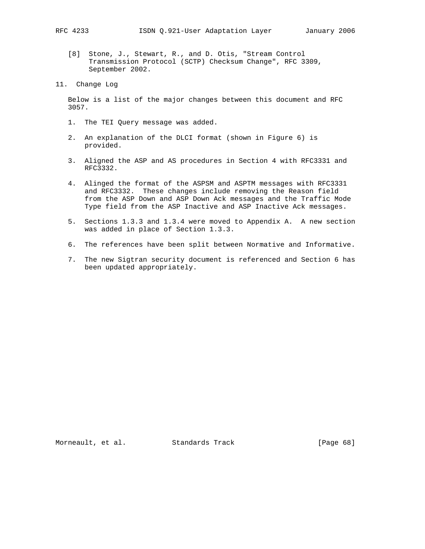[8] Stone, J., Stewart, R., and D. Otis, "Stream Control Transmission Protocol (SCTP) Checksum Change", RFC 3309, September 2002.

 Below is a list of the major changes between this document and RFC 3057.

- 1. The TEI Query message was added.
- 2. An explanation of the DLCI format (shown in Figure 6) is provided.
- 3. Aligned the ASP and AS procedures in Section 4 with RFC3331 and RFC3332.
- 4. Alinged the format of the ASPSM and ASPTM messages with RFC3331 and RFC3332. These changes include removing the Reason field from the ASP Down and ASP Down Ack messages and the Traffic Mode Type field from the ASP Inactive and ASP Inactive Ack messages.
- 5. Sections 1.3.3 and 1.3.4 were moved to Appendix A. A new section was added in place of Section 1.3.3.
- 6. The references have been split between Normative and Informative.
- 7. The new Sigtran security document is referenced and Section 6 has been updated appropriately.

Morneault, et al. Standards Track [Page 68]

<sup>11.</sup> Change Log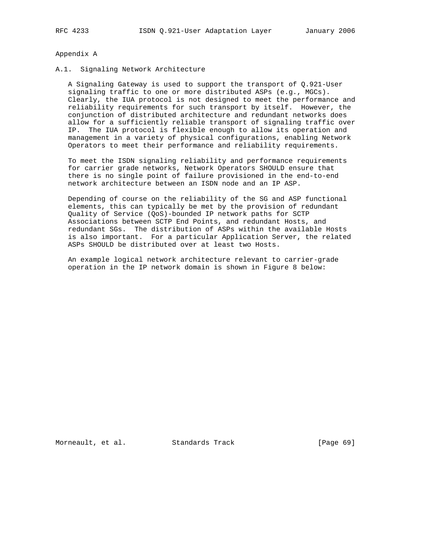### Appendix A

### A.1. Signaling Network Architecture

 A Signaling Gateway is used to support the transport of Q.921-User signaling traffic to one or more distributed ASPs (e.g., MGCs). Clearly, the IUA protocol is not designed to meet the performance and reliability requirements for such transport by itself. However, the conjunction of distributed architecture and redundant networks does allow for a sufficiently reliable transport of signaling traffic over IP. The IUA protocol is flexible enough to allow its operation and management in a variety of physical configurations, enabling Network Operators to meet their performance and reliability requirements.

 To meet the ISDN signaling reliability and performance requirements for carrier grade networks, Network Operators SHOULD ensure that there is no single point of failure provisioned in the end-to-end network architecture between an ISDN node and an IP ASP.

 Depending of course on the reliability of the SG and ASP functional elements, this can typically be met by the provision of redundant Quality of Service (QoS)-bounded IP network paths for SCTP Associations between SCTP End Points, and redundant Hosts, and redundant SGs. The distribution of ASPs within the available Hosts is also important. For a particular Application Server, the related ASPs SHOULD be distributed over at least two Hosts.

 An example logical network architecture relevant to carrier-grade operation in the IP network domain is shown in Figure 8 below:

Morneault, et al. Standards Track [Page 69]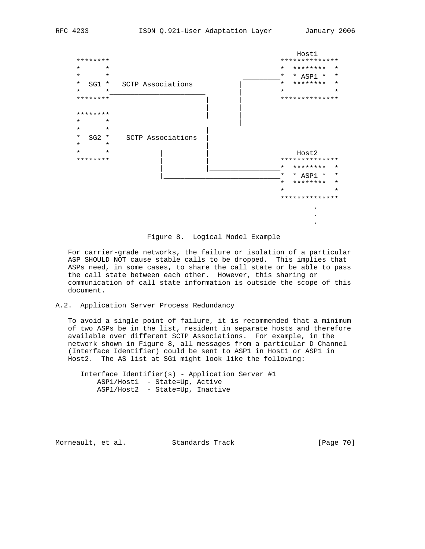



 For carrier-grade networks, the failure or isolation of a particular ASP SHOULD NOT cause stable calls to be dropped. This implies that ASPs need, in some cases, to share the call state or be able to pass the call state between each other. However, this sharing or communication of call state information is outside the scope of this document.

## A.2. Application Server Process Redundancy

 To avoid a single point of failure, it is recommended that a minimum of two ASPs be in the list, resident in separate hosts and therefore available over different SCTP Associations. For example, in the network shown in Figure 8, all messages from a particular D Channel (Interface Identifier) could be sent to ASP1 in Host1 or ASP1 in Host2. The AS list at SG1 might look like the following:

 Interface Identifier(s) - Application Server #1 ASP1/Host1 - State=Up, Active ASP1/Host2 - State=Up, Inactive

Morneault, et al. Standards Track [Page 70]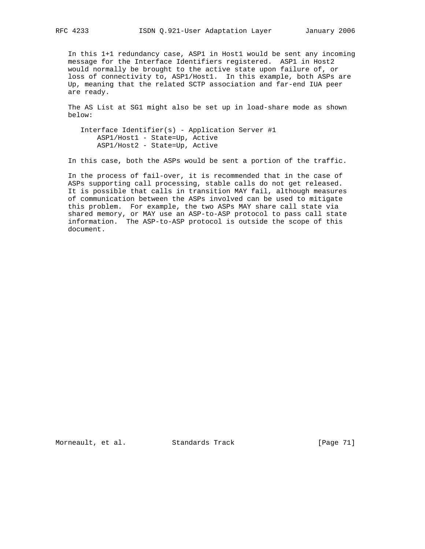In this 1+1 redundancy case, ASP1 in Host1 would be sent any incoming message for the Interface Identifiers registered. ASP1 in Host2 would normally be brought to the active state upon failure of, or loss of connectivity to, ASP1/Host1. In this example, both ASPs are Up, meaning that the related SCTP association and far-end IUA peer are ready.

 The AS List at SG1 might also be set up in load-share mode as shown below:

 Interface Identifier(s) - Application Server #1 ASP1/Host1 - State=Up, Active ASP1/Host2 - State=Up, Active

In this case, both the ASPs would be sent a portion of the traffic.

 In the process of fail-over, it is recommended that in the case of ASPs supporting call processing, stable calls do not get released. It is possible that calls in transition MAY fail, although measures of communication between the ASPs involved can be used to mitigate this problem. For example, the two ASPs MAY share call state via shared memory, or MAY use an ASP-to-ASP protocol to pass call state information. The ASP-to-ASP protocol is outside the scope of this document.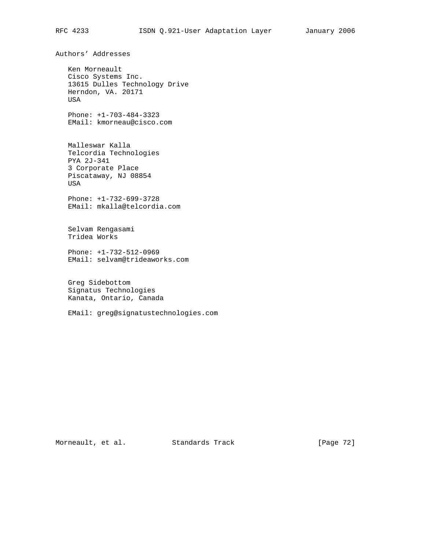Authors' Addresses Ken Morneault Cisco Systems Inc. 13615 Dulles Technology Drive Herndon, VA. 20171 USA Phone: +1-703-484-3323 EMail: kmorneau@cisco.com Malleswar Kalla Telcordia Technologies PYA 2J-341 3 Corporate Place Piscataway, NJ 08854 USA Phone: +1-732-699-3728 EMail: mkalla@telcordia.com Selvam Rengasami Tridea Works Phone: +1-732-512-0969 EMail: selvam@trideaworks.com Greg Sidebottom Signatus Technologies Kanata, Ontario, Canada EMail: greg@signatustechnologies.com

Morneault, et al. Standards Track [Page 72]